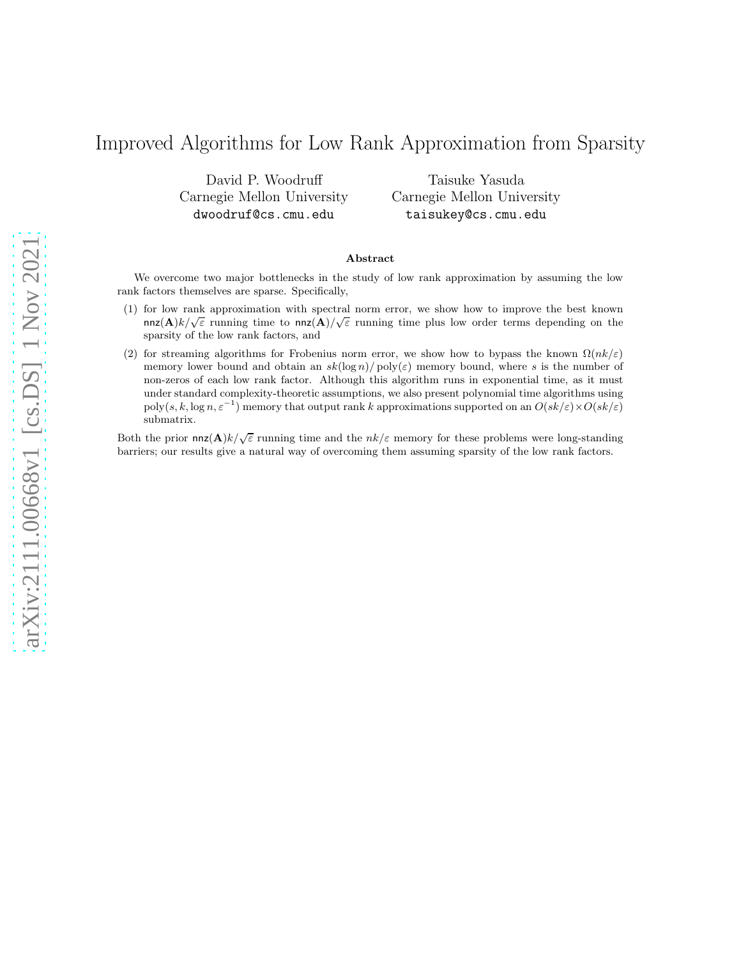# Improved Algorithms for Low Rank Approximation from Sparsity

David P. Woodruff Carnegie Mellon University dwoodruf@cs.cmu.edu

Taisuke Yasuda Carnegie Mellon University taisukey@cs.cmu.edu

### Abstract

We overcome two major bottlenecks in the study of low rank approximation by assuming the low rank factors themselves are sparse. Specifically,

- (1) for low rank approximation with spectral norm error, we show how to improve the best known nnz $(\mathbf{A})k/\sqrt{\varepsilon}$  running time to nnz $(\mathbf{A})/\sqrt{\varepsilon}$  running time plus low order terms depending on the sparsity of the low rank factors, and
- (2) for streaming algorithms for Frobenius norm error, we show how to bypass the known  $\Omega(nk/\varepsilon)$ memory lower bound and obtain an  $sk(\log n)/poly(\varepsilon)$  memory bound, where s is the number of non-zeros of each low rank factor. Although this algorithm runs in exponential time, as it must under standard complexity-theoretic assumptions, we also present polynomial time algorithms using  $poly(s, k, \log n, \varepsilon^{-1})$  memory that output rank k approximations supported on an  $O(sk/\varepsilon) \times O(sk/\varepsilon)$ submatrix.

Both the prior  $nnz(\mathbf{A})k/\sqrt{\varepsilon}$  running time and the  $nk/\varepsilon$  memory for these problems were long-standing barriers; our results give a natural way of overcoming them assuming sparsity of the low rank factors.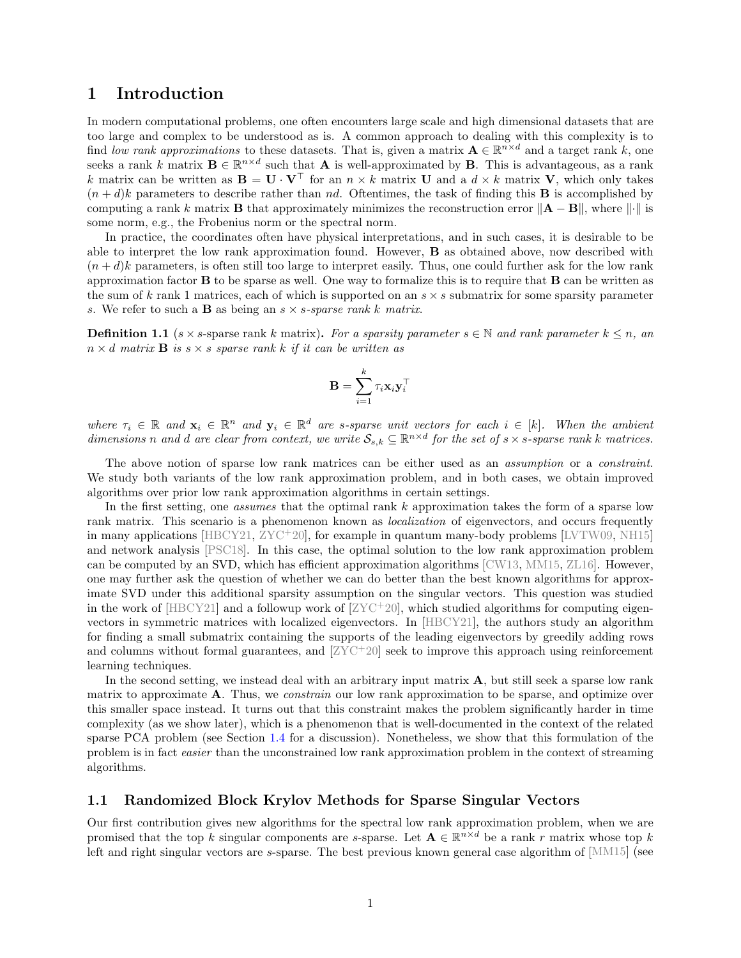# 1 Introduction

In modern computational problems, one often encounters large scale and high dimensional datasets that are too large and complex to be understood as is. A common approach to dealing with this complexity is to find *low rank approximations* to these datasets. That is, given a matrix  $\mathbf{A} \in \mathbb{R}^{n \times d}$  and a target rank k, one seeks a rank k matrix  $\mathbf{B} \in \mathbb{R}^{n \times d}$  such that **A** is well-approximated by **B**. This is advantageous, as a rank k matrix can be written as  $\mathbf{B} = \mathbf{U} \cdot \mathbf{V}^\top$  for an  $n \times k$  matrix **U** and a  $d \times k$  matrix **V**, which only takes  $(n+d)k$  parameters to describe rather than nd. Oftentimes, the task of finding this **B** is accomplished by computing a rank k matrix **B** that approximately minimizes the reconstruction error  $\|\mathbf{A} - \mathbf{B}\|$ , where  $\|\cdot\|$  is some norm, e.g., the Frobenius norm or the spectral norm.

In practice, the coordinates often have physical interpretations, and in such cases, it is desirable to be able to interpret the low rank approximation found. However, B as obtained above, now described with  $(n+d)$ k parameters, is often still too large to interpret easily. Thus, one could further ask for the low rank approximation factor  $\bf{B}$  to be sparse as well. One way to formalize this is to require that  $\bf{B}$  can be written as the sum of k rank 1 matrices, each of which is supported on an  $s \times s$  submatrix for some sparsity parameter s. We refer to such a B as being an s × s*-sparse rank* k *matrix*.

<span id="page-1-0"></span>**Definition 1.1** (s × s-sparse rank k matrix). For a sparsity parameter  $s \in \mathbb{N}$  and rank parameter  $k \leq n$ , and  $n \times d$  *matrix* **B** *is*  $s \times s$  *sparse rank* k *if it can be written as* 

$$
\mathbf{B} = \sum_{i=1}^k \tau_i \mathbf{x}_i \mathbf{y}_i^{\top}
$$

 $where \tau_i \in \mathbb{R}$  and  $\mathbf{x}_i \in \mathbb{R}^n$  and  $\mathbf{y}_i \in \mathbb{R}^d$  are *s*-sparse unit vectors for each  $i \in [k]$ . When the ambient  $d$ *imensions* n and  $d$  are clear from context, we write  $S_{s,k} \subseteq \mathbb{R}^{n \times d}$  for the set of  $s \times s$ -sparse rank k matrices.

The above notion of sparse low rank matrices can be either used as an *assumption* or a *constraint*. We study both variants of the low rank approximation problem, and in both cases, we obtain improved algorithms over prior low rank approximation algorithms in certain settings.

In the first setting, one *assumes* that the optimal rank k approximation takes the form of a sparse low rank matrix. This scenario is a phenomenon known as *localization* of eigenvectors, and occurs frequently in many applications  $[\text{HBCY21}, \text{ZYC+20}]$ , for example in quantum many-body problems  $[\text{LVTW09}, \text{NH15}]$ and network analysis [\[PSC18\]](#page-47-2). In this case, the optimal solution to the low rank approximation problem can be computed by an SVD, which has efficient approximation algorithms [CW13, MM15, ZL16]. However, one may further ask the question of whether we can do better than the best known algorithms for approximate SVD under this additional sparsity assumption on the singular vectors. This question was studied in the work of  $[\text{HBCY21}]$  and a followup work of  $[\text{ZYC+20}]$ , which studied algorithms for computing eigenvectors in symmetric matrices with localized eigenvectors. In [HBCY21], the authors study an algorithm for finding a small submatrix containing the supports of the leading eigenvectors by greedily adding rows and columns without formal guarantees, and [ZYC<sup>+</sup>20] seek to improve this approach using reinforcement learning techniques.

In the second setting, we instead deal with an arbitrary input matrix  $\bf{A}$ , but still seek a sparse low rank matrix to approximate A. Thus, we *constrain* our low rank approximation to be sparse, and optimize over this smaller space instead. It turns out that this constraint makes the problem significantly harder in time complexity (as we show later), which is a phenomenon that is well-documented in the context of the related sparse PCA problem (see Section [1.4](#page-7-0) for a discussion). Nonetheless, we show that this formulation of the problem is in fact *easier* than the unconstrained low rank approximation problem in the context of streaming algorithms.

# <span id="page-1-1"></span>1.1 Randomized Block Krylov Methods for Sparse Singular Vectors

Our first contribution gives new algorithms for the spectral low rank approximation problem, when we are promised that the top k singular components are s-sparse. Let  $\mathbf{A} \in \mathbb{R}^{n \times d}$  be a rank r matrix whose top k left and right singular vectors are s-sparse. The best previous known general case algorithm of [MM15] (see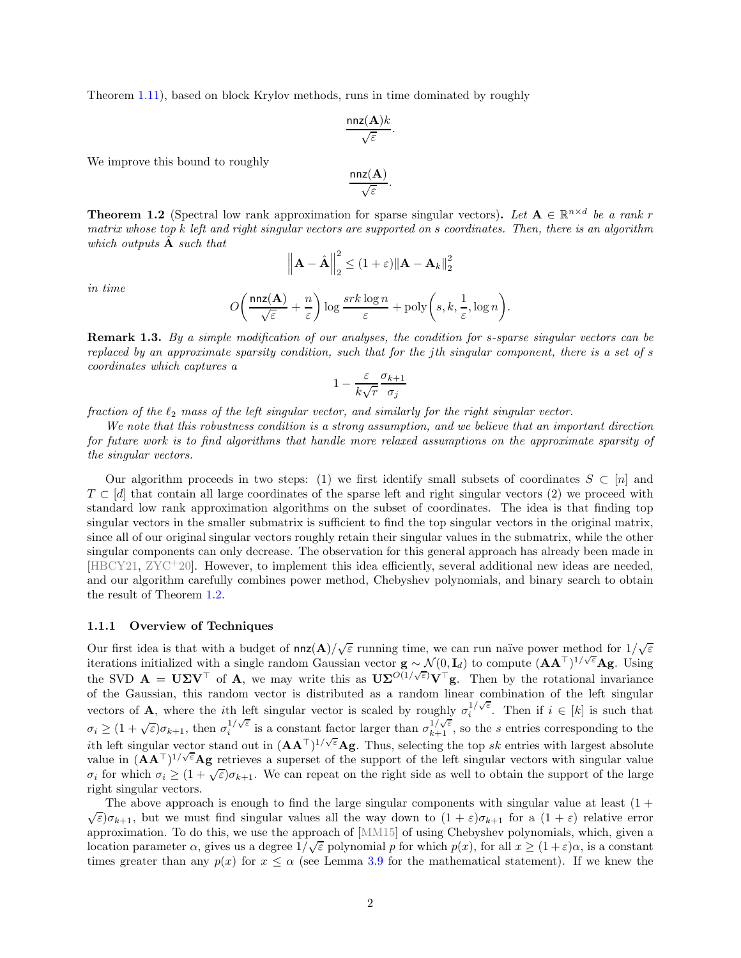Theorem [1.11\)](#page-8-0), based on block Krylov methods, runs in time dominated by roughly

$$
\frac{\text{nnz}(\mathbf{A})k}{\sqrt{\varepsilon}}.
$$

We improve this bound to roughly

$$
\frac{\mathsf{nnz}(\mathbf{A})}{\sqrt{\varepsilon}}.
$$

<span id="page-2-0"></span>**Theorem 1.2** (Spectral low rank approximation for sparse singular vectors). Let  $A \in \mathbb{R}^{n \times d}$  be a rank r *matrix whose top* k *left and right singular vectors are supported on* s *coordinates. Then, there is an algorithm which outputs* Aˆ *such that*

$$
\left\|\mathbf{A} - \hat{\mathbf{A}}\right\|_{2}^{2} \leq (1+\varepsilon) \|\mathbf{A} - \mathbf{A}_{k}\|_{2}^{2}
$$

*in time*

$$
O\bigg(\frac{\mathtt{nnz}(\mathbf{A})}{\sqrt{\varepsilon}}+\frac{n}{\varepsilon}\bigg)\log\frac{srk\log n}{\varepsilon}+\mathrm{poly}\bigg(s,k,\frac{1}{\varepsilon},\log n\bigg).
$$

<span id="page-2-2"></span>Remark 1.3. *By a simple modification of our analyses, the condition for* s*-sparse singular vectors can be replaced by an approximate sparsity condition, such that for the* j*th singular component, there is a set of* s *coordinates which captures a*

$$
1 - \frac{\varepsilon}{k\sqrt{r}} \frac{\sigma_{k+1}}{\sigma_j}
$$

*fraction of the*  $\ell_2$  *mass of the left singular vector, and similarly for the right singular vector.* 

*We note that this robustness condition is a strong assumption, and we believe that an important direction for future work is to find algorithms that handle more relaxed assumptions on the approximate sparsity of the singular vectors.*

Our algorithm proceeds in two steps: (1) we first identify small subsets of coordinates  $S \subset [n]$  and  $T \subset [d]$  that contain all large coordinates of the sparse left and right singular vectors (2) we proceed with standard low rank approximation algorithms on the subset of coordinates. The idea is that finding top singular vectors in the smaller submatrix is sufficient to find the top singular vectors in the original matrix, since all of our original singular vectors roughly retain their singular values in the submatrix, while the other singular components can only decrease. The observation for this general approach has already been made in [HBCY21, ZYC<sup>+</sup>20]. However, to implement this idea efficiently, several additional new ideas are needed, and our algorithm carefully combines power method, Chebyshev polynomials, and binary search to obtain the result of Theorem [1.2.](#page-2-0)

### <span id="page-2-1"></span>1.1.1 Overview of Techniques

Our first idea is that with a budget of  $nnz(\mathbf{A})/\sqrt{\varepsilon}$  running time, we can run naïve power method for  $1/\sqrt{\varepsilon}$ iterations initialized with a single random Gaussian vector  $\mathbf{g} \sim \mathcal{N}(0, \mathbf{I}_d)$  to compute  $(\mathbf{A}\mathbf{A}^{\top})^{1/\sqrt{\varepsilon}}\mathbf{A}\mathbf{g}$ . Using the SVD  $\mathbf{A} = \mathbf{U} \boldsymbol{\Sigma} \mathbf{V}^{\top}$  of  $\mathbf{A}$ , we may write this as  $\mathbf{U} \boldsymbol{\Sigma}^{O(1/\sqrt{\varepsilon})} \mathbf{V}^{\top} \mathbf{g}$ . Then by the rotational invariance of the Gaussian, this random vector is distributed as a random linear combination of the left singular vectors of **A**, where the *i*th left singular vector is scaled by roughly  $\sigma_i^{1/\sqrt{\epsilon}}$ . Then if  $i \in [k]$  is such that  $\sigma_i \geq (1+\sqrt{\varepsilon})\sigma_{k+1}$ , then  $\sigma_i^{1/\sqrt{\varepsilon}}$  is a constant factor larger than  $\sigma_{k+1}^{1/\sqrt{\varepsilon}}$ , so the s entries corresponding to the ith left singular vector stand out in  $(AA^T)^{1/\sqrt{\varepsilon}}Ag$ . Thus, selecting the top sk entries with largest absolute value in  $(AA^{\top})^{1/\sqrt{\varepsilon}}$  Ag retrieves a superset of the support of the left singular vectors with singular value  $\sigma_i$  for which  $\sigma_i \geq (1+\sqrt{\varepsilon})\sigma_{k+1}$ . We can repeat on the right side as well to obtain the support of the large right singular vectors.

The above approach is enough to find the large singular components with singular value at least  $(1 +$  $\sqrt{\varepsilon}$ ) $\sigma_{k+1}$ , but we must find singular values all the way down to  $(1+\varepsilon)\sigma_{k+1}$  for a  $(1+\varepsilon)$  relative error approximation. To do this, we use the approach of [MM15] of using Chebyshev polynomials, which, given a location parameter  $\alpha$ , gives us a degree  $1/\sqrt{\varepsilon}$  polynomial p for which  $p(x)$ , for all  $x \ge (1+\varepsilon)\alpha$ , is a constant times greater than any  $p(x)$  for  $x \le \alpha$  (see Lemma [3.9](#page-17-0) for the mathematical statement). If we knew the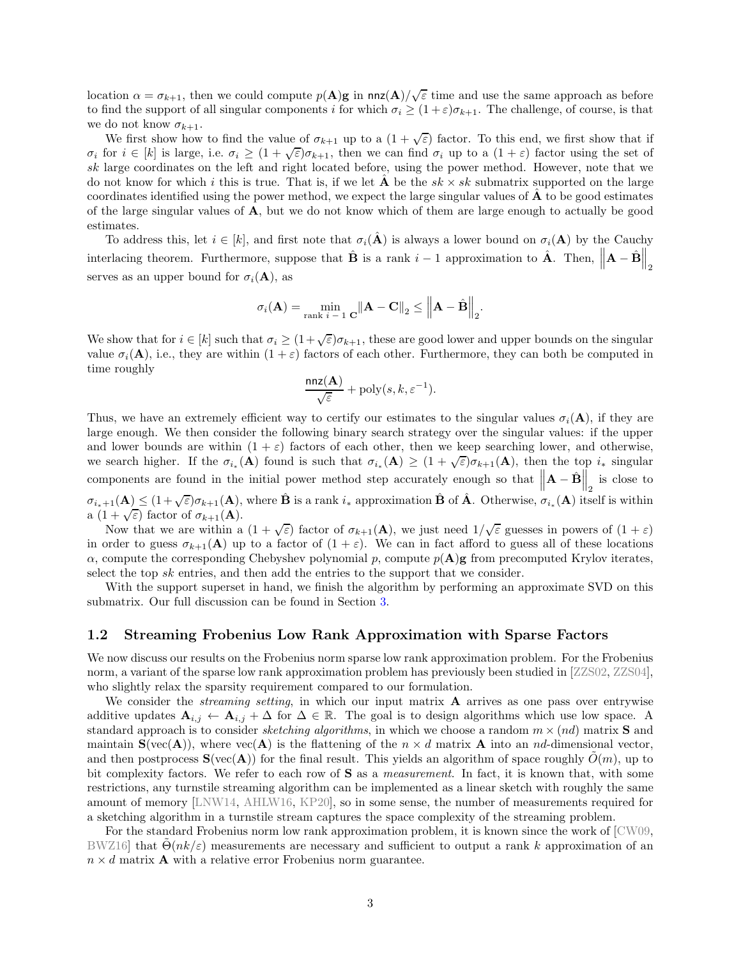location  $\alpha = \sigma_{k+1}$ , then we could compute  $p(A)g$  in  $nnz(A)/\sqrt{\varepsilon}$  time and use the same approach as before to find the support of all singular components i for which  $\sigma_i \geq (1+\varepsilon)\sigma_{k+1}$ . The challenge, of course, is that we do not know  $\sigma_{k+1}$ .

We first show how to find the value of  $\sigma_{k+1}$  up to a  $(1+\sqrt{\varepsilon})$  factor. To this end, we first show that if  $\sigma_i$  for  $i \in [k]$  is large, i.e.  $\sigma_i \geq (1 + \sqrt{\varepsilon})\sigma_{k+1}$ , then we can find  $\sigma_i$  up to a  $(1 + \varepsilon)$  factor using the set of sk large coordinates on the left and right located before, using the power method. However, note that we do not know for which i this is true. That is, if we let  $\hat{A}$  be the  $sk \times sk$  submatrix supported on the large coordinates identified using the power method, we expect the large singular values of  $\bf{A}$  to be good estimates of the large singular values of A, but we do not know which of them are large enough to actually be good estimates.

To address this, let  $i \in [k]$ , and first note that  $\sigma_i(\hat{\mathbf{A}})$  is always a lower bound on  $\sigma_i(\mathbf{A})$  by the Cauchy interlacing theorem. Furthermore, suppose that  $\hat{\mathbf{B}}$  is a rank  $i-1$  approximation to  $\hat{\mathbf{A}}$ . Then,  $\left\|\mathbf{A}-\hat{\mathbf{B}}\right\|_2$ serves as an upper bound for  $\sigma_i(\mathbf{A})$ , as

$$
\sigma_i(\mathbf{A}) = \min_{\text{rank } i-1} \mathbf{C} \|\mathbf{A} - \mathbf{C}\|_2 \le \left\|\mathbf{A} - \hat{\mathbf{B}}\right\|_2.
$$

We show that for  $i \in [k]$  such that  $\sigma_i \geq (1+\sqrt{\varepsilon})\sigma_{k+1}$ , these are good lower and upper bounds on the singular value  $\sigma_i(\mathbf{A})$ , i.e., they are within  $(1 + \varepsilon)$  factors of each other. Furthermore, they can both be computed in time roughly

$$
\frac{\mathtt{nnz}(\mathbf{A})}{\sqrt{\varepsilon}} + \mathrm{poly}(s,k,\varepsilon^{-1}).
$$

Thus, we have an extremely efficient way to certify our estimates to the singular values  $\sigma_i(\mathbf{A})$ , if they are large enough. We then consider the following binary search strategy over the singular values: if the upper and lower bounds are within  $(1 + \varepsilon)$  factors of each other, then we keep searching lower, and otherwise, we search higher. If the  $\sigma_{i_{*}}(A)$  found is such that  $\sigma_{i_{*}}(A) \geq (1+\sqrt{\varepsilon})\sigma_{k+1}(A)$ , then the top  $i_{*}$  singular components are found in the initial power method step accurately enough so that  $\left\|\mathbf{A} - \hat{\mathbf{B}}\right\|_2$  is close to  $\sigma_{i_*+1}(\mathbf{A}) \leq (1+\sqrt{\varepsilon})\sigma_{k+1}(\mathbf{A}),$  where  $\hat{\mathbf{B}}$  is a rank  $i_*$  approximation  $\hat{\mathbf{B}}$  of  $\hat{\mathbf{A}}$ . Otherwise,  $\sigma_{i_*}(\mathbf{A})$  itself is within  $a(1+\sqrt{\varepsilon})$  factor of  $\sigma_{k+1}(\mathbf{A})$ .

Now that we are within a  $(1 + \sqrt{\varepsilon})$  factor of  $\sigma_{k+1}(\mathbf{A})$ , we just need  $1/\sqrt{\varepsilon}$  guesses in powers of  $(1 + \varepsilon)$ in order to guess  $\sigma_{k+1}(\mathbf{A})$  up to a factor of  $(1+\varepsilon)$ . We can in fact afford to guess all of these locations  $\alpha$ , compute the corresponding Chebyshev polynomial p, compute  $p(\mathbf{A})g$  from precomputed Krylov iterates, select the top sk entries, and then add the entries to the support that we consider.

With the support superset in hand, we finish the algorithm by performing an approximate SVD on this submatrix. Our full discussion can be found in Section [3.](#page-11-0)

## <span id="page-3-0"></span>1.2 Streaming Frobenius Low Rank Approximation with Sparse Factors

We now discuss our results on the Frobenius norm sparse low rank approximation problem. For the Frobenius norm, a variant of the sparse low rank approximation problem has previously been studied in [ZZS02, ZZS04], who slightly relax the sparsity requirement compared to our formulation.

We consider the *streaming setting*, in which our input matrix **A** arrives as one pass over entrywise additive updates  $A_{i,j} \leftarrow A_{i,j} + \Delta$  for  $\Delta \in \mathbb{R}$ . The goal is to design algorithms which use low space. A standard approach is to consider *sketching algorithms*, in which we choose a random  $m \times (nd)$  matrix **S** and maintain  $\mathbf{S}(vec(\mathbf{A}))$ , where  $vec(\mathbf{A})$  is the flattening of the  $n \times d$  matrix **A** into an nd-dimensional vector, and then postprocess  $\mathbf{S}(\text{vec}(\mathbf{A}))$  for the final result. This yields an algorithm of space roughly  $O(m)$ , up to bit complexity factors. We refer to each row of S as a *measurement*. In fact, it is known that, with some restrictions, any turnstile streaming algorithm can be implemented as a linear sketch with roughly the same amount of memory [LNW14, AHLW16, KP20], so in some sense, the number of measurements required for a sketching algorithm in a turnstile stream captures the space complexity of the streaming problem.

For the standard Frobenius norm low rank approximation problem, it is known since the work of [CW09, BWZ16] that  $\Theta(nk/\varepsilon)$  measurements are necessary and sufficient to output a rank k approximation of an  $n \times d$  matrix **A** with a relative error Frobenius norm guarantee.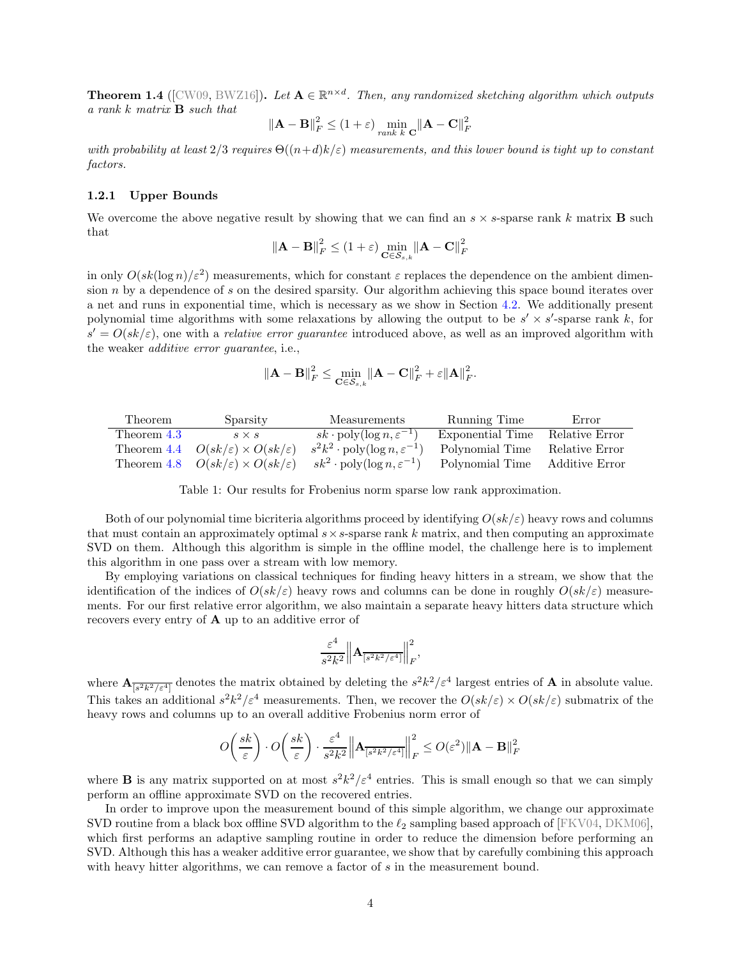<span id="page-4-0"></span>**Theorem 1.4** ([CW09, BWZ16]). Let  $A \in \mathbb{R}^{n \times d}$ . Then, any randomized sketching algorithm which outputs *a rank* k *matrix* B *such that*

$$
\|\mathbf{A} - \mathbf{B}\|_F^2 \le (1 + \varepsilon) \min_{rank k} \frac{\mathbf{C}}{\mathbf{C}} \|\mathbf{A} - \mathbf{C}\|_F^2
$$

*with probability at least*  $2/3$  *requires*  $\Theta((n+d)k/\varepsilon)$  *measurements, and this lower bound is tight up to constant factors.*

### 1.2.1 Upper Bounds

We overcome the above negative result by showing that we can find an  $s \times s$ -sparse rank k matrix **B** such that

$$
\left\|\mathbf{A} - \mathbf{B}\right\|_{F}^{2} \leq (1+\varepsilon) \min_{\mathbf{C} \in \mathcal{S}_{s,k}} \left\|\mathbf{A} - \mathbf{C}\right\|_{F}^{2}
$$

in only  $O(sk(\log n)/\varepsilon^2)$  measurements, which for constant  $\varepsilon$  replaces the dependence on the ambient dimension  $n$  by a dependence of s on the desired sparsity. Our algorithm achieving this space bound iterates over a net and runs in exponential time, which is necessary as we show in Section [4.2.](#page-30-0) We additionally present polynomial time algorithms with some relaxations by allowing the output to be  $s' \times s'$ -sparse rank k, for  $s' = O(sk/\varepsilon)$ , one with a *relative error guarantee* introduced above, as well as an improved algorithm with the weaker *additive error guarantee*, i.e.,

$$
\|\mathbf{A} - \mathbf{B}\|_F^2 \le \min_{\mathbf{C} \in \mathcal{S}_{s,k}} \|\mathbf{A} - \mathbf{C}\|_F^2 + \varepsilon \|\mathbf{A}\|_F^2.
$$

<span id="page-4-1"></span>

| Theorem     | Sparsity                                                 | Measurements                                         | Running Time     | Error                 |
|-------------|----------------------------------------------------------|------------------------------------------------------|------------------|-----------------------|
| Theorem 4.3 | $S \times S$                                             | $sk \cdot poly(\log n, \varepsilon^{-1})$            | Exponential Time | Relative Error        |
|             | Theorem 4.4 $O(sk/\varepsilon) \times O(sk/\varepsilon)$ | $s^2k^2 \cdot \text{poly}(\log n, \varepsilon^{-1})$ | Polynomial Time  | Relative Error        |
|             | Theorem 4.8 $O(sk/\varepsilon) \times O(sk/\varepsilon)$ | $sk^2 \cdot \text{poly}(\log n, \varepsilon^{-1})$   | Polynomial Time  | <b>Additive Error</b> |

Table 1: Our results for Frobenius norm sparse low rank approximation.

Both of our polynomial time bicriteria algorithms proceed by identifying  $O(s k/\epsilon)$  heavy rows and columns that must contain an approximately optimal  $s \times s$ -sparse rank k matrix, and then computing an approximate SVD on them. Although this algorithm is simple in the offline model, the challenge here is to implement this algorithm in one pass over a stream with low memory.

By employing variations on classical techniques for finding heavy hitters in a stream, we show that the identification of the indices of  $O(sk/\varepsilon)$  heavy rows and columns can be done in roughly  $O(sk/\varepsilon)$  measurements. For our first relative error algorithm, we also maintain a separate heavy hitters data structure which recovers every entry of A up to an additive error of

$$
\frac{\varepsilon^4}{s^2k^2}\Big\|{\bf A}_{\overline{[s^2k^2/\varepsilon^4]}}\Big\|_F^2,
$$

where  $\mathbf{A}_{\overline{[s^2k^2/\varepsilon^4]}}$  denotes the matrix obtained by deleting the  $s^2k^2/\varepsilon^4$  largest entries of **A** in absolute value. This takes an additional  $s^2k^2/\varepsilon^4$  measurements. Then, we recover the  $O(sk/\varepsilon) \times O(sk/\varepsilon$  submatrix of the heavy rows and columns up to an overall additive Frobenius norm error of

$$
O\left(\frac{sk}{\varepsilon}\right) \cdot O\left(\frac{sk}{\varepsilon}\right) \cdot \frac{\varepsilon^4}{s^2 k^2} \left\| \mathbf{A}_{\overline{\left[s^2 k^2/\varepsilon^4\right]}} \right\|_F^2 \le O(\varepsilon^2) \|\mathbf{A} - \mathbf{B}\|_F^2
$$

where **B** is any matrix supported on at most  $s^2k^2/\varepsilon^4$  entries. This is small enough so that we can simply perform an offline approximate SVD on the recovered entries.

In order to improve upon the measurement bound of this simple algorithm, we change our approximate SVD routine from a black box offline SVD algorithm to the  $\ell_2$  sampling based approach of [FKV04, DKM06], which first performs an adaptive sampling routine in order to reduce the dimension before performing an SVD. Although this has a weaker additive error guarantee, we show that by carefully combining this approach with heavy hitter algorithms, we can remove a factor of s in the measurement bound.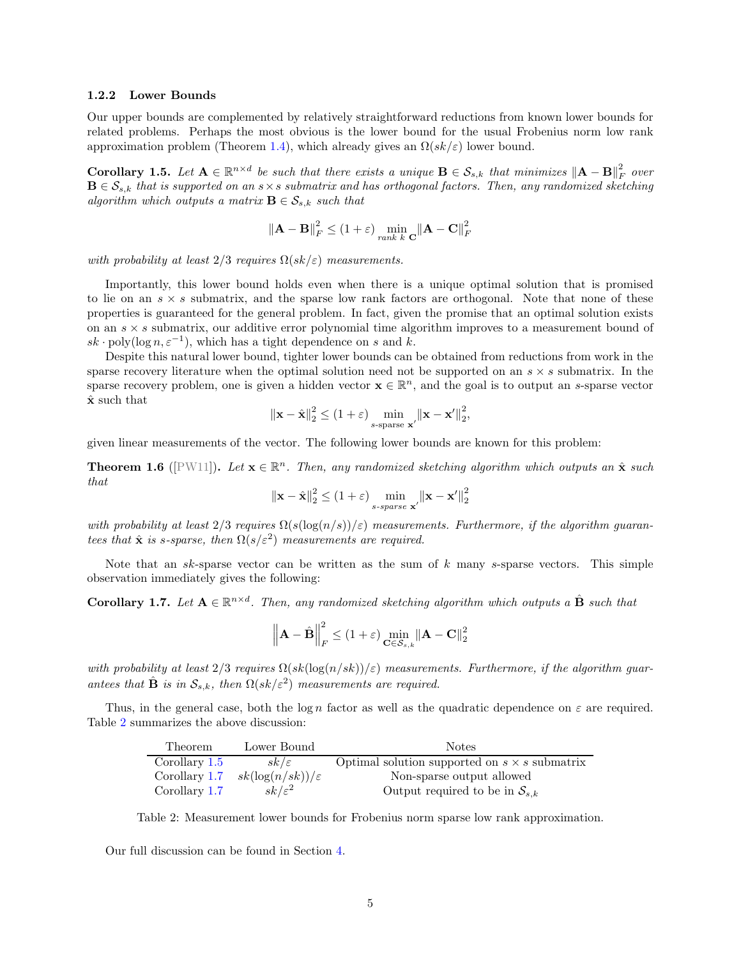#### 1.2.2 Lower Bounds

Our upper bounds are complemented by relatively straightforward reductions from known lower bounds for related problems. Perhaps the most obvious is the lower bound for the usual Frobenius norm low rank approximation problem (Theorem [1.4\)](#page-4-0), which already gives an  $\Omega(s k/\varepsilon)$  lower bound.

<span id="page-5-1"></span>Corollary 1.5. Let  $A \in \mathbb{R}^{n \times d}$  be such that there exists a unique  $B \in \mathcal{S}_{s,k}$  that minimizes  $||A - B||_F^2$ F *over*  $B \in \mathcal{S}_{s,k}$  that is supported on an  $s \times s$  submatrix and has orthogonal factors. Then, any randomized sketching *algorithm which outputs a matrix*  $\mathbf{B} \in \mathcal{S}_{s,k}$  *such that* 

$$
\|\mathbf{A} - \mathbf{B}\|_F^2 \le (1 + \varepsilon) \min_{rank k} \frac{\|\mathbf{A} - \mathbf{C}\|_F^2}{\|k\|_F^2}
$$

*with probability at least*  $2/3$  *requires*  $\Omega(sk/\varepsilon)$  *measurements.* 

Importantly, this lower bound holds even when there is a unique optimal solution that is promised to lie on an  $s \times s$  submatrix, and the sparse low rank factors are orthogonal. Note that none of these properties is guaranteed for the general problem. In fact, given the promise that an optimal solution exists on an  $s \times s$  submatrix, our additive error polynomial time algorithm improves to a measurement bound of  $sk \cdot \text{poly}(\log n, \varepsilon^{-1})$ , which has a tight dependence on s and k.

Despite this natural lower bound, tighter lower bounds can be obtained from reductions from work in the sparse recovery literature when the optimal solution need not be supported on an  $s \times s$  submatrix. In the sparse recovery problem, one is given a hidden vector  $\mathbf{x} \in \mathbb{R}^n$ , and the goal is to output an s-sparse vector  $\hat{\mathbf{x}}$  such that

$$
\|\mathbf{x} - \hat{\mathbf{x}}\|_2^2 \le (1+\varepsilon) \min_{s\text{-sparse } \mathbf{x}'} \|\mathbf{x} - \mathbf{x}'\|_2^2,
$$

given linear measurements of the vector. The following lower bounds are known for this problem:

<span id="page-5-3"></span>**Theorem 1.6** ( $[PW11]$ ). Let  $\mathbf{x} \in \mathbb{R}^n$ . Then, any randomized sketching algorithm which outputs an  $\hat{\mathbf{x}}$  such *that*

$$
\|\mathbf{x} - \hat{\mathbf{x}}\|_2^2 \le (1 + \varepsilon) \min_{s\text{-sparse } \mathbf{x}'} \|\mathbf{x} - \mathbf{x}'\|_2^2
$$

*with probability at least*  $2/3$  *requires*  $\Omega(s(\log(n/s))/\epsilon)$  *measurements. Furthermore, if the algorithm guarantees that*  $\hat{\mathbf{x}}$  *is s-sparse, then*  $\Omega(s/\varepsilon^2)$  *measurements are required.* 

Note that an  $sk$ -sparse vector can be written as the sum of  $k$  many  $s$ -sparse vectors. This simple observation immediately gives the following:

<span id="page-5-2"></span>**Corollary 1.7.** Let  $A \in \mathbb{R}^{n \times d}$ . Then, any randomized sketching algorithm which outputs a  $\hat{B}$  such that

$$
\left\| \mathbf{A} - \hat{\mathbf{B}} \right\|_F^2 \le (1 + \varepsilon) \min_{\mathbf{C} \in \mathcal{S}_{s,k}} \left\| \mathbf{A} - \mathbf{C} \right\|_2^2
$$

*with probability at least*  $2/3$  *requires*  $\Omega(s k(\log(n/sk))/\epsilon)$  *measurements. Furthermore, if the algorithm guarantees that*  $\hat{\mathbf{B}}$  *is in*  $\mathcal{S}_{s,k}$ *, then*  $\Omega(sk/\varepsilon^2)$  *measurements are required.* 

<span id="page-5-0"></span>Thus, in the general case, both the log n factor as well as the quadratic dependence on  $\varepsilon$  are required. Table [2](#page-5-0) summarizes the above discussion:

| <b>Theorem</b> | Lower Bound                  | <b>Notes</b>                                         |
|----------------|------------------------------|------------------------------------------------------|
| Corollary 1.5  | $sk/\varepsilon$             | Optimal solution supported on $s \times s$ submatrix |
| Corollary 1.7  | $sk(\log(n/sk))/\varepsilon$ | Non-sparse output allowed                            |
| Corollary 1.7  | $sk/\varepsilon^2$           | Output required to be in $S_{s,k}$                   |

Table 2: Measurement lower bounds for Frobenius norm sparse low rank approximation.

Our full discussion can be found in Section [4.](#page-18-0)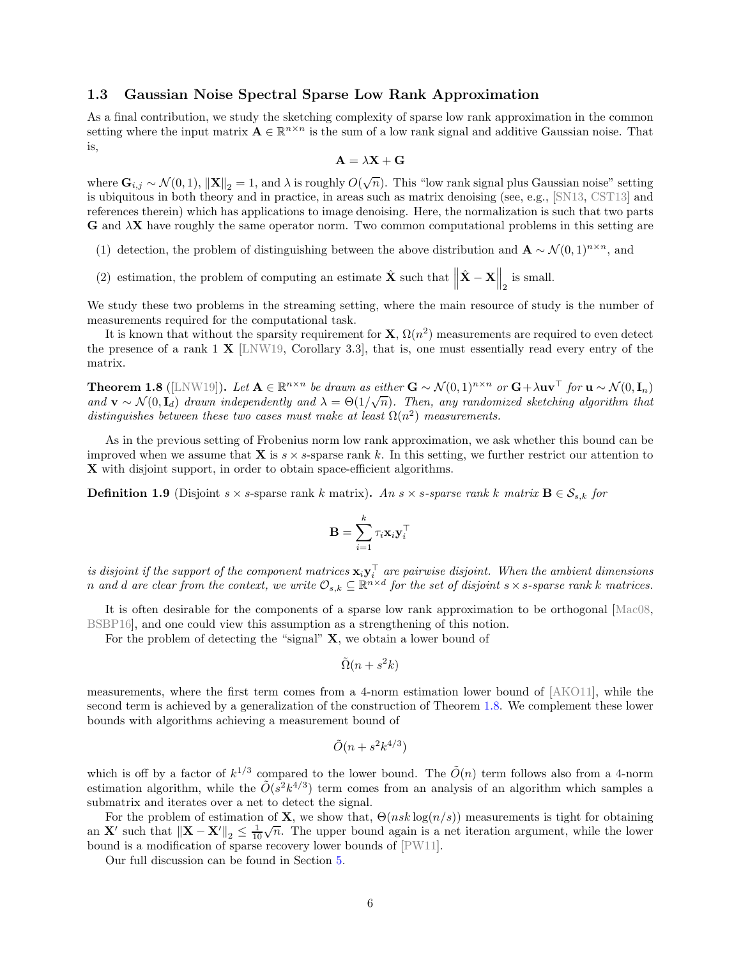# <span id="page-6-2"></span>1.3 Gaussian Noise Spectral Sparse Low Rank Approximation

As a final contribution, we study the sketching complexity of sparse low rank approximation in the common setting where the input matrix  $\mathbf{A} \in \mathbb{R}^{n \times n}$  is the sum of a low rank signal and additive Gaussian noise. That is,

$$
\mathbf{A} = \lambda \mathbf{X} + \mathbf{G}
$$

where  $\mathbf{G}_{i,j} \sim \mathcal{N}(0,1)$ ,  $\|\mathbf{X}\|_2 = 1$ , and  $\lambda$  is roughly  $O(\sqrt{n})$ . This "low rank signal plus Gaussian noise" setting is ubiquitous in both theory and in practice, in areas such as matrix denoising (see, e.g., [SN13, CST13] and references therein) which has applications to image denoising. Here, the normalization is such that two parts  $G$  and  $\lambda X$  have roughly the same operator norm. Two common computational problems in this setting are

- <span id="page-6-3"></span>(1) detection, the problem of distinguishing between the above distribution and  $\mathbf{A} \sim \mathcal{N}(0, 1)^{n \times n}$ , and
- (2) estimation, the problem of computing an estimate  $\hat{\mathbf{X}}$  such that  $\left\|\hat{\mathbf{X}} \mathbf{X}\right\|_2$  is small.

We study these two problems in the streaming setting, where the main resource of study is the number of measurements required for the computational task.

It is known that without the sparsity requirement for  $X, \Omega(n^2)$  measurements are required to even detect the presence of a rank  $1 \times$  [LNW19, Corollary 3.3], that is, one must essentially read every entry of the matrix.

<span id="page-6-0"></span>**Theorem 1.8** ([LNW19]). Let  $\mathbf{A} \in \mathbb{R}^{n \times n}$  be drawn as either  $\mathbf{G} \sim \mathcal{N}(0, 1)^{n \times n}$  or  $\mathbf{G} + \lambda \mathbf{u} \mathbf{v}^{\top}$  for  $\mathbf{u} \sim \mathcal{N}(0, \mathbf{I}_n)$ and  $\mathbf{v} \sim \mathcal{N}(0, \mathbf{I}_{d})$  *drawn independently and*  $\lambda = \Theta(1/\sqrt{n})$ *. Then, any randomized sketching algorithm that* distinguishes between these two cases must make at least  $\Omega(n^2)$  measurements.

As in the previous setting of Frobenius norm low rank approximation, we ask whether this bound can be improved when we assume that **X** is  $s \times s$ -sparse rank k. In this setting, we further restrict our attention to X with disjoint support, in order to obtain space-efficient algorithms.

<span id="page-6-1"></span>**Definition 1.9** (Disjoint s × s-sparse rank k matrix). An s × s-sparse rank k matrix  $\mathbf{B} \in \mathcal{S}_{s,k}$  for

$$
\mathbf{B} = \sum_{i=1}^k \tau_i \mathbf{x}_i \mathbf{y}_i^{\top}
$$

 $i$ *s disjoint if the support of the component matrices*  $\mathbf{x}_i \mathbf{y}_i^{\top}$  *are pairwise disjoint. When the ambient dimensions n* and *d* are clear from the context, we write  $\mathcal{O}_{s,k} \subseteq \mathbb{R}^{n \times d}$  for the set of disjoint  $s \times s$ -sparse rank *k* matrices.

It is often desirable for the components of a sparse low rank approximation to be orthogonal [Mac08, BSBP16], and one could view this assumption as a strengthening of this notion.

For the problem of detecting the "signal"  $X$ , we obtain a lower bound of

$$
\tilde{\Omega}(n+s^2k)
$$

measurements, where the first term comes from a 4-norm estimation lower bound of [AKO11], while the second term is achieved by a generalization of the construction of Theorem [1.8.](#page-6-0) We complement these lower bounds with algorithms achieving a measurement bound of

$$
\tilde{O}(n + s^2 k^{4/3})
$$

which is off by a factor of  $k^{1/3}$  compared to the lower bound. The  $\tilde{O}(n)$  term follows also from a 4-norm estimation algorithm, while the  $O(s^2k^{4/3})$  term comes from an analysis of an algorithm which samples a submatrix and iterates over a net to detect the signal.

For the problem of estimation of **X**, we show that,  $\Theta(nsk \log(n/s))$  measurements is tight for obtaining an X' such that  $||X - X'||_2 \leq \frac{1}{10}\sqrt{n}$ . The upper bound again is a net iteration argument, while the lower bound is a modification of sparse recovery lower bounds of [PW11].

Our full discussion can be found in Section [5.](#page-31-0)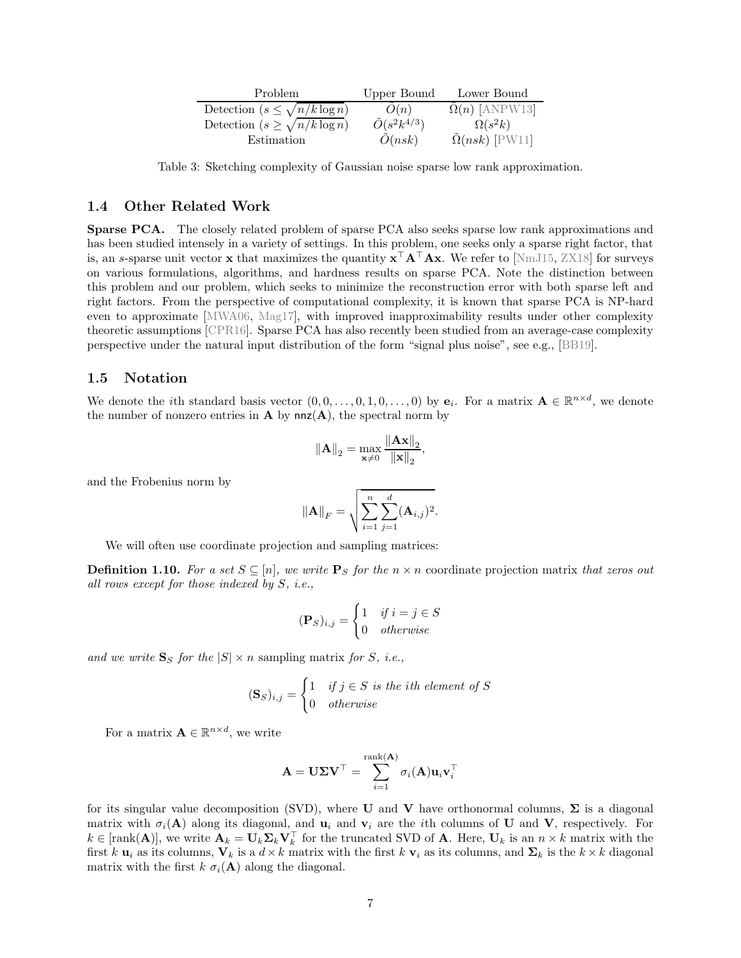<span id="page-7-1"></span>

| Problem                                | Upper Bound             | Lower Bound                  |
|----------------------------------------|-------------------------|------------------------------|
| Detection $(s \leq \sqrt{n/k \log n})$ | O(n)                    | $\tilde{\Omega}(n)$ [ANPW13] |
| Detection $(s \geq \sqrt{n/k \log n})$ | $\tilde{O}(s^2k^{4/3})$ | $\Omega(s^2k)$               |
| Estimation                             | O(nsk)                  | $\Omega(nsk)$ [PW11]         |

Table 3: Sketching complexity of Gaussian noise sparse low rank approximation.

## <span id="page-7-0"></span>1.4 Other Related Work

<span id="page-7-2"></span>Sparse PCA. The closely related problem of sparse PCA also seeks sparse low rank approximations and has been studied intensely in a variety of settings. In this problem, one seeks only a sparse right factor, that is, an s-sparse unit vector x that maximizes the quantity  $x^{\top}A^{\top}Ax$ . We refer to [\[NmJ15,](#page-47-3) ZX18] for surveys on various formulations, algorithms, and hardness results on sparse PCA. Note the distinction between this problem and our problem, which seeks to minimize the reconstruction error with both sparse left and right factors. From the perspective of computational complexity, it is known that sparse PCA is NP-hard even to approximate [MWA06, Mag17], with improved inapproximability results under other complexity theoretic assumptions [CPR16]. Sparse PCA has also recently been studied from an average-case complexity perspective under the natural input distribution of the form "signal plus noise", see e.g., [BB19].

# 1.5 Notation

We denote the *i*th standard basis vector  $(0,0,\ldots,0,1,0,\ldots,0)$  by  $e_i$ . For a matrix  $\mathbf{A} \in \mathbb{R}^{n \times d}$ , we denote the number of nonzero entries in  $A$  by  $nnz(A)$ , the spectral norm by

$$
\|\mathbf{A}\|_2 = \max_{\mathbf{x} \neq 0} \frac{\|\mathbf{A}\mathbf{x}\|_2}{\|\mathbf{x}\|_2},
$$

and the Frobenius norm by

$$
\|\mathbf{A}\|_{F} = \sqrt{\sum_{i=1}^{n} \sum_{j=1}^{d} (\mathbf{A}_{i,j})^{2}}.
$$

We will often use coordinate projection and sampling matrices:

<span id="page-7-3"></span>**Definition 1.10.** For a set  $S \subseteq [n]$ , we write  $\mathbf{P}_S$  for the  $n \times n$  coordinate projection matrix that zeros out *all rows except for those indexed by* S*, i.e.,*

$$
(\mathbf{P}_S)_{i,j} = \begin{cases} 1 & \text{if } i = j \in S \\ 0 & \text{otherwise} \end{cases}
$$

and we write  $S_S$  *for the*  $|S| \times n$  sampling matrix *for S, i.e.*,

$$
(\mathbf{S}_S)_{i,j} = \begin{cases} 1 & \text{if } j \in S \text{ is the } i\text{th element of } S \\ 0 & \text{otherwise} \end{cases}
$$

For a matrix  $\mathbf{A} \in \mathbb{R}^{n \times d}$ , we write

$$
\mathbf{A} = \mathbf{U} \mathbf{\Sigma} \mathbf{V}^\top = \sum_{i=1}^{\text{rank}(\mathbf{A})} \sigma_i(\mathbf{A}) \mathbf{u}_i \mathbf{v}_i^\top
$$

for its singular value decomposition (SVD), where U and V have orthonormal columns,  $\Sigma$  is a diagonal matrix with  $\sigma_i(A)$  along its diagonal, and  $\mathbf{u}_i$  and  $\mathbf{v}_i$  are the *i*th columns of U and V, respectively. For  $k \in [\text{rank}(\mathbf{A})],$  we write  $\mathbf{A}_k = \mathbf{U}_k \mathbf{\Sigma}_k \mathbf{V}_k^{\top}$  for the truncated SVD of **A**. Here,  $\mathbf{U}_k$  is an  $n \times k$  matrix with the first k  $\mathbf{u}_i$  as its columns,  $\mathbf{V}_k$  is a  $d \times k$  matrix with the first k  $\mathbf{v}_i$  as its columns, and  $\mathbf{\Sigma}_k$  is the  $k \times k$  diagonal matrix with the first  $k \sigma_i(\mathbf{A})$  along the diagonal.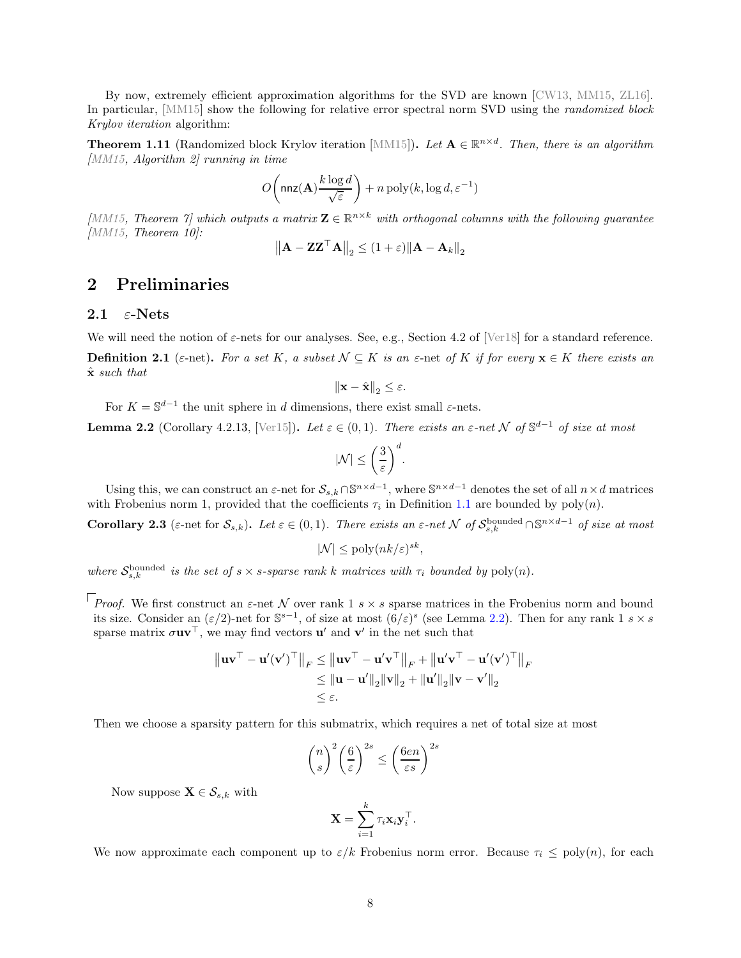By now, extremely efficient approximation algorithms for the SVD are known [CW13, MM15, ZL16]. In particular, [MM15] show the following for relative error spectral norm SVD using the *randomized block Krylov iteration* algorithm:

<span id="page-8-0"></span>**Theorem 1.11** (Randomized block Krylov iteration [MM15]). Let  $\mathbf{A} \in \mathbb{R}^{n \times d}$ . Then, there is an algorithm *[MM15, Algorithm 2] running in time*

$$
O\!\left(\mathsf{nnz}(\mathbf{A})\frac{k\log d}{\sqrt{\varepsilon}}\right) + n\operatorname{poly}(k,\log d,\varepsilon^{-1})
$$

[*MM15*, Theorem 7] which outputs a matrix  $\mathbf{Z} \in \mathbb{R}^{n \times k}$  with orthogonal columns with the following guarantee *[MM15, Theorem 10]:*

$$
\left\|\mathbf{A} - \mathbf{Z}\mathbf{Z}^\top \mathbf{A}\right\|_2 \leq (1+\varepsilon) \|\mathbf{A} - \mathbf{A}_k\|_2
$$

# <span id="page-8-3"></span>2 Preliminaries

# 2.1  $\varepsilon$ -Nets

We will need the notion of  $\varepsilon$ -nets for our analyses. See, e.g., Section 4.2 of [\[Ver18\]](#page-48-0) for a standard reference.

**Definition 2.1** ( $\varepsilon$ -net). For a set K, a subset  $\mathcal{N} \subseteq K$  is an  $\varepsilon$ -net of K if for every  $\mathbf{x} \in K$  there exists an xˆ *such that*

$$
\left\|\mathbf{x}-\hat{\mathbf{x}}\right\|_2 \leq \varepsilon.
$$

For  $K = \mathbb{S}^{d-1}$  the unit sphere in d dimensions, there exist small  $\varepsilon$ -nets.

<span id="page-8-1"></span>**Lemma 2.2** (Corollary 4.2.13, [\[Ver15\]](#page-48-1)). Let  $\varepsilon \in (0,1)$ . There exists an  $\varepsilon$ -net N of  $\mathbb{S}^{d-1}$  of size at most

$$
|\mathcal{N}| \leq \bigg(\frac{3}{\varepsilon}\bigg)^d.
$$

Using this, we can construct an  $\varepsilon$ -net for  $\mathcal{S}_{s,k} \cap \mathbb{S}^{n \times d-1}$ , where  $\mathbb{S}^{n \times d-1}$  denotes the set of all  $n \times d$  matrices with Frobenius norm 1, provided that the coefficients  $\tau_i$  in Definition [1.1](#page-1-0) are bounded by  $poly(n)$ .

<span id="page-8-2"></span>**Corollary 2.3** ( $\varepsilon$ -net for  $\mathcal{S}_{s,k}$ ). Let  $\varepsilon \in (0,1)$ . There exists an  $\varepsilon$ -net N of  $\mathcal{S}_{s,k}^{\text{bounded}} \cap \mathbb{S}^{n \times d-1}$  of size at most

$$
|\mathcal{N}| \le \text{poly}(nk/\varepsilon)^{sk},
$$

where  $S_{s,k}^{\text{bounded}}$  is the set of  $s \times s$ -sparse rank k matrices with  $\tau_i$  bounded by  $\text{poly}(n)$ .

*Proof.* We first construct an  $\varepsilon$ -net N over rank 1 s × s sparse matrices in the Frobenius norm and bound its size. Consider an  $(\varepsilon/2)$ -net for  $\mathbb{S}^{s-1}$ , of size at most  $(6/\varepsilon)^s$  (see Lemma [2.2\)](#page-8-1). Then for any rank 1 s × s sparse matrix  $\sigma \mathbf{u} \mathbf{v}^{\dagger}$ , we may find vectors  $\mathbf{u}'$  and  $\mathbf{v}'$  in the net such that

$$
\|\mathbf{u}\mathbf{v}^{\top} - \mathbf{u}'(\mathbf{v}')^{\top}\|_{F} \leq \|\mathbf{u}\mathbf{v}^{\top} - \mathbf{u}'\mathbf{v}^{\top}\|_{F} + \|\mathbf{u}'\mathbf{v}^{\top} - \mathbf{u}'(\mathbf{v}')^{\top}\|_{F}
$$
  
\n
$$
\leq \|\mathbf{u} - \mathbf{u}'\|_{2}\|\mathbf{v}\|_{2} + \|\mathbf{u}'\|_{2}\|\mathbf{v} - \mathbf{v}'\|_{2}
$$
  
\n
$$
\leq \varepsilon.
$$

Then we choose a sparsity pattern for this submatrix, which requires a net of total size at most

$$
\binom{n}{s}^2 \left(\frac{6}{\varepsilon}\right)^{2s} \le \left(\frac{6en}{\varepsilon s}\right)^{2s}
$$

Now suppose  $\mathbf{X} \in \mathcal{S}_{s,k}$  with

$$
\mathbf{X} = \sum_{i=1}^k \tau_i \mathbf{x}_i \mathbf{y}_i^{\top}.
$$

We now approximate each component up to  $\varepsilon/k$  Frobenius norm error. Because  $\tau_i \leq \text{poly}(n)$ , for each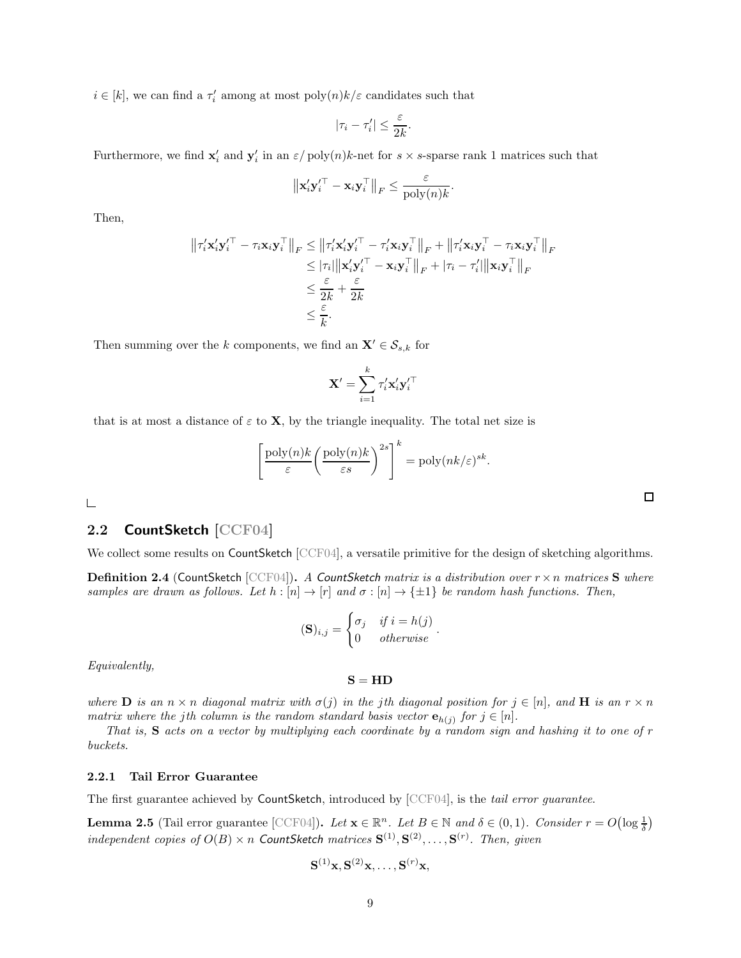$i \in [k]$ , we can find a  $\tau'_{i}$  among at most  $\text{poly}(n)k/\varepsilon$  candidates such that

$$
|\tau_i-\tau'_i|\leq \frac{\varepsilon}{2k}.
$$

Furthermore, we find  $\mathbf{x}'_i$  and  $\mathbf{y}'_i$  in an  $\varepsilon$  / poly $(n)k$ -net for  $s \times s$ -sparse rank 1 matrices such that

$$
\left\|{\mathbf{x}_i'\mathbf{y}_i'}^{\top} - \mathbf{x}_i\mathbf{y}_i^{\top}\right\|_F \leq \frac{\varepsilon}{\text{poly}(n)k}.
$$

Then,

$$
\begin{aligned}\n\left\|\tau_i'\mathbf{x}_i'\mathbf{y}_i'^\top - \tau_i\mathbf{x}_i\mathbf{y}_i^\top\right\|_F &\le \left\|\tau_i'\mathbf{x}_i'\mathbf{y}_i'^\top - \tau_i'\mathbf{x}_i\mathbf{y}_i^\top\right\|_F + \left\|\tau_i'\mathbf{x}_i\mathbf{y}_i^\top - \tau_i\mathbf{x}_i\mathbf{y}_i^\top\right\|_F \\
&\le |\tau_i|\|\mathbf{x}_i'\mathbf{y}_i'^\top - \mathbf{x}_i\mathbf{y}_i^\top\|_F + |\tau_i - \tau_i'||\|\mathbf{x}_i\mathbf{y}_i^\top\|_F \\
&\le \frac{\varepsilon}{2k} + \frac{\varepsilon}{2k} \\
&\le \frac{\varepsilon}{k}.\n\end{aligned}
$$

Then summing over the k components, we find an  $\mathbf{X}' \in \mathcal{S}_{s,k}$  for

$$
\mathbf{X}' = \sum_{i=1}^k \tau_i' \mathbf{x}_i' {\mathbf{y}_i'}^\top
$$

that is at most a distance of  $\varepsilon$  to **X**, by the triangle inequality. The total net size is

$$
\left[\frac{\text{poly}(n)k}{\varepsilon} \left(\frac{\text{poly}(n)k}{\varepsilon s}\right)^{2s}\right]^k = \text{poly}(nk/\varepsilon)^{sk}
$$

.

 $\mathrel{\sqsubseteq}$ 

# <span id="page-9-0"></span>2.2 CountSketch [CCF04]

We collect some results on CountSketch [CCF04], a versatile primitive for the design of sketching algorithms.

<span id="page-9-2"></span>Definition 2.4 (CountSketch [CCF04]). *<sup>A</sup>* CountSketch *matrix is a distribution over* <sup>r</sup>×<sup>n</sup> *matrices* <sup>S</sup> *where samples are drawn as follows. Let*  $h : [n] \to [r]$  *and*  $\sigma : [n] \to \{\pm 1\}$  *be random hash functions. Then,* 

$$
(\mathbf{S})_{i,j} = \begin{cases} \sigma_j & \text{if } i = h(j) \\ 0 & \text{otherwise} \end{cases}
$$

.

*Equivalently,*

 $S = HD$ 

*where*  $\mathbf{D}$  *is an*  $n \times n$  *diagonal matrix with*  $\sigma(j)$  *in the jth diagonal position for*  $j \in [n]$ *, and*  $\mathbf{H}$  *is an*  $r \times n$ *matrix where the jth column is the random standard basis vector*  $\mathbf{e}_{h(j)}$  for  $j \in [n]$ *.* 

*That is,* S *acts on a vector by multiplying each coordinate by a random sign and hashing it to one of* r *buckets.*

## <span id="page-9-3"></span>2.2.1 Tail Error Guarantee

The first guarantee achieved by CountSketch, introduced by [CCF04], is the *tail error guarantee*.

<span id="page-9-1"></span>**Lemma 2.5** (Tail error guarantee [CCF04]). *Let*  $\mathbf{x} \in \mathbb{R}^n$ . *Let*  $B \in \mathbb{N}$  and  $\delta \in (0,1)$ *. Consider*  $r = O(\log \frac{1}{\delta})$ *independent copies of*  $O(B) \times n$  *CountSketch matrices*  $S^{(1)}, S^{(2)}, \ldots, S^{(r)}$ *. Then, given* 

$$
\mathbf{S}^{(1)}\mathbf{x},\mathbf{S}^{(2)}\mathbf{x},\ldots,\mathbf{S}^{(r)}\mathbf{x},
$$

 $\Box$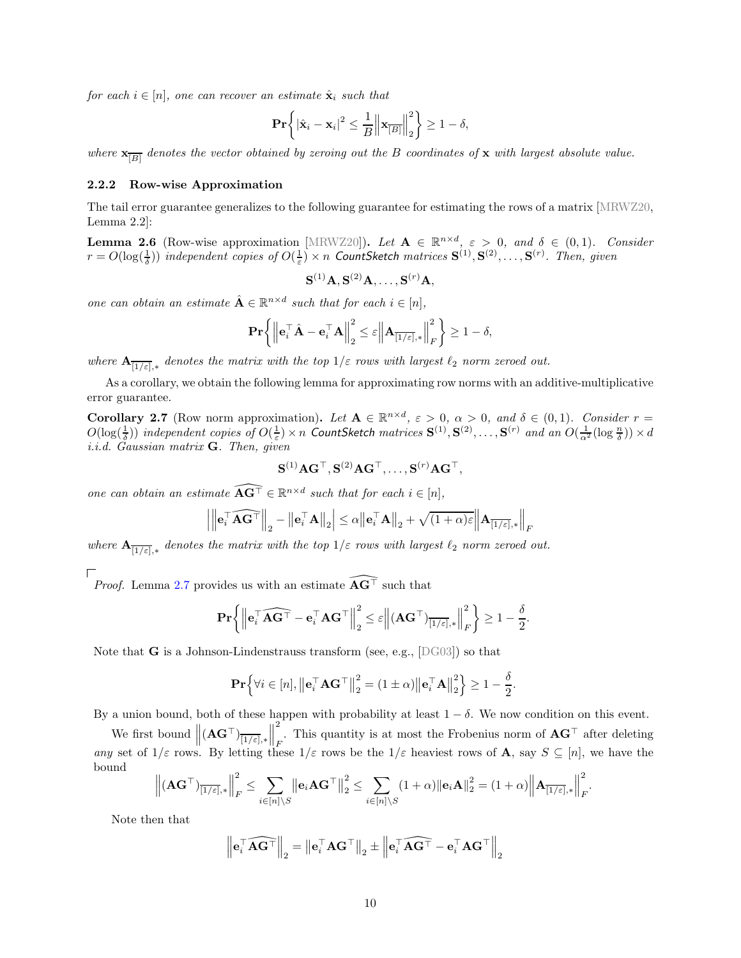*for each*  $i \in [n]$ *, one can recover an estimate*  $\hat{\mathbf{x}}_i$  *such that* 

$$
\mathbf{Pr}\bigg\{\left|\hat{\mathbf{x}}_i-\mathbf{x}_i\right|^2\leq\frac{1}{B}\bigg\|\mathbf{x}_{\overline{[B]}}\bigg\|_2^2\bigg\}\geq1-\delta,
$$

 $where \mathbf{x}_{\overline{[B]}}$  denotes the vector obtained by zeroing out the B coordinates of **x** with largest absolute value.

### <span id="page-10-2"></span>2.2.2 Row-wise Approximation

The tail error guarantee generalizes to the following guarantee for estimating the rows of a matrix [MRWZ20, Lemma 2.2]:

<span id="page-10-1"></span>**Lemma 2.6** (Row-wise approximation [MRWZ20]). Let  $\mathbf{A} \in \mathbb{R}^{n \times d}$ ,  $\varepsilon > 0$ , and  $\delta \in (0, 1)$ . Consider  $r = O(\log(\frac{1}{\delta}))$  independent copies of  $O(\frac{1}{\varepsilon}) \times n$  CountSketch matrices  $S^{(1)}, S^{(2)}, \ldots, S^{(r)}$ . Then, given

$$
\mathbf{S}^{(1)}\mathbf{A}, \mathbf{S}^{(2)}\mathbf{A}, \dots, \mathbf{S}^{(r)}\mathbf{A},
$$

*one can obtain an estimate*  $\hat{\mathbf{A}} \in \mathbb{R}^{n \times d}$  such that for each  $i \in [n]$ ,

$$
\mathbf{Pr}\bigg\{\Big\|\mathbf{e}_i^{\top}\hat{\mathbf{A}} - \mathbf{e}_i^{\top}\mathbf{A}\Big\|_2^2 \leq \varepsilon \Big\|\mathbf{A}_{\overline{[1/\varepsilon]},*}\Big\|_F^2\bigg\} \geq 1-\delta,
$$

 $where$   ${\bf A}_{\overline{[1/\varepsilon]},*}$  denotes the matrix with the top  $1/\varepsilon$  *rows with largest*  $\ell_2$  *norm zeroed out.* 

As a corollary, we obtain the following lemma for approximating row norms with an additive-multiplicative error guarantee.

<span id="page-10-0"></span>**Corollary 2.7** (Row norm approximation). Let  $A \in \mathbb{R}^{n \times d}$ ,  $\varepsilon > 0$ ,  $\alpha > 0$ , and  $\delta \in (0, 1)$ *. Consider*  $r =$  $O(\log(\frac{1}{\delta}))$  independent copies of  $O(\frac{1}{\varepsilon}) \times n$  CountSketch matrices  $S^{(1)}, S^{(2)}, \ldots, S^{(r)}$  and an  $O(\frac{1}{\alpha^2}(\log \frac{n}{\delta})) \times d$ *i.i.d. Gaussian matrix* G*. Then, given*

$$
\mathbf{S}^{(1)}\mathbf{A}\mathbf{G}^{\top}, \mathbf{S}^{(2)}\mathbf{A}\mathbf{G}^{\top}, \ldots, \mathbf{S}^{(r)}\mathbf{A}\mathbf{G}^{\top},
$$

*one can obtain an estimate*  $\widehat{\mathbf{A}\mathbf{G}^{\top}} \in \mathbb{R}^{n \times d}$  *such that for each*  $i \in [n]$ *,* 

$$
\left|\left\|\mathbf{e}_i^\top \widehat{\mathbf{A}\mathbf{G}^\top}\right\|_2 - \left\|\mathbf{e}_i^\top \mathbf{A}\right\|_2\right| \leq \alpha \left\|\mathbf{e}_i^\top \mathbf{A}\right\|_2 + \sqrt{(1+\alpha)\varepsilon} \left\|\mathbf{A}_{\overline{[1/\varepsilon]},*}\right\|_F
$$

*where*  $\mathbf{A}_{\overline{[1/\varepsilon]},*}$  *denotes the matrix with the top*  $1/\varepsilon$  *rows with largest*  $\ell_2$  *norm zeroed out.* 

*Proof.* Lemma [2.7](#page-10-0) provides us with an estimate  $\widehat{\mathbf{AG}^{\top}}$  such that

$$
\mathbf{Pr}\bigg\{\bigg\|\mathbf{e}_i^{\top} \widehat{\mathbf{A}\mathbf{G}^{\top}} - \mathbf{e}_i^{\top} \mathbf{A}\mathbf{G}^{\top}\bigg\|_2^2 \leq \varepsilon \bigg\|(\mathbf{A}\mathbf{G}^{\top})_{\overline{[1/\varepsilon]},*}\bigg\|_F^2\bigg\} \geq 1 - \frac{\delta}{2}.
$$

Note that  $G$  is a Johnson-Lindenstrauss transform (see, e.g., [DG03]) so that

$$
\mathbf{Pr}\Big\{\forall i \in [n], \left\|\mathbf{e}_i^{\top} \mathbf{A} \mathbf{G}^{\top}\right\|_2^2 = (1 \pm \alpha) \left\|\mathbf{e}_i^{\top} \mathbf{A}\right\|_2^2 \Big\} \ge 1 - \frac{\delta}{2}.
$$

By a union bound, both of these happen with probability at least  $1 - \delta$ . We now condition on this event.

We first bound  $\left\| (\mathbf{A}\mathbf{G}^{\top})_{\overline{[1/\varepsilon]} ,*} \right\|$  $\frac{1}{2}$ 2 F This quantity is at most the Frobenius norm of  $\mathbf{AG}^{\top}$  after deleting *any* set of  $1/\varepsilon$  rows. By letting these  $1/\varepsilon$  rows be the  $1/\varepsilon$  heaviest rows of **A**, say  $S \subseteq [n]$ , we have the bound

$$
\left\| \left( \mathbf{A} \mathbf{G}^{\top} \right)_{\overline{[1/\varepsilon]},*} \right\|_{F}^{2} \leq \sum_{i \in [n] \setminus S} \left\| \mathbf{e}_{i} \mathbf{A} \mathbf{G}^{\top} \right\|_{2}^{2} \leq \sum_{i \in [n] \setminus S} (1+\alpha) \left\| \mathbf{e}_{i} \mathbf{A} \right\|_{2}^{2} = (1+\alpha) \left\| \mathbf{A}_{\overline{[1/\varepsilon]},*} \right\|_{F}^{2}.
$$

Note then that

$$
\left\| \mathbf{e}_i^\top \widehat{\mathbf{A} \mathbf{G}^\top} \right\|_2 = \left\| \mathbf{e}_i^\top \mathbf{A} \mathbf{G}^\top \right\|_2 \pm \left\| \mathbf{e}_i^\top \widehat{\mathbf{A} \mathbf{G}^\top} - \mathbf{e}_i^\top \mathbf{A} \mathbf{G}^\top \right\|_2
$$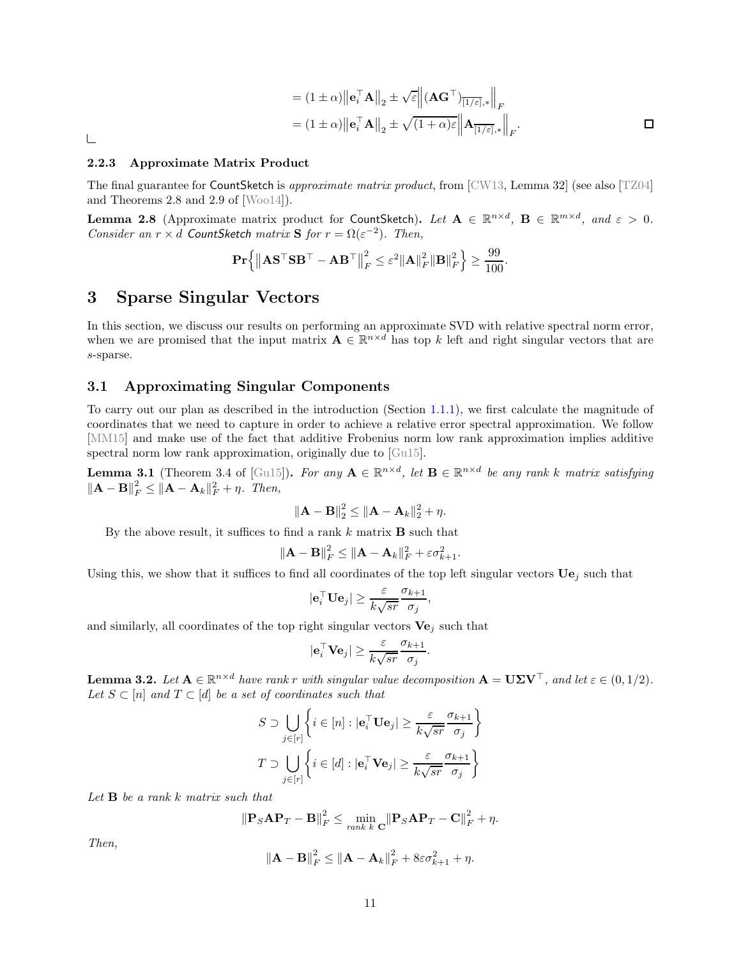$$
= (1 \pm \alpha) \|\mathbf{e}_i^{\top} \mathbf{A}\|_2 \pm \sqrt{\varepsilon} \left\| (\mathbf{A} \mathbf{G}^{\top})_{\overline{[1/\varepsilon]},*} \right\|_F
$$
  

$$
= (1 \pm \alpha) \|\mathbf{e}_i^{\top} \mathbf{A}\|_2 \pm \sqrt{(1+\alpha)\varepsilon} \left\| \mathbf{A}_{\overline{[1/\varepsilon]},*} \right\|_F.
$$

.

 $\Box$ 

### <span id="page-11-4"></span>2.2.3 Approximate Matrix Product

The final guarantee for CountSketch is *approximate matrix product*, from [CW13, Lemma 32] (see also [TZ04] and Theorems 2.8 and 2.9 of [Woo14]).

<span id="page-11-3"></span>**Lemma 2.8** (Approximate matrix product for CountSketch). Let  $\mathbf{A} \in \mathbb{R}^{n \times d}$ ,  $\mathbf{B} \in \mathbb{R}^{m \times d}$ , and  $\varepsilon > 0$ . *Consider an*  $r \times d$  *CountSketch matrix* **S** *for*  $r = \Omega(\varepsilon^{-2})$ *. Then,* 

$$
\mathbf{Pr}\Big\{\big\|\mathbf{A}\mathbf{S}^\top\mathbf{S}\mathbf{B}^\top-\mathbf{A}\mathbf{B}^\top\big\|_F^2\leq\varepsilon^2\|\mathbf{A}\|_F^2\|\mathbf{B}\|_F^2\Big\}\geq\frac{99}{100}
$$

# <span id="page-11-0"></span>3 Sparse Singular Vectors

In this section, we discuss our results on performing an approximate SVD with relative spectral norm error, when we are promised that the input matrix  $\mathbf{A} \in \mathbb{R}^{n \times d}$  has top k left and right singular vectors that are s-sparse.

# <span id="page-11-5"></span>3.1 Approximating Singular Components

To carry out our plan as described in the introduction (Section [1.1.1\)](#page-2-1), we first calculate the magnitude of coordinates that we need to capture in order to achieve a relative error spectral approximation. We follow [MM15] and make use of the fact that additive Frobenius norm low rank approximation implies additive spectral norm low rank approximation, originally due to [Gu15].

<span id="page-11-2"></span>**Lemma 3.1** (Theorem 3.4 of [Gu15]). For any  $A \in \mathbb{R}^{n \times d}$ , let  $B \in \mathbb{R}^{n \times d}$  be any rank k matrix satisfying  $||\mathbf{A} - \mathbf{B}||_F^2 \le ||\mathbf{A} - \mathbf{A}_k||_F^2 + \eta$ . Then,

$$
\|\mathbf{A}-\mathbf{B}\|_2^2 \leq \|\mathbf{A}-\mathbf{A}_k\|_2^2 + \eta.
$$

By the above result, it suffices to find a rank  $k$  matrix  $B$  such that

$$
\|\mathbf{A} - \mathbf{B}\|_F^2 \le \|\mathbf{A} - \mathbf{A}_k\|_F^2 + \varepsilon \sigma_{k+1}^2.
$$

Using this, we show that it suffices to find all coordinates of the top left singular vectors  $Ue_i$  such that

$$
|\mathbf{e}_i^{\top} \mathbf{U} \mathbf{e}_j| \geq \frac{\varepsilon}{k\sqrt{sr}} \frac{\sigma_{k+1}}{\sigma_j},
$$

and similarly, all coordinates of the top right singular vectors  $Ve_i$  such that

$$
|\mathbf{e}_i^{\top} \mathbf{V} \mathbf{e}_j| \ge \frac{\varepsilon}{k\sqrt{sr}} \frac{\sigma_{k+1}}{\sigma_j}.
$$

<span id="page-11-1"></span>**Lemma 3.2.** Let  $A \in \mathbb{R}^{n \times d}$  have rank r with singular value decomposition  $A = U\Sigma V^{\top}$ , and let  $\varepsilon \in (0, 1/2)$ . *Let*  $S \subset [n]$  *and*  $T \subset [d]$  *be a set of coordinates such that* 

$$
S \supset \bigcup_{j \in [r]} \left\{ i \in [n] : |\mathbf{e}_i^\top \mathbf{U} \mathbf{e}_j| \ge \frac{\varepsilon}{k\sqrt{sr}} \frac{\sigma_{k+1}}{\sigma_j} \right\}
$$

$$
T \supset \bigcup_{j \in [r]} \left\{ i \in [d] : |\mathbf{e}_i^\top \mathbf{V} \mathbf{e}_j| \ge \frac{\varepsilon}{k\sqrt{sr}} \frac{\sigma_{k+1}}{\sigma_j} \right\}
$$

*Let* B *be a rank* k *matrix such that*

$$
\|\mathbf{P}_S\mathbf{A}\mathbf{P}_T-\mathbf{B}\|_F^2 \leq \min_{rank\ k} \mathbf{C} \|\mathbf{P}_S\mathbf{A}\mathbf{P}_T-\mathbf{C}\|_F^2 + \eta.
$$

*Then,*

$$
\|\mathbf{A}-\mathbf{B}\|_F^2 \leq \|\mathbf{A}-\mathbf{A}_k\|_F^2 + 8\varepsilon\sigma_{k+1}^2 + \eta.
$$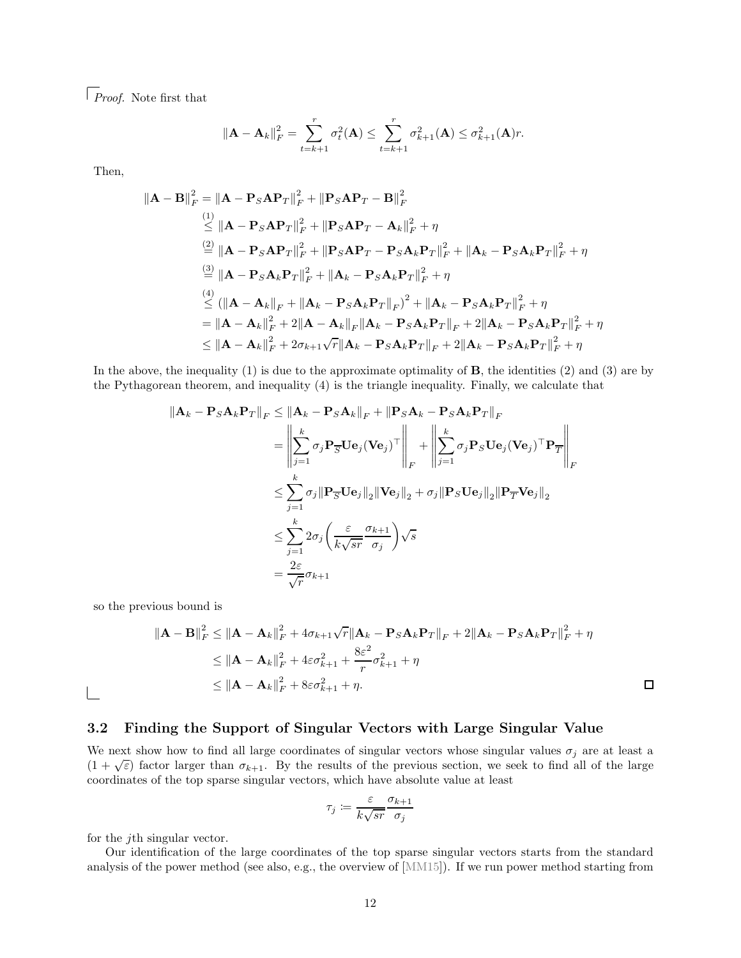*Proof.* Note first that

$$
\left\|\mathbf{A}-\mathbf{A}_k\right\|_F^2 = \sum_{t=k+1}^r \sigma_t^2(\mathbf{A}) \le \sum_{t=k+1}^r \sigma_{k+1}^2(\mathbf{A}) \le \sigma_{k+1}^2(\mathbf{A})r.
$$

Then,

$$
\begin{aligned}\n\|\mathbf{A} - \mathbf{B}\|_{F}^{2} &= \|\mathbf{A} - \mathbf{P}_{S}\mathbf{A}\mathbf{P}_{T}\|_{F}^{2} + \|\mathbf{P}_{S}\mathbf{A}\mathbf{P}_{T} - \mathbf{B}\|_{F}^{2} \\
&\stackrel{(1)}{\leq} \|\mathbf{A} - \mathbf{P}_{S}\mathbf{A}\mathbf{P}_{T}\|_{F}^{2} + \|\mathbf{P}_{S}\mathbf{A}\mathbf{P}_{T} - \mathbf{A}_{k}\|_{F}^{2} + \eta \\
&\stackrel{(2)}{=} \|\mathbf{A} - \mathbf{P}_{S}\mathbf{A}\mathbf{P}_{T}\|_{F}^{2} + \|\mathbf{P}_{S}\mathbf{A}\mathbf{P}_{T} - \mathbf{P}_{S}\mathbf{A}_{k}\mathbf{P}_{T}\|_{F}^{2} + \|\mathbf{A}_{k} - \mathbf{P}_{S}\mathbf{A}_{k}\mathbf{P}_{T}\|_{F}^{2} + \eta \\
&\stackrel{(3)}{=} \|\mathbf{A} - \mathbf{P}_{S}\mathbf{A}_{k}\mathbf{P}_{T}\|_{F}^{2} + \|\mathbf{A}_{k} - \mathbf{P}_{S}\mathbf{A}_{k}\mathbf{P}_{T}\|_{F}^{2} + \eta \\
&\stackrel{(4)}{\leq} (\|\mathbf{A} - \mathbf{A}_{k}\|_{F} + \|\mathbf{A}_{k} - \mathbf{P}_{S}\mathbf{A}_{k}\mathbf{P}_{T}\|_{F})^{2} + \|\mathbf{A}_{k} - \mathbf{P}_{S}\mathbf{A}_{k}\mathbf{P}_{T}\|_{F}^{2} + \eta \\
&\stackrel{(4)}{=} \|\mathbf{A} - \mathbf{A}_{k}\|_{F}^{2} + 2\|\mathbf{A} - \mathbf{A}_{k}\|_{F}\|\mathbf{A}_{k} - \mathbf{P}_{S}\mathbf{A}_{k}\mathbf{P}_{T}\|_{F} + 2\|\mathbf{A}_{k} - \mathbf{P}_{S}\mathbf{A}_{k}\mathbf{P}_{T}\|_{F}^{2} + \eta \\
&\leq \|\mathbf{A} - \mathbf{A}_{k}\|_{F}^{2} + 2\sigma_{k+1}\sqrt{r}\|\mathbf{A}_{k} - \mathbf{P}_{S}\mathbf{A}_{k}\mathbf{P}_{T}\|_{F} + 2\|\mathbf{A}_{k}
$$

In the above, the inequality  $(1)$  is due to the approximate optimality of **B**, the identities  $(2)$  and  $(3)$  are by the Pythagorean theorem, and inequality (4) is the triangle inequality. Finally, we calculate that

$$
\|\mathbf{A}_{k} - \mathbf{P}_{S} \mathbf{A}_{k} \mathbf{P}_{T}\|_{F} \leq \|\mathbf{A}_{k} - \mathbf{P}_{S} \mathbf{A}_{k}\|_{F} + \|\mathbf{P}_{S} \mathbf{A}_{k} - \mathbf{P}_{S} \mathbf{A}_{k} \mathbf{P}_{T}\|_{F}
$$
\n
$$
= \left\|\sum_{j=1}^{k} \sigma_{j} \mathbf{P}_{\overline{S}} \mathbf{U} \mathbf{e}_{j} (\mathbf{V} \mathbf{e}_{j})^{\top}\right\|_{F} + \left\|\sum_{j=1}^{k} \sigma_{j} \mathbf{P}_{S} \mathbf{U} \mathbf{e}_{j} (\mathbf{V} \mathbf{e}_{j})^{\top} \mathbf{P}_{T}\right\|_{F}
$$
\n
$$
\leq \sum_{j=1}^{k} \sigma_{j} \|\mathbf{P}_{\overline{S}} \mathbf{U} \mathbf{e}_{j}\|_{2} \|\mathbf{V} \mathbf{e}_{j}\|_{2} + \sigma_{j} \|\mathbf{P}_{S} \mathbf{U} \mathbf{e}_{j}\|_{2} \|\mathbf{P}_{T} \mathbf{V} \mathbf{e}_{j}\|_{2}
$$
\n
$$
\leq \sum_{j=1}^{k} 2\sigma_{j} \left(\frac{\varepsilon}{k\sqrt{sr}} \frac{\sigma_{k+1}}{\sigma_{j}}\right) \sqrt{s}
$$
\n
$$
= \frac{2\varepsilon}{\sqrt{r}} \sigma_{k+1}
$$

so the previous bound is

$$
\|\mathbf{A} - \mathbf{B}\|_F^2 \le \|\mathbf{A} - \mathbf{A}_k\|_F^2 + 4\sigma_{k+1}\sqrt{r}\|\mathbf{A}_k - \mathbf{P}_S\mathbf{A}_k\mathbf{P}_T\|_F + 2\|\mathbf{A}_k - \mathbf{P}_S\mathbf{A}_k\mathbf{P}_T\|_F^2 + \eta
$$
  
\n
$$
\le \|\mathbf{A} - \mathbf{A}_k\|_F^2 + 4\varepsilon\sigma_{k+1}^2 + \frac{8\varepsilon^2}{r}\sigma_{k+1}^2 + \eta
$$
  
\n
$$
\le \|\mathbf{A} - \mathbf{A}_k\|_F^2 + 8\varepsilon\sigma_{k+1}^2 + \eta.
$$

 $\Box$ 

 $\Box$ 

# <span id="page-12-0"></span>3.2 Finding the Support of Singular Vectors with Large Singular Value

We next show how to find all large coordinates of singular vectors whose singular values  $\sigma_j$  are at least a  $(1 + \sqrt{\varepsilon})$  factor larger than  $\sigma_{k+1}$ . By the results of the previous section, we seek to find all of the large coordinates of the top sparse singular vectors, which have absolute value at least

$$
\tau_j \coloneqq \frac{\varepsilon}{k\sqrt{sr}} \frac{\sigma_{k+1}}{\sigma_j}
$$

for the jth singular vector.

Our identification of the large coordinates of the top sparse singular vectors starts from the standard analysis of the power method (see also, e.g., the overview of [MM15]). If we run power method starting from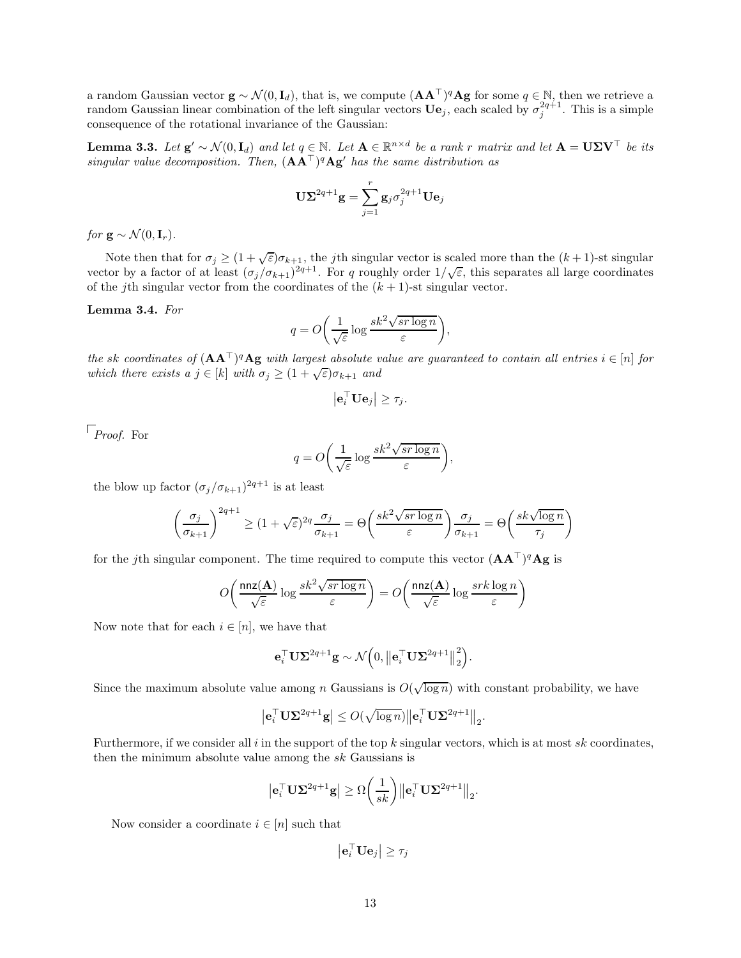a random Gaussian vector  $\mathbf{g} \sim \mathcal{N}(0, \mathbf{I}_d)$ , that is, we compute  $(\mathbf{A} \mathbf{A}^{\top})^q \mathbf{A} \mathbf{g}$  for some  $q \in \mathbb{N}$ , then we retrieve a random Gaussian linear combination of the left singular vectors  $\mathbf{U}\mathbf{e}_j$ , each scaled by  $\sigma_j^{2q+1}$ . This is a simple consequence of the rotational invariance of the Gaussian:

**Lemma 3.3.** Let  $\mathbf{g}' \sim \mathcal{N}(0, \mathbf{I}_d)$  and let  $q \in \mathbb{N}$ . Let  $\mathbf{A} \in \mathbb{R}^{n \times d}$  be a rank r matrix and let  $\mathbf{A} = \mathbf{U} \mathbf{\Sigma} \mathbf{V}^\top$  be its *singular value decomposition. Then,* (AA⊤) <sup>q</sup>Ag′ *has the same distribution as*

$$
\mathbf{U}\mathbf{\Sigma}^{2q+1}\mathbf{g} = \sum_{j=1}^{r} \mathbf{g}_{j} \sigma_{j}^{2q+1} \mathbf{U}\mathbf{e}_{j}
$$

*for*  $\mathbf{g} \sim \mathcal{N}(0, \mathbf{I}_r)$ .

Note then that for  $\sigma_j \geq (1+\sqrt{\varepsilon})\sigma_{k+1}$ , the *j*th singular vector is scaled more than the  $(k+1)$ -st singular vector by a factor of at least  $(\sigma_j/\sigma_{k+1})^{2q+1}$ . For q roughly order  $1/\sqrt{\varepsilon}$ , this separates all large coordinates of the *j*th singular vector from the coordinates of the  $(k + 1)$ -st singular vector.

### Lemma 3.4. *For*

$$
q = O\bigg(\frac{1}{\sqrt{\varepsilon}}\log\frac{sk^2\sqrt{sr\log n}}{\varepsilon}\bigg),\,
$$

*the* sk coordinates of  $(AA^T)^qAg$  with largest absolute value are guaranteed to contain all entries  $i \in [n]$  for *which there exists a*  $j \in [k]$  *with*  $\sigma_j \geq (1 + \sqrt{\varepsilon})\sigma_{k+1}$  *and* 

$$
\left|\mathbf{e}_i^{\top} \mathbf{U} \mathbf{e}_j\right| \geq \tau_j.
$$

*Proof.* For

$$
q = O\bigg(\frac{1}{\sqrt{\varepsilon}}\log\frac{sk^2\sqrt{sr\log n}}{\varepsilon}\bigg),
$$

the blow up factor  $(\sigma_j/\sigma_{k+1})^{2q+1}$  is at least

$$
\left(\frac{\sigma_j}{\sigma_{k+1}}\right)^{2q+1} \ge (1+\sqrt{\varepsilon})^{2q} \frac{\sigma_j}{\sigma_{k+1}} = \Theta\left(\frac{sk^2 \sqrt{sr \log n}}{\varepsilon}\right) \frac{\sigma_j}{\sigma_{k+1}} = \Theta\left(\frac{sk \sqrt{\log n}}{\tau_j}\right)
$$

for the jth singular component. The time required to compute this vector  $(AA^{\top})^q A g$  is

$$
O\bigg(\frac{\mathtt{nnz}({\mathbf A})}{\sqrt{\varepsilon}}\log\frac{sk^2\sqrt{sr\log n}}{\varepsilon}\bigg)=O\bigg(\frac{\mathtt{nnz}({\mathbf A})}{\sqrt{\varepsilon}}\log\frac{srk\log n}{\varepsilon}\bigg)
$$

Now note that for each  $i \in [n]$ , we have that

$$
\mathbf{e}_i^\top \mathbf{U}\mathbf{\Sigma}^{2q+1}\mathbf{g} \sim \mathcal{N}\Big(0,\big\Vert\mathbf{e}_i^\top \mathbf{U}\mathbf{\Sigma}^{2q+1}\big\Vert_2^2\Big).
$$

Since the maximum absolute value among n Gaussians is  $O(\sqrt{\log n})$  with constant probability, we have

$$
\left|\mathbf{e}_i^\top \mathbf{U} \boldsymbol{\Sigma}^{2q+1} \mathbf{g}\right| \leq O(\sqrt{\log n}) \left\|\mathbf{e}_i^\top \mathbf{U} \boldsymbol{\Sigma}^{2q+1}\right\|_2.
$$

Furthermore, if we consider all i in the support of the top  $k$  singular vectors, which is at most  $sk$  coordinates, then the minimum absolute value among the  $sk$  Gaussians is

$$
\big|\mathbf{e}_i^\top \mathbf{U}\mathbf{\Sigma}^{2q+1}\mathbf{g}\big| \geq \Omega\bigg(\frac{1}{sk}\bigg) \big\|\mathbf{e}_i^\top \mathbf{U}\mathbf{\Sigma}^{2q+1}\big\|_2.
$$

Now consider a coordinate  $i \in [n]$  such that

 $\left|\mathbf{e}_i^\top \mathbf{U} \mathbf{e}_j \right| \geq \tau_j$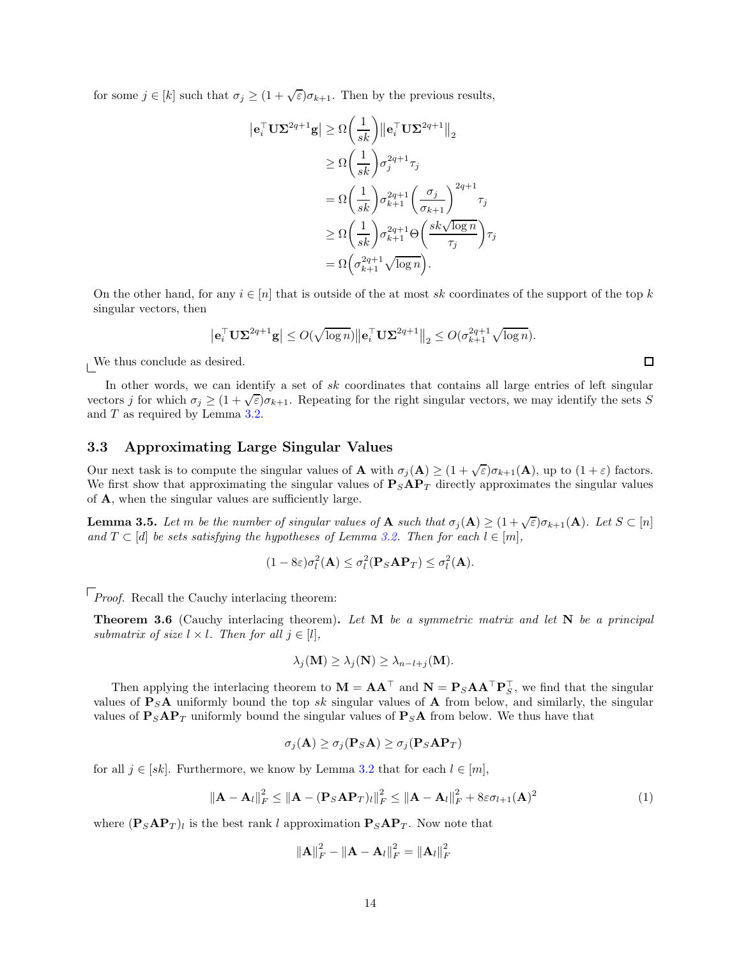for some  $j \in [k]$  such that  $\sigma_j \geq (1 + \sqrt{\varepsilon})\sigma_{k+1}$ . Then by the previous results,

$$
\begin{aligned} \left| \mathbf{e}_i^{\top} \mathbf{U} \mathbf{\Sigma}^{2q+1} \mathbf{g} \right| &\geq \Omega \bigg( \frac{1}{sk} \bigg) \left\| \mathbf{e}_i^{\top} \mathbf{U} \mathbf{\Sigma}^{2q+1} \right\|_2 \\ &\geq \Omega \bigg( \frac{1}{sk} \bigg) \sigma_j^{2q+1} \tau_j \\ &= \Omega \bigg( \frac{1}{sk} \bigg) \sigma_{k+1}^{2q+1} \bigg( \frac{\sigma_j}{\sigma_{k+1}} \bigg)^{2q+1} \tau_j \\ &\geq \Omega \bigg( \frac{1}{sk} \bigg) \sigma_{k+1}^{2q+1} \Theta \bigg( \frac{sk \sqrt{\log n}}{\tau_j} \bigg) \tau_j \\ &= \Omega \bigg( \sigma_{k+1}^{2q+1} \sqrt{\log n} \bigg). \end{aligned}
$$

On the other hand, for any  $i \in [n]$  that is outside of the at most sk coordinates of the support of the top k singular vectors, then

$$
\left|\mathbf{e}_i^\top \mathbf{U}\boldsymbol{\Sigma}^{2q+1}\mathbf{g}\right| \leq O(\sqrt{\log n})\left\|\mathbf{e}_i^\top \mathbf{U}\boldsymbol{\Sigma}^{2q+1}\right\|_2 \leq O(\sigma_{k+1}^{2q+1}\sqrt{\log n}).
$$

 $\Box$ 

We thus conclude as desired.

In other words, we can identify a set of  $sk$  coordinates that contains all large entries of left singular vectors j for which  $\sigma_j \geq (1+\sqrt{\varepsilon})\sigma_{k+1}$ . Repeating for the right singular vectors, we may identify the sets S and T as required by Lemma [3.2.](#page-11-1)

# 3.3 Approximating Large Singular Values

Our next task is to compute the singular values of **A** with  $\sigma_j(\mathbf{A}) \geq (1 + \sqrt{\varepsilon})\sigma_{k+1}(\mathbf{A})$ , up to  $(1 + \varepsilon)$  factors. We first show that approximating the singular values of  $P_{S}AP_{T}$  directly approximates the singular values of A, when the singular values are sufficiently large.

<span id="page-14-1"></span>**Lemma 3.5.** Let m be the number of singular values of **A** such that  $\sigma_j(\mathbf{A}) \geq (1 + \sqrt{\varepsilon})\sigma_{k+1}(\mathbf{A})$ . Let  $S \subset [n]$ *and*  $T \subset [d]$  *be sets satisfying the hypotheses of Lemma [3.2.](#page-11-1) Then for each*  $l \in [m]$ *,* 

$$
(1 - 8\varepsilon)\sigma_l^2(\mathbf{A}) \leq \sigma_l^2(\mathbf{P}_S \mathbf{A} \mathbf{P}_T) \leq \sigma_l^2(\mathbf{A}).
$$

*Proof.* Recall the Cauchy interlacing theorem:

Theorem 3.6 (Cauchy interlacing theorem). *Let* M *be a symmetric matrix and let* N *be a principal submatrix of size*  $l \times l$ *. Then for all*  $j \in [l]$ *,* 

$$
\lambda_j(\mathbf{M}) \geq \lambda_j(\mathbf{N}) \geq \lambda_{n-l+j}(\mathbf{M}).
$$

Then applying the interlacing theorem to  $M = AA^{\dagger}$  and  $N = P_SAA^{\dagger}P_S^{\dagger}$ , we find that the singular values of  $P_S A$  uniformly bound the top sk singular values of A from below, and similarly, the singular values of  $P_{S}AP_{T}$  uniformly bound the singular values of  $P_{S}A$  from below. We thus have that

$$
\sigma_j(\mathbf{A}) \ge \sigma_j(\mathbf{P}_S \mathbf{A}) \ge \sigma_j(\mathbf{P}_S \mathbf{A} \mathbf{P}_T)
$$

for all  $j \in [sk]$ . Furthermore, we know by Lemma [3.2](#page-11-1) that for each  $l \in [m]$ ,

<span id="page-14-0"></span>
$$
\|\mathbf{A} - \mathbf{A}_l\|_F^2 \le \|\mathbf{A} - (\mathbf{P}_S \mathbf{A} \mathbf{P}_T)_l\|_F^2 \le \|\mathbf{A} - \mathbf{A}_l\|_F^2 + 8\varepsilon \sigma_{l+1}(\mathbf{A})^2
$$
\n(1)

where  $(\mathbf{P}_S \mathbf{A} \mathbf{P}_T)_l$  is the best rank l approximation  $\mathbf{P}_S \mathbf{A} \mathbf{P}_T$ . Now note that

$$
\|\mathbf{A}\|_F^2 - \|\mathbf{A} - \mathbf{A}_l\|_F^2 = \|\mathbf{A}_l\|_F^2
$$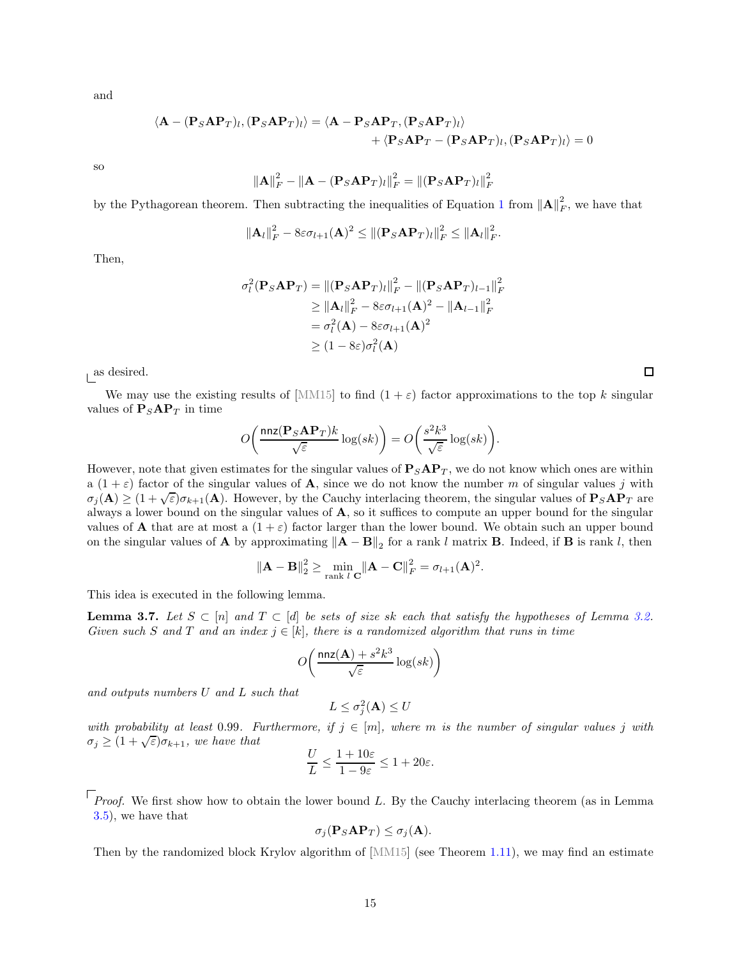and

$$
\langle \mathbf{A} - (\mathbf{P}_S \mathbf{A} \mathbf{P}_T)_l, (\mathbf{P}_S \mathbf{A} \mathbf{P}_T)_l \rangle = \langle \mathbf{A} - \mathbf{P}_S \mathbf{A} \mathbf{P}_T, (\mathbf{P}_S \mathbf{A} \mathbf{P}_T)_l \rangle + \langle \mathbf{P}_S \mathbf{A} \mathbf{P}_T - (\mathbf{P}_S \mathbf{A} \mathbf{P}_T)_l, (\mathbf{P}_S \mathbf{A} \mathbf{P}_T)_l \rangle = 0
$$

so

$$
\|\mathbf{A}\|_F^2 - \|\mathbf{A} - (\mathbf{P}_S \mathbf{A} \mathbf{P}_T)_l\|_F^2 = \|(\mathbf{P}_S \mathbf{A} \mathbf{P}_T)_l\|_F^2
$$

by the Pythagorean theorem. Then subtracting the inequalities of Equation [1](#page-14-0) from  $||\mathbf{A}||_F^2$  $\frac{2}{F}$ , we have that

$$
\left\|\mathbf{A}_{l}\right\|_{F}^{2}-8\varepsilon\sigma_{l+1}(\mathbf{A})^{2}\leq\left\|(\mathbf{P}_{S}\mathbf{A}\mathbf{P}_{T})_{l}\right\|_{F}^{2}\leq\left\|\mathbf{A}_{l}\right\|_{F}^{2}.
$$

Then,

$$
\sigma_l^2(\mathbf{P}_S \mathbf{A} \mathbf{P}_T) = ||(\mathbf{P}_S \mathbf{A} \mathbf{P}_T)_l||_F^2 - ||(\mathbf{P}_S \mathbf{A} \mathbf{P}_T)_{l-1}||_F^2
$$
  
\n
$$
\ge ||\mathbf{A}_l||_F^2 - 8\varepsilon \sigma_{l+1}(\mathbf{A})^2 - ||\mathbf{A}_{l-1}||_F^2
$$
  
\n
$$
= \sigma_l^2(\mathbf{A}) - 8\varepsilon \sigma_{l+1}(\mathbf{A})^2
$$
  
\n
$$
\ge (1 - 8\varepsilon)\sigma_l^2(\mathbf{A})
$$

as desired.

We may use the existing results of [MM15] to find  $(1 + \varepsilon)$  factor approximations to the top k singular values of  $P_SAP_T$  in time

$$
O\bigg(\frac{\mathtt{nnz}(\mathbf{P}_S\mathbf{A}\mathbf{P}_T)k}{\sqrt{\varepsilon}}\log(sk)\bigg)=O\bigg(\frac{s^2k^3}{\sqrt{\varepsilon}}\log(sk)\bigg).
$$

However, note that given estimates for the singular values of  $P_SAP_T$ , we do not know which ones are within a  $(1 + \varepsilon)$  factor of the singular values of **A**, since we do not know the number m of singular values j with  $\sigma_j(A) \geq (1+\sqrt{\varepsilon})\sigma_{k+1}(A)$ . However, by the Cauchy interlacing theorem, the singular values of  $P_SAP_T$  are always a lower bound on the singular values of A, so it suffices to compute an upper bound for the singular values of **A** that are at most a  $(1 + \varepsilon)$  factor larger than the lower bound. We obtain such an upper bound on the singular values of **A** by approximating  $||\mathbf{A} - \mathbf{B}||_2$  for a rank l matrix **B**. Indeed, if **B** is rank l, then

$$
\|\mathbf{A} - \mathbf{B}\|_2^2 \ge \min_{\text{rank } l} \|\mathbf{A} - \mathbf{C}\|_F^2 = \sigma_{l+1}(\mathbf{A})^2.
$$

This idea is executed in the following lemma.

<span id="page-15-0"></span>**Lemma 3.7.** Let  $S \subset [n]$  and  $T \subset [d]$  be sets of size sk each that satisfy the hypotheses of Lemma [3.2.](#page-11-1) *Given such* S and T and an index  $j \in [k]$ , there is a randomized algorithm that runs in time

$$
O\!\left(\frac{\textsf{nnz}({\bf A})+s^2k^3}{\sqrt{\varepsilon}}\log(sk)\right)
$$

*and outputs numbers* U *and* L *such that*

$$
L \leq \sigma_j^2(\mathbf{A}) \leq U
$$

*with probability at least* 0.99*. Furthermore, if*  $j \in [m]$ *, where* m *is the number of singular values*  $j$  *with*  $\sigma_j \geq (1+\sqrt{\varepsilon})\sigma_{k+1}$ , we have that

$$
\frac{U}{L} \le \frac{1+10\varepsilon}{1-9\varepsilon} \le 1+20\varepsilon.
$$

 $\lceil$  *Proof.* We first show how to obtain the lower bound L. By the Cauchy interlacing theorem (as in Lemma [3.5\)](#page-14-1), we have that

$$
\sigma_j(\mathbf{P}_S \mathbf{A} \mathbf{P}_T) \le \sigma_j(\mathbf{A}).
$$

Then by the randomized block Krylov algorithm of  $[MM15]$  (see Theorem [1.11\)](#page-8-0), we may find an estimate

 $\Box$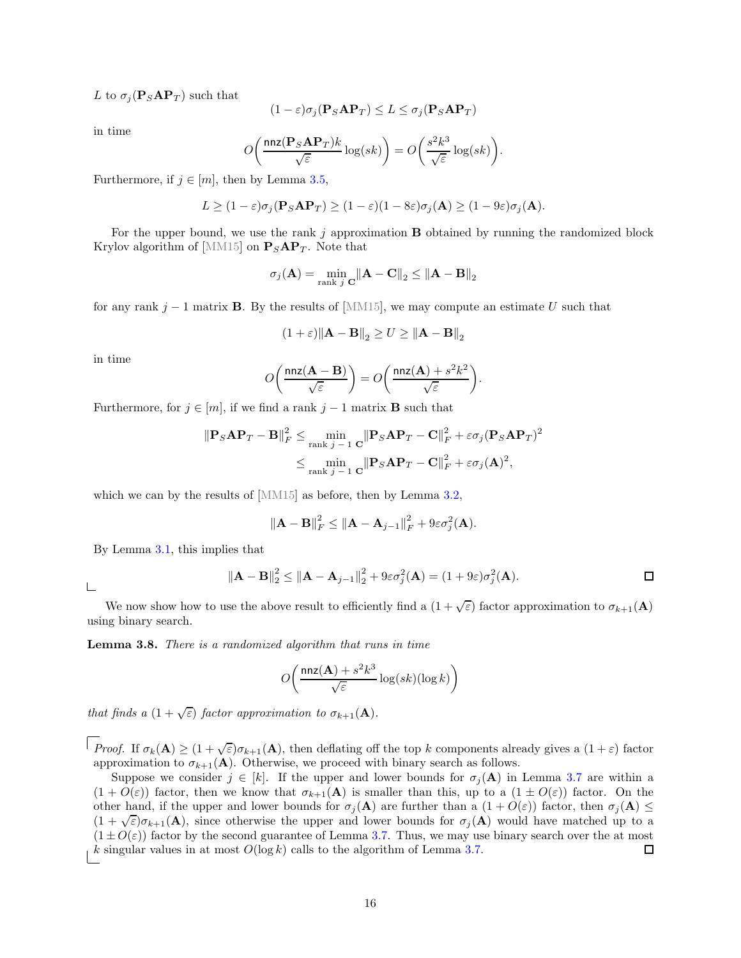L to  $\sigma_i(\mathbf{P}_S \mathbf{A} \mathbf{P}_T)$  such that

$$
(1 - \varepsilon)\sigma_j(\mathbf{P}_S \mathbf{A} \mathbf{P}_T) \le L \le \sigma_j(\mathbf{P}_S \mathbf{A} \mathbf{P}_T)
$$

in time

$$
O\bigg(\frac{\mathtt{nnz}(\mathbf{P}_S\mathbf{A}\mathbf{P}_T)k}{\sqrt{\varepsilon}}\log(sk)\bigg)=O\bigg(\frac{s^2k^3}{\sqrt{\varepsilon}}\log(sk)\bigg).
$$

Furthermore, if  $j \in [m]$ , then by Lemma [3.5,](#page-14-1)

$$
L \ge (1 - \varepsilon)\sigma_j(\mathbf{P}_S \mathbf{A} \mathbf{P}_T) \ge (1 - \varepsilon)(1 - 8\varepsilon)\sigma_j(\mathbf{A}) \ge (1 - 9\varepsilon)\sigma_j(\mathbf{A}).
$$

For the upper bound, we use the rank  $j$  approximation **B** obtained by running the randomized block Krylov algorithm of [MM15] on  $P_SAP_T$ . Note that

$$
\sigma_j(\mathbf{A}) = \min_{\text{rank } j} \|\mathbf{A} - \mathbf{C}\|_2 \le \|\mathbf{A} - \mathbf{B}\|_2
$$

for any rank j – 1 matrix **B**. By the results of [MM15], we may compute an estimate U such that

$$
(1+\varepsilon)\|\mathbf{A}-\mathbf{B}\|_2 \ge U \ge \|\mathbf{A}-\mathbf{B}\|_2
$$

in time

$$
O\bigg(\frac{\mathtt{nnz}(\mathbf{A}-\mathbf{B})}{\sqrt{\varepsilon}}\bigg) = O\bigg(\frac{\mathtt{nnz}(\mathbf{A}) + s^2k^2}{\sqrt{\varepsilon}}\bigg).
$$

Furthermore, for  $j \in [m]$ , if we find a rank  $j - 1$  matrix **B** such that

$$
\|\mathbf{P}_{S}\mathbf{A}\mathbf{P}_{T}-\mathbf{B}\|_{F}^{2} \leq \min_{\text{rank } j-1} \frac{\|\mathbf{P}_{S}\mathbf{A}\mathbf{P}_{T}-\mathbf{C}\|_{F}^{2} + \varepsilon \sigma_{j}(\mathbf{P}_{S}\mathbf{A}\mathbf{P}_{T})^{2}}{\sinh \min_{j-1} \frac{\|\mathbf{P}_{S}\mathbf{A}\mathbf{P}_{T}-\mathbf{C}\|_{F}^{2} + \varepsilon \sigma_{j}(\mathbf{A})^{2}}{\sinh \min_{j-1} \frac{\|\mathbf{P}_{S}\mathbf{A}\mathbf{P}_{T}-\mathbf{C}\|_{F}^{2} + \varepsilon \sigma_{j}(\mathbf{A})^{2}}{(\mathbf{A})^{2}}}
$$

which we can by the results of [MM15] as before, then by Lemma [3.2,](#page-11-1)

$$
\|\mathbf{A} - \mathbf{B}\|_F^2 \le \|\mathbf{A} - \mathbf{A}_{j-1}\|_F^2 + 9\varepsilon\sigma_j^2(\mathbf{A}).
$$

By Lemma [3.1,](#page-11-2) this implies that

 $\Box$ 

$$
\|\mathbf{A} - \mathbf{B}\|_2^2 \le \|\mathbf{A} - \mathbf{A}_{j-1}\|_2^2 + 9\varepsilon\sigma_j^2(\mathbf{A}) = (1 + 9\varepsilon)\sigma_j^2(\mathbf{A}).
$$

We now show how to use the above result to efficiently find a  $(1 + \sqrt{\varepsilon})$  factor approximation to  $\sigma_{k+1}(\mathbf{A})$ using binary search.

Lemma 3.8. *There is a randomized algorithm that runs in time*

$$
O\!\left(\frac{\textsf{nnz}({\bf A})+s^2k^3}{\sqrt{\varepsilon}}\log(sk)(\log k)\right)
$$

*that finds a*  $(1 + \sqrt{\varepsilon})$  *factor approximation to*  $\sigma_{k+1}(\mathbf{A})$ *.* 

*Proof.* If  $\sigma_k(\mathbf{A}) \geq (1 + \sqrt{\varepsilon})\sigma_{k+1}(\mathbf{A})$ , then deflating off the top k components already gives a  $(1 + \varepsilon)$  factor approximation to  $\sigma_{k+1}(\mathbf{A})$ . Otherwise, we proceed with binary search as follows.

Suppose we consider  $j \in [k]$ . If the upper and lower bounds for  $\sigma_j(\mathbf{A})$  in Lemma [3.7](#page-15-0) are within a  $(1 + O(\varepsilon))$  factor, then we know that  $\sigma_{k+1}(\mathbf{A})$  is smaller than this, up to a  $(1 \pm O(\varepsilon))$  factor. On the other hand, if the upper and lower bounds for  $\sigma_i(\mathbf{A})$  are further than a  $(1+O(\varepsilon))$  factor, then  $\sigma_i(\mathbf{A}) \leq$  $(1 + \sqrt{\varepsilon})\sigma_{k+1}(\mathbf{A})$ , since otherwise the upper and lower bounds for  $\sigma_j(\mathbf{A})$  would have matched up to a  $(1 \pm O(\varepsilon))$  factor by the second guarantee of Lemma [3.7.](#page-15-0) Thus, we may use binary search over the at most  $k$  singular values in at most  $O(\log k)$  calls to the algorithm of Lemma 3.7. k singular values in at most  $O(\log k)$  calls to the algorithm of Lemma [3.7.](#page-15-0)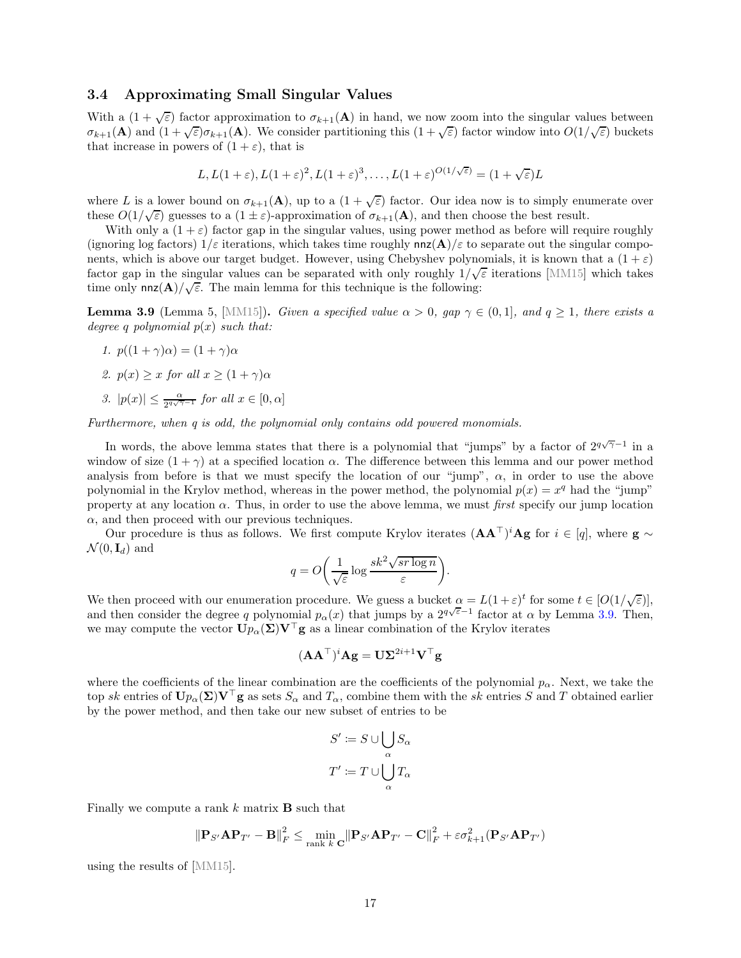## <span id="page-17-1"></span>3.4 Approximating Small Singular Values

With a  $(1 + \sqrt{\varepsilon})$  factor approximation to  $\sigma_{k+1}(\mathbf{A})$  in hand, we now zoom into the singular values between  $\sigma_{k+1}(\mathbf{A})$  and  $(1+\sqrt{\varepsilon})\sigma_{k+1}(\mathbf{A})$ . We consider partitioning this  $(1+\sqrt{\varepsilon})$  factor window into  $O(1/\sqrt{\varepsilon})$  buckets that increase in powers of  $(1 + \varepsilon)$ , that is

$$
L, L(1+\varepsilon), L(1+\varepsilon)^2, L(1+\varepsilon)^3, \dots, L(1+\varepsilon)^{O(1/\sqrt{\varepsilon})} = (1+\sqrt{\varepsilon})L
$$

where L is a lower bound on  $\sigma_{k+1}(\mathbf{A})$ , up to a  $(1+\sqrt{\varepsilon})$  factor. Our idea now is to simply enumerate over these  $O(1/\sqrt{\varepsilon})$  guesses to a  $(1 \pm \varepsilon)$ -approximation of  $\sigma_{k+1}(\mathbf{A})$ , and then choose the best result.

With only a  $(1 + \varepsilon)$  factor gap in the singular values, using power method as before will require roughly (ignoring log factors)  $1/\varepsilon$  iterations, which takes time roughly  $nnz(\mathbf{A})/\varepsilon$  to separate out the singular components, which is above our target budget. However, using Chebyshev polynomials, it is known that a  $(1 + \varepsilon)$ factor gap in the singular values can be separated with only roughly  $1/\sqrt{\varepsilon}$  iterations [MM15] which takes time only  $nnz(\mathbf{A})/\sqrt{\varepsilon}$ . The main lemma for this technique is the following:

<span id="page-17-0"></span>**Lemma 3.9** (Lemma 5, [MM15]). *Given a specified value*  $\alpha > 0$ *, gap*  $\gamma \in (0,1]$ *, and*  $q \geq 1$ *, there exists a degree* q *polynomial* p(x) *such that:*

- *1.*  $p((1+\gamma)\alpha) = (1+\gamma)\alpha$
- <span id="page-17-2"></span>*2.*  $p(x) \geq x$  *for all*  $x \geq (1 + \gamma)\alpha$
- 3.  $|p(x)| \leq \frac{\alpha}{2^{q\sqrt{\gamma}-1}}$  *for all*  $x \in [0, \alpha]$

*Furthermore, when q is odd, the polynomial only contains odd powered monomials.*

In words, the above lemma states that there is a polynomial that "jumps" by a factor of  $2^{q\sqrt{\gamma}-1}$  in a window of size  $(1 + \gamma)$  at a specified location  $\alpha$ . The difference between this lemma and our power method analysis from before is that we must specify the location of our "jump",  $\alpha$ , in order to use the above polynomial in the Krylov method, whereas in the power method, the polynomial  $p(x) = x^q$  had the "jump" property at any location α. Thus, in order to use the above lemma, we must *first* specify our jump location  $\alpha$ , and then proceed with our previous techniques.

Our procedure is thus as follows. We first compute Krylov iterates  $(AA^{\top})^iAg$  for  $i \in [q]$ , where  $g \sim$  $\mathcal{N}(0, \mathbf{I}_d)$  and

$$
q = O\bigg(\frac{1}{\sqrt{\varepsilon}}\log\frac{sk^2\sqrt{sr\log n}}{\varepsilon}\bigg).
$$

We then proceed with our enumeration procedure. We guess a bucket  $\alpha = L(1+\varepsilon)^t$  for some  $t \in [O(1/\sqrt{\varepsilon})],$ and then consider the degree q polynomial  $p_{\alpha}(x)$  that jumps by a  $2^{q\sqrt{\varepsilon}-1}$  factor at  $\alpha$  by Lemma [3.9.](#page-17-0) Then, we may compute the vector  $\mathbf{U}p_{\alpha}(\boldsymbol{\Sigma})\mathbf{V}^{\top}\mathbf{g}$  as a linear combination of the Krylov iterates

$$
(\mathbf{A}\mathbf{A}^\top)^i\mathbf{A}\mathbf{g} = \mathbf{U}\boldsymbol{\Sigma}^{2i+1}\mathbf{V}^\top\mathbf{g}
$$

where the coefficients of the linear combination are the coefficients of the polynomial  $p_{\alpha}$ . Next, we take the top sk entries of  $\mathbf{U}p_{\alpha}(\mathbf{\Sigma})\mathbf{V}^\top\mathbf{g}$  as sets  $S_{\alpha}$  and  $T_{\alpha}$ , combine them with the sk entries S and T obtained earlier by the power method, and then take our new subset of entries to be

$$
S':=S\cup \bigcup_{\alpha}S_{\alpha}
$$
  

$$
T':=T\cup \bigcup_{\alpha}T_{\alpha}
$$

Finally we compute a rank  $k$  matrix **B** such that

$$
\|\mathbf{P}_{S'}\mathbf{A}\mathbf{P}_{T'}-\mathbf{B}\|_F^2 \leq \min_{\text{rank }k}\|\mathbf{P}_{S'}\mathbf{A}\mathbf{P}_{T'}-\mathbf{C}\|_F^2 + \varepsilon\sigma_{k+1}^2(\mathbf{P}_{S'}\mathbf{A}\mathbf{P}_{T'})
$$

using the results of [MM15].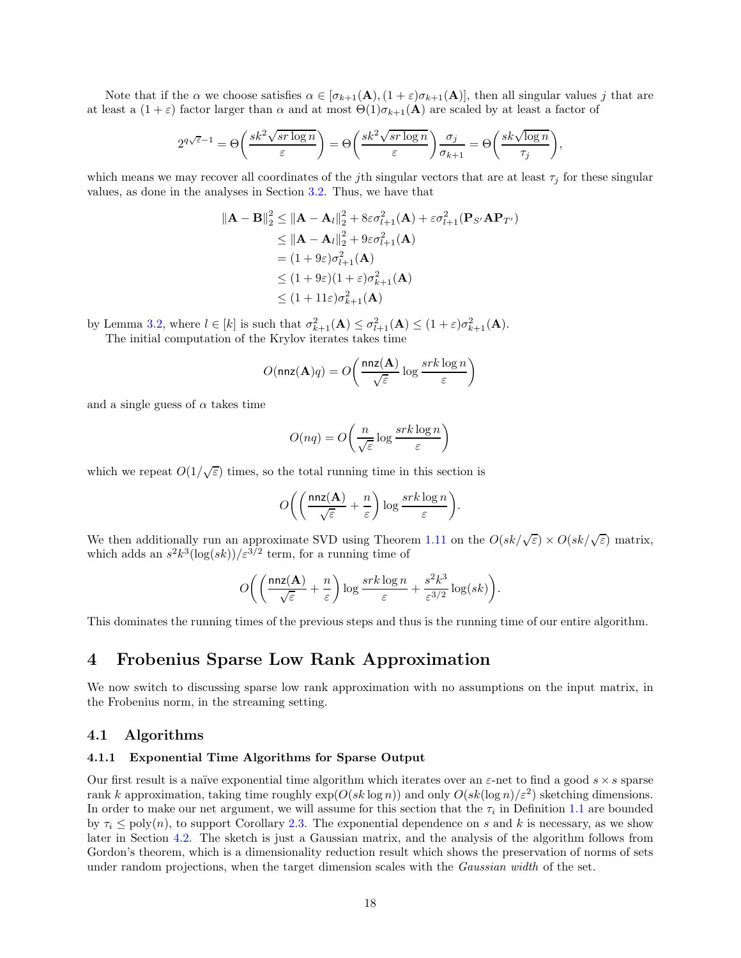Note that if the  $\alpha$  we choose satisfies  $\alpha \in [\sigma_{k+1}(\mathbf{A}), (1+\varepsilon)\sigma_{k+1}(\mathbf{A})]$ , then all singular values j that are at least a  $(1+\varepsilon)$  factor larger than  $\alpha$  and at most  $\Theta(1)\sigma_{k+1}(A)$  are scaled by at least a factor of

$$
2^{q\sqrt{\varepsilon}-1}=\Theta\bigg(\frac{sk^2\sqrt{sr\log n}}{\varepsilon}\bigg)=\Theta\bigg(\frac{sk^2\sqrt{sr\log n}}{\varepsilon}\bigg)\frac{\sigma_j}{\sigma_{k+1}}=\Theta\bigg(\frac{sk\sqrt{\log n}}{\tau_j}\bigg),
$$

which means we may recover all coordinates of the jth singular vectors that are at least  $\tau_j$  for these singular values, as done in the analyses in Section [3.2.](#page-12-0) Thus, we have that

$$
\|\mathbf{A} - \mathbf{B}\|_{2}^{2} \leq \|\mathbf{A} - \mathbf{A}_{l}\|_{2}^{2} + 8\varepsilon\sigma_{l+1}^{2}(\mathbf{A}) + \varepsilon\sigma_{l+1}^{2}(\mathbf{P}_{S'}\mathbf{A}\mathbf{P}_{T'})
$$
  
\n
$$
\leq \|\mathbf{A} - \mathbf{A}_{l}\|_{2}^{2} + 9\varepsilon\sigma_{l+1}^{2}(\mathbf{A})
$$
  
\n
$$
= (1 + 9\varepsilon)\sigma_{l+1}^{2}(\mathbf{A})
$$
  
\n
$$
\leq (1 + 9\varepsilon)(1 + \varepsilon)\sigma_{k+1}^{2}(\mathbf{A})
$$
  
\n
$$
\leq (1 + 11\varepsilon)\sigma_{k+1}^{2}(\mathbf{A})
$$

by Lemma [3.2,](#page-11-1) where  $l \in [k]$  is such that  $\sigma_{k+1}^2(\mathbf{A}) \leq \sigma_{l+1}^2(\mathbf{A}) \leq (1+\varepsilon)\sigma_{k+1}^2(\mathbf{A})$ . The initial computation of the Krylov iterates takes time

$$
O(\mathtt{nnz}(\mathbf{A})q) = O\!\left(\frac{\mathtt{nnz}(\mathbf{A})}{\sqrt{\varepsilon}}\log \frac{s r k \log n}{\varepsilon}\right)
$$

and a single guess of  $\alpha$  takes time

$$
O(nq) = O\left(\frac{n}{\sqrt{\varepsilon}} \log \frac{srk \log n}{\varepsilon}\right)
$$

which we repeat  $O(1/\sqrt{\varepsilon})$  times, so the total running time in this section is

$$
O\bigg(\bigg(\frac{\mathtt{nnz}(\mathbf{A})}{\sqrt{\varepsilon}}+\frac{n}{\varepsilon}\bigg)\log\frac{srk\log n}{\varepsilon}\bigg).
$$

We then additionally run an approximate SVD using Theorem [1.11](#page-8-0) on the  $O(sk/\sqrt{\epsilon}) \times O(sk/\sqrt{\epsilon})$  matrix, which adds an  $s^2k^3(\log(sk))/\epsilon^{3/2}$  term, for a running time of

$$
O\bigg( \bigg(\frac{\mathtt{nnz}(\mathbf{A})}{\sqrt{\varepsilon}}+\frac{n}{\varepsilon} \bigg) \log \frac{srk\log n}{\varepsilon} + \frac{s^2k^3}{\varepsilon^{3/2}}\log(sk) \bigg).
$$

This dominates the running times of the previous steps and thus is the running time of our entire algorithm.

# <span id="page-18-0"></span>4 Frobenius Sparse Low Rank Approximation

We now switch to discussing sparse low rank approximation with no assumptions on the input matrix, in the Frobenius norm, in the streaming setting.

## 4.1 Algorithms

### 4.1.1 Exponential Time Algorithms for Sparse Output

Our first result is a naïve exponential time algorithm which iterates over an  $\varepsilon$ -net to find a good  $s \times s$  sparse rank k approximation, taking time roughly  $\exp(O(sk \log n))$  and only  $O(sk(\log n)/\varepsilon^2)$  sketching dimensions. In order to make our net argument, we will assume for this section that the  $\tau_i$  in Definition [1.1](#page-1-0) are bounded by  $\tau_i \leq \text{poly}(n)$ , to support Corollary [2.3.](#page-8-2) The exponential dependence on s and k is necessary, as we show later in Section [4.2.](#page-30-0) The sketch is just a Gaussian matrix, and the analysis of the algorithm follows from Gordon's theorem, which is a dimensionality reduction result which shows the preservation of norms of sets under random projections, when the target dimension scales with the *Gaussian width* of the set.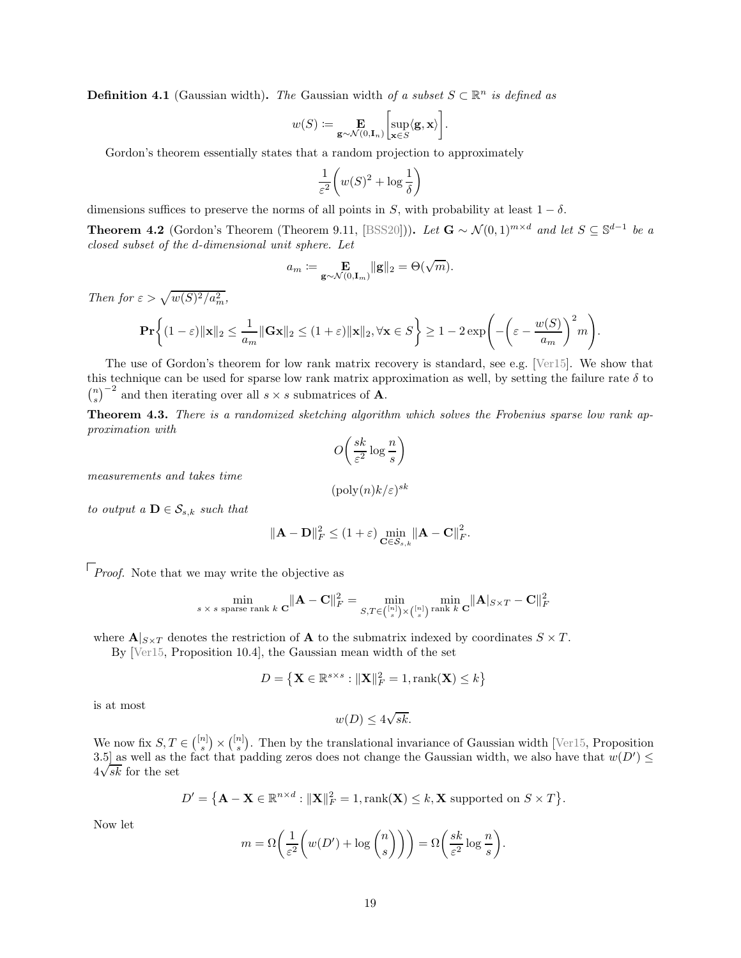**Definition 4.1** (Gaussian width). *The* Gaussian width *of a subset*  $S \subset \mathbb{R}^n$  *is defined as* 

$$
w(S) := \mathop{\mathbf{E}}_{\mathbf{g}\sim\mathcal{N}(0,\mathbf{I}_n)}\left[\sup_{\mathbf{x}\in S}\langle\mathbf{g},\mathbf{x}\rangle\right].
$$

Gordon's theorem essentially states that a random projection to approximately

$$
\frac{1}{\varepsilon^2} \bigg( w(S)^2 + \log \frac{1}{\delta} \bigg)
$$

dimensions suffices to preserve the norms of all points in S, with probability at least  $1 - \delta$ .

<span id="page-19-1"></span>**Theorem 4.2** (Gordon's Theorem (Theorem 9.11, [\[BSS20\]](#page-46-0))). Let  $\mathbf{G} \sim \mathcal{N}(0, 1)^{m \times d}$  and let  $S \subseteq \mathbb{S}^{d-1}$  be a *closed subset of the* d*-dimensional unit sphere. Let*

$$
a_m \coloneqq \mathop{\mathbf{E}}_{\mathbf{g}\sim \mathcal{N}(0,\mathbf{I}_m)} \|\mathbf{g}\|_2 = \Theta(\sqrt{m}).
$$

*Then for*  $\varepsilon > \sqrt{w(S)^2/a_m^2}$ ,

$$
\mathbf{Pr}\bigg\{(1-\varepsilon)\|\mathbf{x}\|_2 \le \frac{1}{a_m}\|\mathbf{G}\mathbf{x}\|_2 \le (1+\varepsilon)\|\mathbf{x}\|_2, \forall \mathbf{x} \in S\bigg\} \ge 1 - 2\exp\Bigg(-\bigg(\varepsilon - \frac{w(S)}{a_m}\bigg)^2m\Bigg).
$$

The use of Gordon's theorem for low rank matrix recovery is standard, see e.g. [\[Ver15\]](#page-48-1). We show that this technique can be used for sparse low rank matrix approximation as well, by setting the failure rate  $\delta$  to  $\binom{n}{s}^{-2}$  and then iterating over all  $s \times s$  submatrices of **A**.

<span id="page-19-0"></span>Theorem 4.3. *There is a randomized sketching algorithm which solves the Frobenius sparse low rank approximation with*

$$
O\left(\frac{sk}{\varepsilon^2} \log \frac{n}{s}\right)
$$

*measurements and takes time*

$$
(\text{poly}(n)k/\varepsilon)^{sk}
$$

*to output a*  $\mathbf{D} \in \mathcal{S}_{s,k}$  *such that* 

$$
\|\mathbf{A} - \mathbf{D}\|_F^2 \le (1+\varepsilon) \min_{\mathbf{C} \in \mathcal{S}_{s,k}} \|\mathbf{A} - \mathbf{C}\|_F^2.
$$

 $\lceil$  *Proof.* Note that we may write the objective as

$$
\min_{s \, \times \, s \text{ sparse rank } k} \, \mathbf{C} \|\mathbf{A} - \mathbf{C}\|_F^2 = \min_{S, T \in \binom{[n]}{s} \times \binom{[n]}{s} \text{ rank } k} \min_{\mathbf{C}} \|\mathbf{A}\|_{S \times T} - \mathbf{C}\|_F^2
$$

where  $\mathbf{A}|_{S\times T}$  denotes the restriction of **A** to the submatrix indexed by coordinates  $S \times T$ .

By [\[Ver15,](#page-48-1) Proposition 10.4], the Gaussian mean width of the set

$$
D = \left\{ \mathbf{X} \in \mathbb{R}^{s \times s} : ||\mathbf{X}||_F^2 = 1, \text{rank}(\mathbf{X}) \le k \right\}
$$

is at most

$$
w(D) \le 4\sqrt{sk}.
$$

We now fix  $S, T \in \binom{[n]}{s} \times \binom{[n]}{s}$ . Then by the translational invariance of Gaussian width [\[Ver15,](#page-48-1) Proposition] 3.5] as well as the fact that padding zeros does not change the Gaussian width, we also have that  $w(D') \leq$  $4\sqrt{sk}$  for the set

$$
D' = \{ \mathbf{A} - \mathbf{X} \in \mathbb{R}^{n \times d} : ||\mathbf{X}||_F^2 = 1, \text{rank}(\mathbf{X}) \le k, \mathbf{X} \text{ supported on } S \times T \}.
$$

Now let

$$
m = \Omega\left(\frac{1}{\varepsilon^2} \left(w(D') + \log {n \choose s}\right)\right) = \Omega\left(\frac{sk}{\varepsilon^2} \log \frac{n}{s}\right).
$$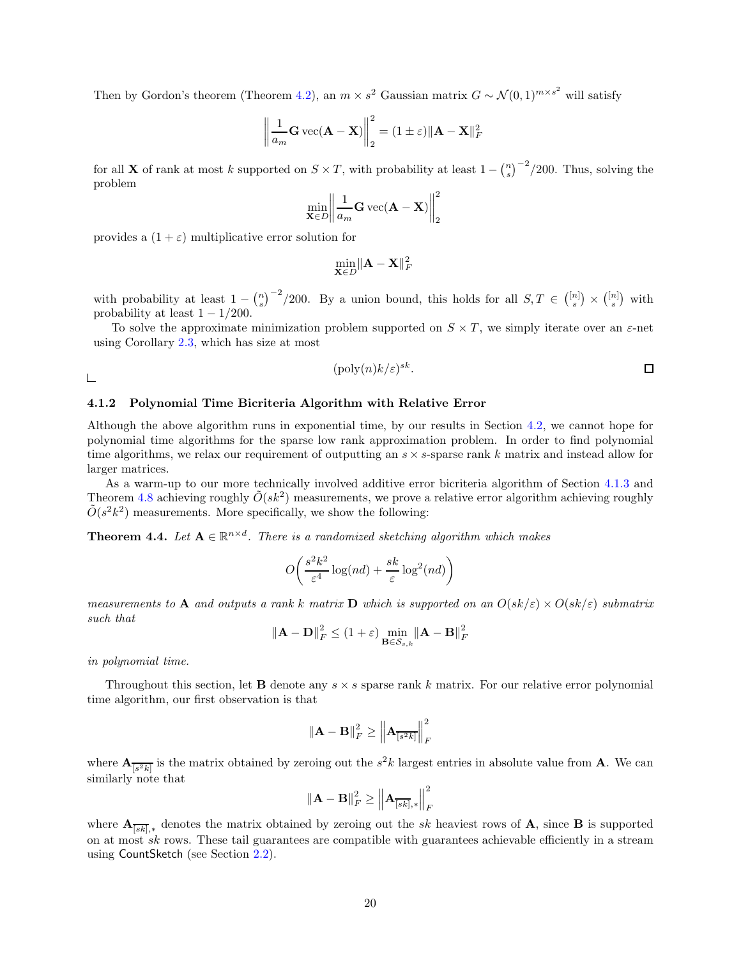Then by Gordon's theorem (Theorem [4.2\)](#page-19-1), an  $m \times s^2$  Gaussian matrix  $G \sim \mathcal{N}(0, 1)^{m \times s^2}$  will satisfy

$$
\left\| \frac{1}{a_m} \mathbf{G} \operatorname{vec}(\mathbf{A} - \mathbf{X}) \right\|_2^2 = (1 \pm \varepsilon) \|\mathbf{A} - \mathbf{X}\|_F^2
$$

for all **X** of rank at most k supported on  $S \times T$ , with probability at least  $1 - {n \choose s}^{-2}$ /200. Thus, solving the problem

$$
\min_{\mathbf{X}\in D} \left\|\frac{1}{a_m}\mathbf{G}\,\text{vec}(\mathbf{A}-\mathbf{X})\right\|_2^2
$$

provides a  $(1 + \varepsilon)$  multiplicative error solution for

$$
\min_{\mathbf{X}\in D} \|\mathbf{A} - \mathbf{X}\|_F^2
$$

with probability at least  $1 - {n \choose s}^{-2}$ /200. By a union bound, this holds for all  $S, T \in \binom{[n]}{s} \times \binom{[n]}{s}$  with probability at least  $1 - 1/200$ .

To solve the approximate minimization problem supported on  $S \times T$ , we simply iterate over an  $\varepsilon$ -net using Corollary [2.3,](#page-8-2) which has size at most

$$
(\text{poly}(n)k/\varepsilon)^{sk}.\quad \Box
$$

 $\Box$ 

# 4.1.2 Polynomial Time Bicriteria Algorithm with Relative Error

Although the above algorithm runs in exponential time, by our results in Section [4.2,](#page-30-0) we cannot hope for polynomial time algorithms for the sparse low rank approximation problem. In order to find polynomial time algorithms, we relax our requirement of outputting an  $s \times s$ -sparse rank k matrix and instead allow for larger matrices.

As a warm-up to our more technically involved additive error bicriteria algorithm of Section [4.1.3](#page-24-1) and Theorem [4.8](#page-24-0) achieving roughly  $\tilde{O}(sk^2)$  measurements, we prove a relative error algorithm achieving roughly  $\tilde{O}(s^2k^2)$  measurements. More specifically, we show the following:

<span id="page-20-0"></span>**Theorem 4.4.** Let  $A \in \mathbb{R}^{n \times d}$ . There is a randomized sketching algorithm which makes

$$
O\left(\frac{s^2k^2}{\varepsilon^4}\log(nd) + \frac{sk}{\varepsilon}\log^2(nd)\right)
$$

*measurements to* A *and outputs a rank* k *matrix* D *which is supported on an*  $O(sk/\varepsilon) \times O(sk/\varepsilon)$  *submatrix such that*

$$
\left\|\mathbf{A} - \mathbf{D}\right\|_{F}^{2} \leq (1+\varepsilon) \min_{\mathbf{B} \in \mathcal{S}_{s,k}} \left\|\mathbf{A} - \mathbf{B}\right\|_{F}^{2}
$$

*in polynomial time.*

Throughout this section, let **B** denote any  $s \times s$  sparse rank k matrix. For our relative error polynomial time algorithm, our first observation is that

$$
\left\| {{\mathbf{A}} - {\mathbf{B}}} \right\|_F^2 \ge \left\| {{\mathbf{A}}_{\overline{{[s^2k]}}}} \right\|_F^2
$$

where  $\mathbf{A}_{\overline{[s^2k]}}$  is the matrix obtained by zeroing out the  $s^2k$  largest entries in absolute value from **A**. We can similarly note that

$$
\left\|{\mathbf{A}}-{\mathbf{B}}\right\|_F^2 \geq \left\|{\mathbf{A}}_{\overline{[sk]},*}\right\|_F^2
$$

where  $\mathbf{A}_{\overline{[sk]},*}$  denotes the matrix obtained by zeroing out the sk heaviest rows of  $\mathbf{A}$ , since  $\mathbf{B}$  is supported on at most sk rows. These tail guarantees are compatible with guarantees achievable efficiently in a stream using CountSketch (see Section [2.2\)](#page-9-0).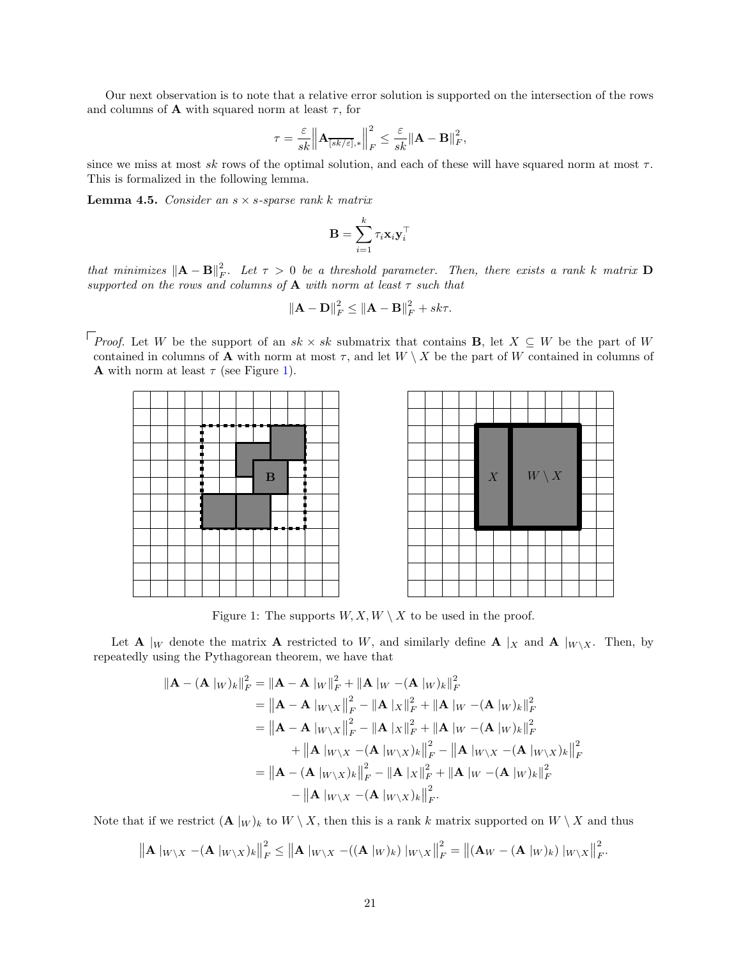Our next observation is to note that a relative error solution is supported on the intersection of the rows and columns of **A** with squared norm at least  $\tau$ , for

$$
\tau = \frac{\varepsilon}{sk} \left\| \mathbf{A}_{\overline{[sk/\varepsilon]},*} \right\|_F^2 \leq \frac{\varepsilon}{sk} \left\| \mathbf{A} - \mathbf{B} \right\|_F^2,
$$

since we miss at most sk rows of the optimal solution, and each of these will have squared norm at most  $\tau$ . This is formalized in the following lemma.

<span id="page-21-1"></span>Lemma 4.5. *Consider an* s × s*-sparse rank* k *matrix*

$$
\mathbf{B} = \sum_{i=1}^k \tau_i \mathbf{x}_i \mathbf{y}_i^{\top}
$$

 $that$  minimizes  $\|\mathbf{A} - \mathbf{B}\|_F^2$ . Let  $\tau > 0$  be a threshold parameter. Then, there exists a rank k matrix  $\mathbf{D}$ *supported on the rows and columns of* A *with norm at least* τ *such that*

$$
\|\mathbf{A} - \mathbf{D}\|_F^2 \le \|\mathbf{A} - \mathbf{B}\|_F^2 + sk\tau.
$$

*Proof.* Let W be the support of an  $sk \times sk$  submatrix that contains **B**, let  $X \subseteq W$  be the part of W contained in columns of **A** with norm at most  $\tau$ , and let  $W \setminus X$  be the part of W contained in columns of **A** with norm at least  $\tau$  (see Figure [1\)](#page-21-0).

<span id="page-21-0"></span>

Figure 1: The supports  $W, X, W \setminus X$  to be used in the proof.

Let **A** |w denote the matrix **A** restricted to W, and similarly define **A** |x and **A** |w\x. Then, by repeatedly using the Pythagorean theorem, we have that

$$
\begin{aligned}\n\|\mathbf{A} - (\mathbf{A} \, |_{W})_{k}\|_{F}^{2} &= \|\mathbf{A} - \mathbf{A} \, |_{W}\|_{F}^{2} + \|\mathbf{A} \, |_{W} - (\mathbf{A} \, |_{W})_{k}\|_{F}^{2} \\
&= \|\mathbf{A} - \mathbf{A} \, |_{W\backslash X}\|_{F}^{2} - \|\mathbf{A} \, |_{X}\|_{F}^{2} + \|\mathbf{A} \, |_{W} - (\mathbf{A} \, |_{W})_{k}\|_{F}^{2} \\
&= \|\mathbf{A} - \mathbf{A} \, |_{W\backslash X}\|_{F}^{2} - \|\mathbf{A} \, |_{X}\|_{F}^{2} + \|\mathbf{A} \, |_{W} - (\mathbf{A} \, |_{W})_{k}\|_{F}^{2} \\
&\quad + \|\mathbf{A} \, |_{W\backslash X} - (\mathbf{A} \, |_{W\backslash X})_{k}\|_{F}^{2} - \|\mathbf{A} \, |_{W\backslash X} - (\mathbf{A} \, |_{W\backslash X})_{k}\|_{F}^{2} \\
&= \|\mathbf{A} - (\mathbf{A} \, |_{W\backslash X})_{k}\|_{F}^{2} - \|\mathbf{A} \, |_{X}\|_{F}^{2} + \|\mathbf{A} \, |_{W} - (\mathbf{A} \, |_{W})_{k}\|_{F}^{2} \\
&\quad - \|\mathbf{A} \, |_{W\backslash X} - (\mathbf{A} \, |_{W\backslash X})_{k}\|_{F}^{2}.\n\end{aligned}
$$

Note that if we restrict  $(\mathbf{A} |_{W})_k$  to  $W \setminus X$ , then this is a rank k matrix supported on  $W \setminus X$  and thus

$$
\left\|\mathbf{A}\|_{W\setminus X} - (\mathbf{A}\|_{W\setminus X})_k\right\|_F^2 \le \left\|\mathbf{A}\|_{W\setminus X} - ((\mathbf{A}\|_{W})_k)\|_{W\setminus X}\right\|_F^2 = \left\|(\mathbf{A}_W - (\mathbf{A}\|_{W})_k)\|_{W\setminus X}\right\|_F^2.
$$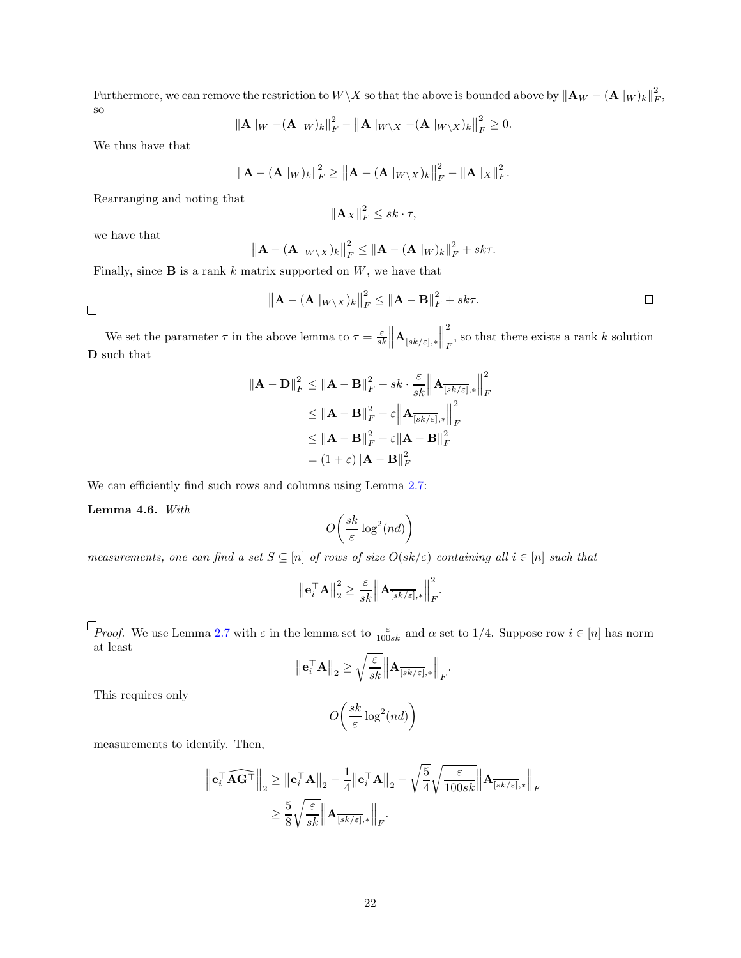Furthermore, we can remove the restriction to  $W\setminus X$  so that the above is bounded above by  $\|\mathbf{A}_W - (\mathbf{A}\|_W)_k\|_F^2$ , so

$$
\|\mathbf{A}\|_{W} - (\mathbf{A}\|_{W})_{k}\|_{F}^{2} - \|\mathbf{A}\|_{W\setminus X} - (\mathbf{A}\|_{W\setminus X})_{k}\|_{F}^{2} \geq 0.
$$

We thus have that

$$
\left\|\mathbf{A} - (\mathbf{A} \left|w\right)_{k}\right\|_{F}^{2} \geq \left\|\mathbf{A} - (\mathbf{A} \left|w\right\rangle_{X})_{k}\right\|_{F}^{2} - \left\|\mathbf{A} \left|X\right\|_{F}^{2}.
$$

Rearranging and noting that

$$
\left\|\mathbf{A}_X\right\|_F^2 \leq sk \cdot \tau,
$$

we have that

$$
\left\|\mathbf{A} - (\mathbf{A} \left|_{W \setminus X}\right)_{k}\right\|_{F}^{2} \leq \left\|\mathbf{A} - (\mathbf{A} \left|_{W}\right)_{k}\right\|_{F}^{2} + sk\tau.
$$

Finally, since **B** is a rank k matrix supported on  $W$ , we have that

$$
\left\|\mathbf{A} - (\mathbf{A} \left|_{W \setminus X}\right)_{k}\right\|_{F}^{2} \leq \left\|\mathbf{A} - \mathbf{B}\right\|_{F}^{2} + sk\tau.
$$

 $\sqsubseteq$ 

We set the parameter  $\tau$  in the above lemma to  $\tau = \frac{\varepsilon}{sk} \left\| \mathbf{A}_{\overline{[sk/\varepsilon]}}, \ast \right\|$ 2  $_F$ , so that there exists a rank k solution D such that

$$
\|\mathbf{A} - \mathbf{D}\|_{F}^{2} \leq \|\mathbf{A} - \mathbf{B}\|_{F}^{2} + sk \cdot \frac{\varepsilon}{sk} \left\| \mathbf{A}_{\overline{[sk/\varepsilon]},*} \right\|_{F}^{2}
$$
  
\n
$$
\leq \|\mathbf{A} - \mathbf{B}\|_{F}^{2} + \varepsilon \left\| \mathbf{A}_{\overline{[sk/\varepsilon]},*} \right\|_{F}^{2}
$$
  
\n
$$
\leq \|\mathbf{A} - \mathbf{B}\|_{F}^{2} + \varepsilon \|\mathbf{A} - \mathbf{B}\|_{F}^{2}
$$
  
\n
$$
= (1 + \varepsilon) \|\mathbf{A} - \mathbf{B}\|_{F}^{2}
$$

We can efficiently find such rows and columns using Lemma  $2.7$ :

Lemma 4.6. *With*

$$
O\!\left(\frac{sk}{\varepsilon}\log^2(nd)\right)
$$

*measurements, one can find a set*  $S \subseteq [n]$  *of rows of size*  $O(sk/\varepsilon)$  *containing all*  $i \in [n]$  *such that* 

$$
\left\|\mathbf{e}_i^{\top} \mathbf{A}\right\|_2^2 \ge \frac{\varepsilon}{sk} \left\|\mathbf{A}_{\overline{[sk/\varepsilon]},*}\right\|_F^2.
$$

*Proof.* We use Lemma [2.7](#page-10-0) with  $\varepsilon$  in the lemma set to  $\frac{\varepsilon}{100sk}$  and  $\alpha$  set to 1/4. Suppose row  $i \in [n]$  has norm at least

$$
\left\|\mathbf{e}_i^{\top} \mathbf{A}\right\|_2 \ge \sqrt{\frac{\varepsilon}{sk}} \left\|\mathbf{A}_{\overline{[sk/\varepsilon]},*}\right\|_F.
$$

This requires only

$$
O\left(\frac{sk}{\varepsilon}\log^2(nd)\right)
$$

measurements to identify. Then,

$$
\begin{aligned} \left\| \mathbf{e}_i^\top \widehat{\mathbf{A}\mathbf{G}^\top} \right\|_2 &\geq \left\| \mathbf{e}_i^\top \mathbf{A} \right\|_2 - \frac{1}{4} \left\| \mathbf{e}_i^\top \mathbf{A} \right\|_2 - \sqrt{\frac{5}{4}} \sqrt{\frac{\varepsilon}{100sk}} \right\| \mathbf{A}_{\overline{[sk/\varepsilon]},*} \Big\|_F \\ &\geq \frac{5}{8} \sqrt{\frac{\varepsilon}{sk}} \left\| \mathbf{A}_{\overline{[sk/\varepsilon]},*} \right\|_F. \end{aligned}
$$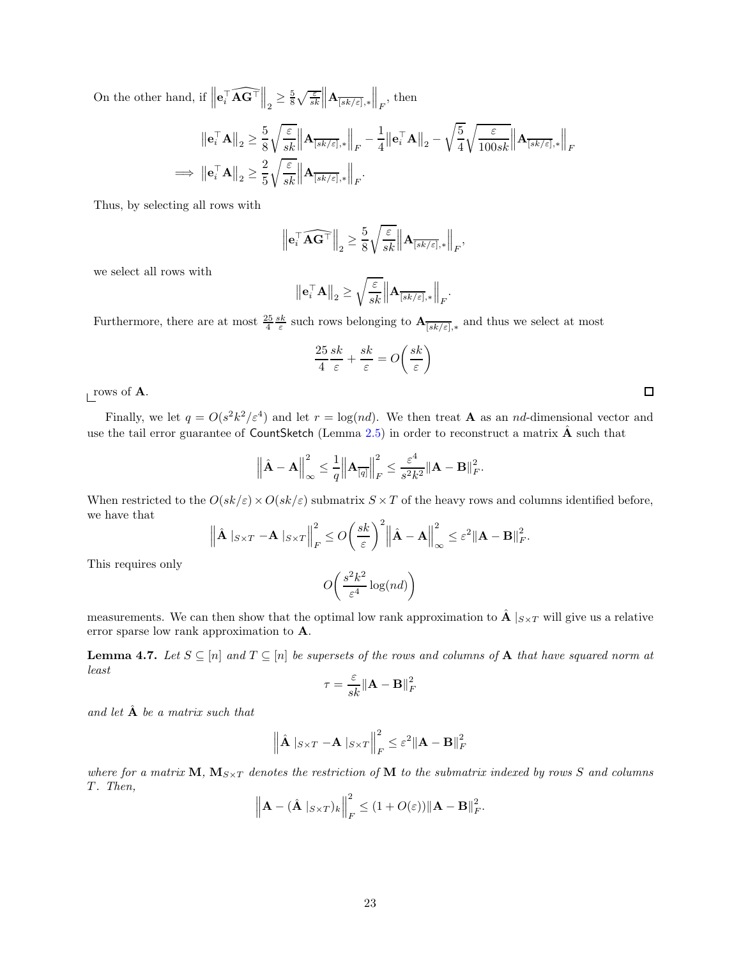On the other hand, if  $\parallel$  $\mathbf{e}_i^\top \widehat{\mathbf{A}\mathbf{G}^\top}$  $\Big\|_2 \geq \frac{5}{8} \sqrt{\frac{\varepsilon}{sk}} \Big\| \mathbf{A}_{\overline{[sk/\varepsilon]},*} \Big\|_F$ , then

$$
\begin{aligned} \left\|\mathbf{e}_{i}^{\top}\mathbf{A}\right\|_{2} & \geq \frac{5}{8}\sqrt{\frac{\varepsilon}{sk}}\left\|\mathbf{A}_{\overline{[sk/\varepsilon]} ,*}\right\|_{F} - \frac{1}{4}\left\|\mathbf{e}_{i}^{\top}\mathbf{A}\right\|_{2} - \sqrt{\frac{5}{4}}\sqrt{\frac{\varepsilon}{100sk}}\left\|\mathbf{A}_{\overline{[sk/\varepsilon]} ,*}\right\|_{F} \\ \implies \left\|\mathbf{e}_{i}^{\top}\mathbf{A}\right\|_{2} & \geq \frac{2}{5}\sqrt{\frac{\varepsilon}{sk}}\left\|\mathbf{A}_{\overline{[sk/\varepsilon]} ,*}\right\|_{F}. \end{aligned}
$$

Thus, by selecting all rows with

$$
\left\| \mathbf{e}_i^\top \widehat{\mathbf{A}\mathbf{G}^\top} \right\|_2 \ge \frac{5}{8} \sqrt{\frac{\varepsilon}{sk}} \left\| \mathbf{A}_{\overline{[sk/\varepsilon]},*} \right\|_F,
$$

we select all rows with

$$
\left\|\mathbf{e}_i^{\top} \mathbf{A}\right\|_2 \ge \sqrt{\frac{\varepsilon}{sk}} \left\|\mathbf{A}_{\overline{[sk/\varepsilon]},*}\right\|_F.
$$

Furthermore, there are at most  $\frac{25}{4} \frac{sk}{\varepsilon}$  such rows belonging to  $\mathbf{A}_{\overline{[sk/\varepsilon]}},*$  and thus we select at most

$$
\frac{25}{4} \frac{sk}{\varepsilon} + \frac{sk}{\varepsilon} = O\left(\frac{sk}{\varepsilon}\right)
$$

rows of  $\bf{A}$ .

Finally, we let  $q = O(s^2 k^2 / \epsilon^4)$  and let  $r = \log(nd)$ . We then treat **A** as an nd-dimensional vector and use the tail error guarantee of CountSketch (Lemma  $2.5$ ) in order to reconstruct a matrix  $\hat{A}$  such that

$$
\left\|\hat{\mathbf{A}} - \mathbf{A}\right\|_{\infty}^{2} \leq \frac{1}{q} \left\|\mathbf{A}_{\overline{[q]}}\right\|_{F}^{2} \leq \frac{\varepsilon^{4}}{s^{2}k^{2}} \|\mathbf{A} - \mathbf{B}\|_{F}^{2}.
$$

When restricted to the  $O(sk/\varepsilon) \times O(sk/\varepsilon$  submatrix  $S \times T$  of the heavy rows and columns identified before, we have that

$$
\left\|\hat{\mathbf{A}}\right\|_{S\times T} - \mathbf{A}\left\|_{S\times T}\right\|_{F}^{2} \leq O\left(\frac{sk}{\varepsilon}\right)^{2} \left\|\hat{\mathbf{A}} - \mathbf{A}\right\|_{\infty}^{2} \leq \varepsilon^{2} \|\mathbf{A} - \mathbf{B}\|_{F}^{2}.
$$

This requires only

$$
O\left(\frac{s^2k^2}{\varepsilon^4}\log(nd)\right)
$$

measurements. We can then show that the optimal low rank approximation to  $\hat{A}$  | $_{S \times T}$  will give us a relative error sparse low rank approximation to A.

**Lemma 4.7.** Let  $S \subseteq [n]$  and  $T \subseteq [n]$  be supersets of the rows and columns of **A** that have squared norm at *least*

$$
\tau = \frac{\varepsilon}{sk} \| \mathbf{A} - \mathbf{B} \|^2_F
$$

*and let* Aˆ *be a matrix such that*

$$
\left\|\hat{\mathbf{A}}\right\|_{S\times T} - \mathbf{A}\left\|_{S\times T}\right\|_{F}^{2} \leq \varepsilon^{2} \|\mathbf{A} - \mathbf{B}\|_{F}^{2}
$$

*where for a matrix*  $M$ ,  $M_{S\times T}$  *denotes the restriction of* M *to the submatrix indexed by rows* S *and columns* T *. Then,*

$$
\left\|\mathbf{A} - (\hat{\mathbf{A}} \, |_{S \times T})_k\right\|_F^2 \leq (1 + O(\varepsilon)) \|\mathbf{A} - \mathbf{B}\|_F^2.
$$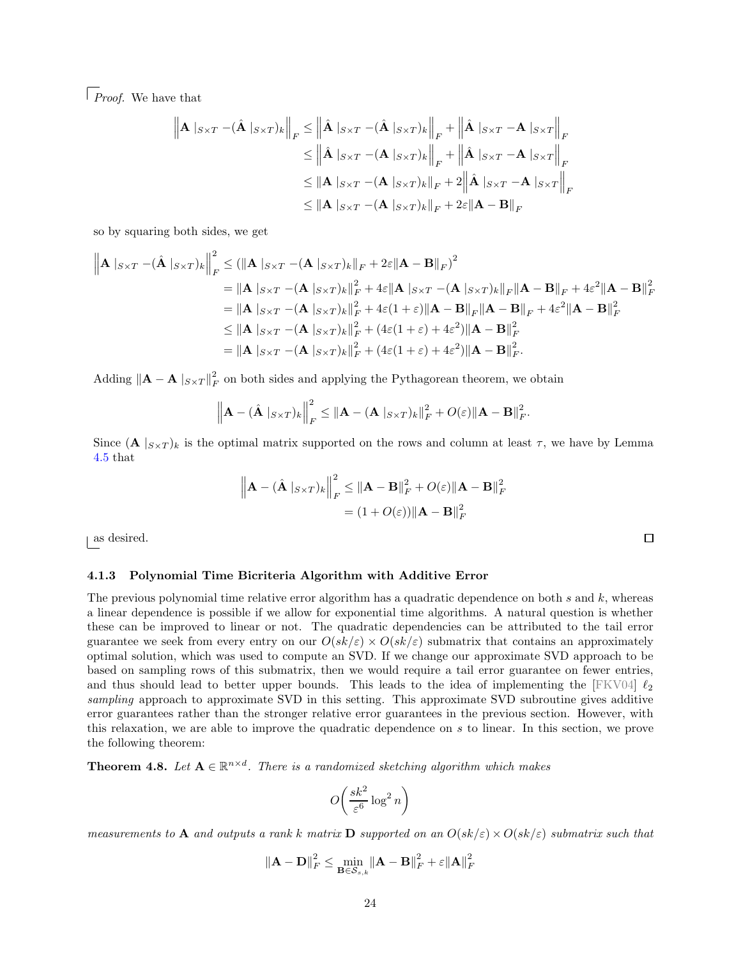*Proof.* We have that

$$
\left\| \mathbf{A} |_{S \times T} - (\hat{\mathbf{A}} |_{S \times T})_k \right\|_F \le \left\| \hat{\mathbf{A}} |_{S \times T} - (\hat{\mathbf{A}} |_{S \times T})_k \right\|_F + \left\| \hat{\mathbf{A}} |_{S \times T} - \mathbf{A} |_{S \times T} \right\|_F
$$
  
\n
$$
\le \left\| \hat{\mathbf{A}} |_{S \times T} - (\mathbf{A} |_{S \times T})_k \right\|_F + \left\| \hat{\mathbf{A}} |_{S \times T} - \mathbf{A} |_{S \times T} \right\|_F
$$
  
\n
$$
\le \left\| \mathbf{A} |_{S \times T} - (\mathbf{A} |_{S \times T})_k \right\|_F + 2 \left\| \hat{\mathbf{A}} |_{S \times T} - \mathbf{A} |_{S \times T} \right\|_F
$$
  
\n
$$
\le \left\| \mathbf{A} |_{S \times T} - (\mathbf{A} |_{S \times T})_k \right\|_F + 2\varepsilon \left\| \mathbf{A} - \mathbf{B} \right\|_F
$$

so by squaring both sides, we get

$$
\|\mathbf{A}\|_{S\times T} - (\hat{\mathbf{A}}\|_{S\times T})_k\|_F^2 \le (\|\mathbf{A}\|_{S\times T} - (\mathbf{A}\|_{S\times T})_k\|_F + 2\varepsilon \|\mathbf{A} - \mathbf{B}\|_F)^2
$$
  
\n
$$
= \|\mathbf{A}\|_{S\times T} - (\mathbf{A}\|_{S\times T})_k\|_F^2 + 4\varepsilon \|\mathbf{A}\|_{S\times T} - (\mathbf{A}\|_{S\times T})_k\|_F \|\mathbf{A} - \mathbf{B}\|_F + 4\varepsilon^2 \|\mathbf{A} - \mathbf{B}\|_F^2
$$
  
\n
$$
= \|\mathbf{A}\|_{S\times T} - (\mathbf{A}\|_{S\times T})_k\|_F^2 + 4\varepsilon (1 + \varepsilon) \|\mathbf{A} - \mathbf{B}\|_F \|\mathbf{A} - \mathbf{B}\|_F + 4\varepsilon^2 \|\mathbf{A} - \mathbf{B}\|_F^2
$$
  
\n
$$
\le \|\mathbf{A}\|_{S\times T} - (\mathbf{A}\|_{S\times T})_k\|_F^2 + (4\varepsilon (1 + \varepsilon) + 4\varepsilon^2) \|\mathbf{A} - \mathbf{B}\|_F^2
$$
  
\n
$$
= \|\mathbf{A}\|_{S\times T} - (\mathbf{A}\|_{S\times T})_k\|_F^2 + (4\varepsilon (1 + \varepsilon) + 4\varepsilon^2) \|\mathbf{A} - \mathbf{B}\|_F^2.
$$

Adding  $\|\mathbf{A} - \mathbf{A}\|_{S \times T} \|^2_F$  on both sides and applying the Pythagorean theorem, we obtain

$$
\left\|\mathbf{A} - (\hat{\mathbf{A}} \, |_{S \times T})_k\right\|_F^2 \leq \left\|\mathbf{A} - (\mathbf{A} \, |_{S \times T})_k\right\|_F^2 + O(\varepsilon) \left\|\mathbf{A} - \mathbf{B}\right\|_F^2.
$$

Since  $(A \mid_{S \times T})_k$  is the optimal matrix supported on the rows and column at least  $\tau$ , we have by Lemma [4.5](#page-21-1) that

$$
\left\|\mathbf{A} - (\hat{\mathbf{A}} |_{S \times T})_k\right\|_F^2 \le \left\|\mathbf{A} - \mathbf{B}\right\|_F^2 + O(\varepsilon) \left\|\mathbf{A} - \mathbf{B}\right\|_F^2
$$

$$
= (1 + O(\varepsilon)) \left\|\mathbf{A} - \mathbf{B}\right\|_F^2
$$

 $\Box$ 

as desired.

### <span id="page-24-1"></span>4.1.3 Polynomial Time Bicriteria Algorithm with Additive Error

The previous polynomial time relative error algorithm has a quadratic dependence on both  $s$  and  $k$ , whereas a linear dependence is possible if we allow for exponential time algorithms. A natural question is whether these can be improved to linear or not. The quadratic dependencies can be attributed to the tail error guarantee we seek from every entry on our  $O(sk/\varepsilon) \times O(sk/\varepsilon$  submatrix that contains an approximately optimal solution, which was used to compute an SVD. If we change our approximate SVD approach to be based on sampling rows of this submatrix, then we would require a tail error guarantee on fewer entries, and thus should lead to better upper bounds. This leads to the idea of implementing the [FKV04]  $\ell_2$ *sampling* approach to approximate SVD in this setting. This approximate SVD subroutine gives additive error guarantees rather than the stronger relative error guarantees in the previous section. However, with this relaxation, we are able to improve the quadratic dependence on s to linear. In this section, we prove the following theorem:

<span id="page-24-0"></span>**Theorem 4.8.** Let  $A \in \mathbb{R}^{n \times d}$ . There is a randomized sketching algorithm which makes

$$
O\left(\frac{sk^2}{\varepsilon^6} \log^2 n\right)
$$

*measurements to* A *and outputs a rank* k matrix D *supported on an*  $O(sk/\varepsilon) \times O(sk/\varepsilon)$  *submatrix such that* 

$$
\|\mathbf{A} - \mathbf{D}\|_F^2 \le \min_{\mathbf{B} \in \mathcal{S}_{s,k}} \|\mathbf{A} - \mathbf{B}\|_F^2 + \varepsilon \|\mathbf{A}\|_F^2
$$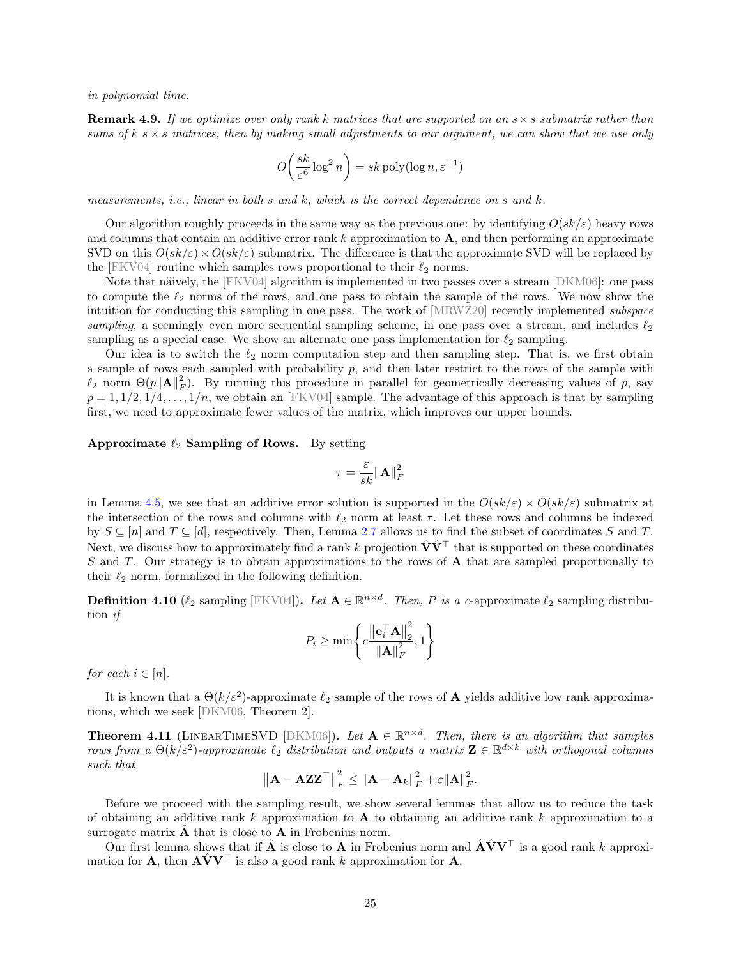*in polynomial time.*

<span id="page-25-1"></span>Remark 4.9. *If we optimize over only rank* k *matrices that are supported on an* s×s *submatrix rather than sums of*  $k \times s$  *matrices, then by making small adjustments to our argument, we can show that we use only* 

$$
O\left(\frac{sk}{\varepsilon^6} \log^2 n\right) = sk \operatorname{poly}(\log n, \varepsilon^{-1})
$$

*measurements, i.e., linear in both* s *and* k*, which is the correct dependence on* s *and* k*.*

Our algorithm roughly proceeds in the same way as the previous one: by identifying  $O(sk/\varepsilon)$  heavy rows and columns that contain an additive error rank  $k$  approximation to  $A$ , and then performing an approximate SVD on this  $O(sk/\varepsilon) \times O(sk/\varepsilon$  submatrix. The difference is that the approximate SVD will be replaced by the [FKV04] routine which samples rows proportional to their  $\ell_2$  norms.

Note that näively, the  $[FKV04]$  algorithm is implemented in two passes over a stream  $[DKM06]$ : one pass to compute the  $\ell_2$  norms of the rows, and one pass to obtain the sample of the rows. We now show the intuition for conducting this sampling in one pass. The work of [MRWZ20] recently implemented *subspace sampling*, a seemingly even more sequential sampling scheme, in one pass over a stream, and includes  $\ell_2$ sampling as a special case. We show an alternate one pass implementation for  $\ell_2$  sampling.

Our idea is to switch the  $\ell_2$  norm computation step and then sampling step. That is, we first obtain a sample of rows each sampled with probability  $p$ , and then later restrict to the rows of the sample with  $\ell_2$  norm  $\Theta(p||\mathbf{A}||_F^2)$ . By running this procedure in parallel for geometrically decreasing values of p, say  $p = 1, 1/2, 1/4, \ldots, 1/n$ , we obtain an [FKV04] sample. The advantage of this approach is that by sampling first, we need to approximate fewer values of the matrix, which improves our upper bounds.

Approximate  $\ell_2$  Sampling of Rows. By setting

$$
\tau = \frac{\varepsilon}{sk} {\| \mathbf{A} \|^2_F}
$$

in Lemma [4.5,](#page-21-1) we see that an additive error solution is supported in the  $O(sk/\varepsilon) \times O(sk/\varepsilon)$  submatrix at the intersection of the rows and columns with  $\ell_2$  norm at least  $\tau$ . Let these rows and columns be indexed by  $S \subseteq [n]$  and  $T \subseteq [d]$ , respectively. Then, Lemma [2.7](#page-10-0) allows us to find the subset of coordinates S and T. Next, we discuss how to approximately find a rank k projection  $\hat{V}\hat{V}^{\top}$  that is supported on these coordinates  $S$  and  $T$ . Our strategy is to obtain approximations to the rows of  $A$  that are sampled proportionally to their  $\ell_2$  norm, formalized in the following definition.

<span id="page-25-0"></span>**Definition 4.10** ( $\ell_2$  sampling [FKV04]). Let  $\mathbf{A} \in \mathbb{R}^{n \times d}$ . Then, P is a c-approximate  $\ell_2$  sampling distribution *if*

$$
P_i \ge \min\left\{c\frac{\left\|\mathbf{e}_i^{\top}\mathbf{A}\right\|_2^2}{\left\|\mathbf{A}\right\|_F^2}, 1\right\}
$$

*for each*  $i \in [n]$ *.* 

It is known that a  $\Theta(k/\varepsilon^2)$ -approximate  $\ell_2$  sample of the rows of **A** yields additive low rank approximations, which we seek [DKM06, Theorem 2].

<span id="page-25-2"></span>**Theorem 4.11** (LINEARTIMESVD [DKM06]). Let  $A \in \mathbb{R}^{n \times d}$ . Then, there is an algorithm that samples *rows from a*  $\Theta(k/\varepsilon^2)$ -*approximate*  $\ell_2$  *distribution and outputs a matrix*  $\mathbf{Z} \in \mathbb{R}^{d \times k}$  *with orthogonal columns such that*

$$
\left\|\mathbf{A} - \mathbf{AZZ}^{\top}\right\|_{F}^{2} \leq \left\|\mathbf{A} - \mathbf{A}_{k}\right\|_{F}^{2} + \varepsilon \|\mathbf{A}\|_{F}^{2}.
$$

Before we proceed with the sampling result, we show several lemmas that allow us to reduce the task of obtaining an additive rank k approximation to  $A$  to obtaining an additive rank k approximation to a surrogate matrix  $\ddot{\mathbf{A}}$  that is close to  $\mathbf{A}$  in Frobenius norm.

Our first lemma shows that if  $\hat{A}$  is close to A in Frobenius norm and  $\hat{A} \hat{V} V^{\top}$  is a good rank k approximation for **A**, then  $\mathbf{A} \hat{\mathbf{V}} \mathbf{V}^{\top}$  is also a good rank k approximation for **A**.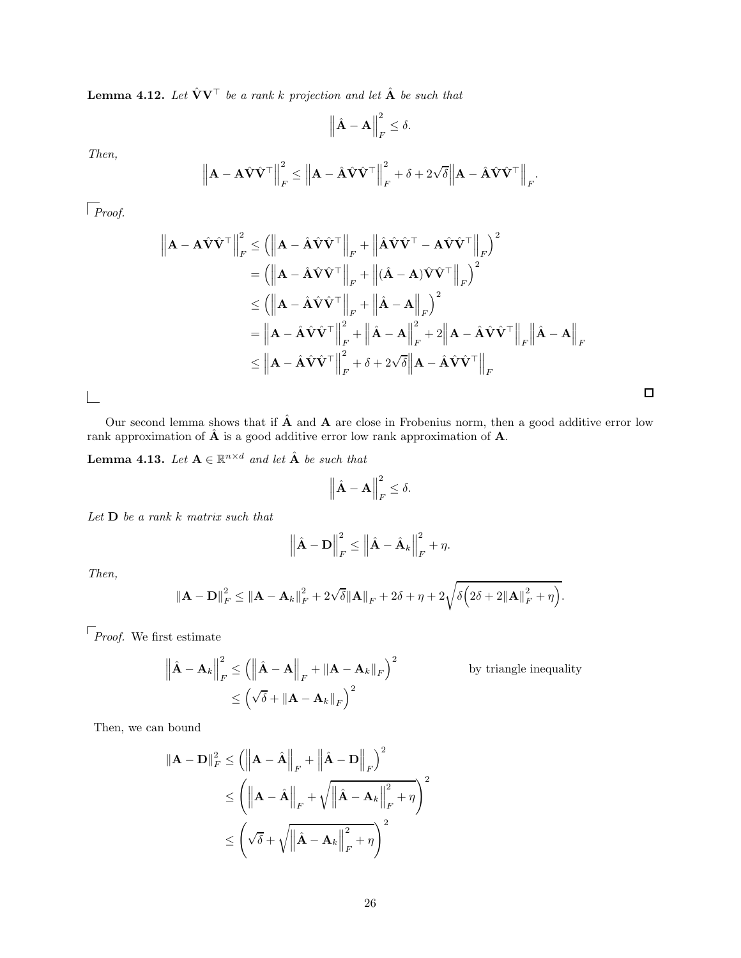<span id="page-26-1"></span>**Lemma 4.12.** Let  $\hat{\mathbf{V}}\mathbf{V}^{\top}$  be a rank k projection and let  $\hat{\mathbf{A}}$  be such that

$$
\left\|\hat{\mathbf{A}} - \mathbf{A}\right\|_F^2 \le \delta.
$$

*Then,*

$$
\left\| \mathbf{A} - \mathbf{A} \hat{\mathbf{V}} \hat{\mathbf{V}}^{\top} \right\|_{F}^{2} \leq \left\| \mathbf{A} - \hat{\mathbf{A}} \hat{\mathbf{V}} \hat{\mathbf{V}}^{\top} \right\|_{F}^{2} + \delta + 2\sqrt{\delta} \left\| \mathbf{A} - \hat{\mathbf{A}} \hat{\mathbf{V}} \hat{\mathbf{V}}^{\top} \right\|_{F}.
$$

*Proof.*

$$
\|\mathbf{A} - \mathbf{A}\hat{\mathbf{V}}\hat{\mathbf{V}}^{\top}\|_{F}^{2} \leq \left(\left\|\mathbf{A} - \hat{\mathbf{A}}\hat{\mathbf{V}}\hat{\mathbf{V}}^{\top}\right\|_{F} + \left\|\hat{\mathbf{A}}\hat{\mathbf{V}}\hat{\mathbf{V}}^{\top} - \mathbf{A}\hat{\mathbf{V}}\hat{\mathbf{V}}^{\top}\right\|_{F}\right)^{2}
$$
\n
$$
= \left(\left\|\mathbf{A} - \hat{\mathbf{A}}\hat{\mathbf{V}}\hat{\mathbf{V}}^{\top}\right\|_{F} + \left\|\hat{\mathbf{A}} - \mathbf{A}\right)\hat{\mathbf{V}}\hat{\mathbf{V}}^{\top}\right\|_{F}\right)^{2}
$$
\n
$$
\leq \left(\left\|\mathbf{A} - \hat{\mathbf{A}}\hat{\mathbf{V}}\hat{\mathbf{V}}^{\top}\right\|_{F} + \left\|\hat{\mathbf{A}} - \mathbf{A}\right\|_{F}\right)^{2}
$$
\n
$$
= \left\|\mathbf{A} - \hat{\mathbf{A}}\hat{\mathbf{V}}\hat{\mathbf{V}}^{\top}\right\|_{F}^{2} + \left\|\hat{\mathbf{A}} - \mathbf{A}\right\|_{F}^{2} + 2\left\|\mathbf{A} - \hat{\mathbf{A}}\hat{\mathbf{V}}\hat{\mathbf{V}}^{\top}\right\|_{F}\left\|\hat{\mathbf{A}} - \mathbf{A}\right\|_{F}
$$
\n
$$
\leq \left\|\mathbf{A} - \hat{\mathbf{A}}\hat{\mathbf{V}}\hat{\mathbf{V}}^{\top}\right\|_{F}^{2} + \delta + 2\sqrt{\delta}\left\|\mathbf{A} - \hat{\mathbf{A}}\hat{\mathbf{V}}\hat{\mathbf{V}}^{\top}\right\|_{F}
$$

 $\Box$ 

 $\Box$ 

Our second lemma shows that if  $\hat{A}$  and  $A$  are close in Frobenius norm, then a good additive error low rank approximation of  $\hat{A}$  is a good additive error low rank approximation of  $A$ .

<span id="page-26-0"></span>**Lemma 4.13.** Let  $A \in \mathbb{R}^{n \times d}$  and let  $\hat{A}$  be such that

$$
\left\|\hat{\mathbf{A}}-\mathbf{A}\right\|_F^2 \leq \delta.
$$

*Let* D *be a rank* k *matrix such that*

$$
\left\|\hat{\mathbf{A}} - \mathbf{D}\right\|_F^2 \le \left\|\hat{\mathbf{A}} - \hat{\mathbf{A}}_k\right\|_F^2 + \eta.
$$

*Then,*

$$
\|\mathbf{A} - \mathbf{D}\|_F^2 \le \|\mathbf{A} - \mathbf{A}_k\|_F^2 + 2\sqrt{\delta} \|\mathbf{A}\|_F + 2\delta + \eta + 2\sqrt{\delta\left(2\delta + 2\|\mathbf{A}\|_F^2 + \eta\right)}.
$$

 $\mathcal{F}_{\mathit{Proof.}}$  We first estimate

$$
\left\|\hat{\mathbf{A}} - \mathbf{A}_k\right\|_F^2 \le \left(\left\|\hat{\mathbf{A}} - \mathbf{A}\right\|_F + \|\mathbf{A} - \mathbf{A}_k\|_F\right)^2
$$
 by triangle inequality  

$$
\le \left(\sqrt{\delta} + \|\mathbf{A} - \mathbf{A}_k\|_F\right)^2
$$

Then, we can bound

$$
\|\mathbf{A} - \mathbf{D}\|_{F}^{2} \leq \left( \left\| \mathbf{A} - \hat{\mathbf{A}} \right\|_{F} + \left\| \hat{\mathbf{A}} - \mathbf{D} \right\|_{F} \right)^{2}
$$
  

$$
\leq \left( \left\| \mathbf{A} - \hat{\mathbf{A}} \right\|_{F} + \sqrt{\left\| \hat{\mathbf{A}} - \mathbf{A}_{k} \right\|_{F}^{2} + \eta} \right)^{2}
$$
  

$$
\leq \left( \sqrt{\delta} + \sqrt{\left\| \hat{\mathbf{A}} - \mathbf{A}_{k} \right\|_{F}^{2} + \eta} \right)^{2}
$$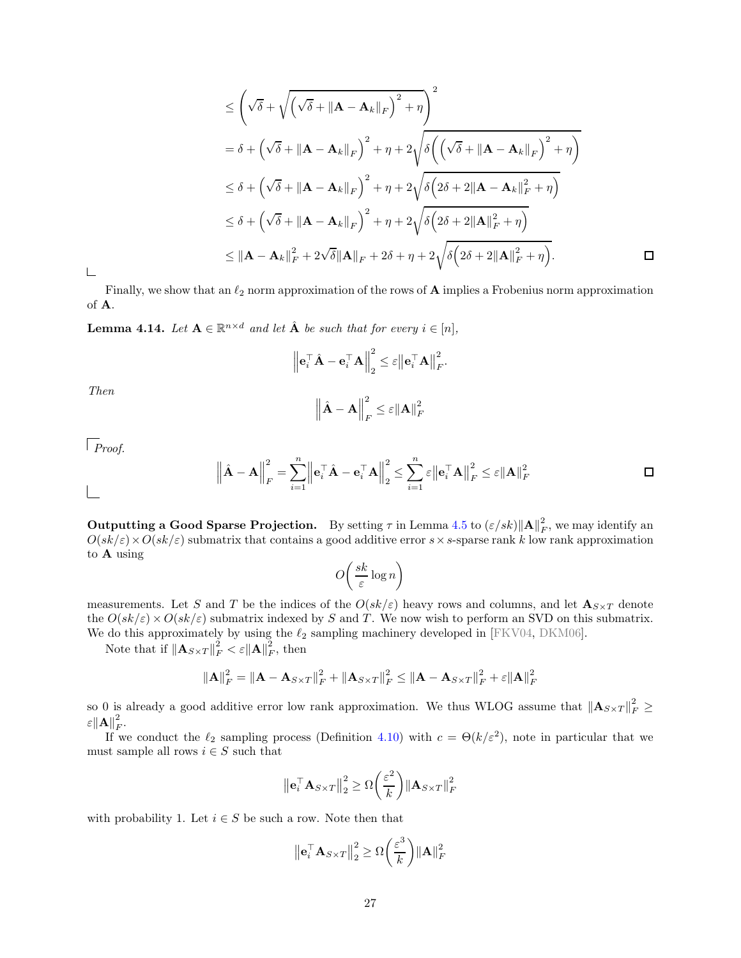$$
\leq \left(\sqrt{\delta} + \sqrt{\left(\sqrt{\delta} + \|\mathbf{A} - \mathbf{A}_k\|_F\right)^2 + \eta}\right)^2
$$
\n
$$
= \delta + \left(\sqrt{\delta} + \|\mathbf{A} - \mathbf{A}_k\|_F\right)^2 + \eta + 2\sqrt{\delta\left(\left(\sqrt{\delta} + \|\mathbf{A} - \mathbf{A}_k\|_F\right)^2 + \eta\right)}
$$
\n
$$
\leq \delta + \left(\sqrt{\delta} + \|\mathbf{A} - \mathbf{A}_k\|_F\right)^2 + \eta + 2\sqrt{\delta\left(2\delta + 2\|\mathbf{A} - \mathbf{A}_k\|_F^2 + \eta\right)}
$$
\n
$$
\leq \delta + \left(\sqrt{\delta} + \|\mathbf{A} - \mathbf{A}_k\|_F\right)^2 + \eta + 2\sqrt{\delta\left(2\delta + 2\|\mathbf{A}\|_F^2 + \eta\right)}
$$
\n
$$
\leq \|\mathbf{A} - \mathbf{A}_k\|_F^2 + 2\sqrt{\delta}\|\mathbf{A}\|_F + 2\delta + \eta + 2\sqrt{\delta\left(2\delta + 2\|\mathbf{A}\|_F^2 + \eta\right)}.
$$

 $\sqsubseteq$ 

Finally, we show that an  $\ell_2$  norm approximation of the rows of **A** implies a Frobenius norm approximation of A.

<span id="page-27-0"></span>**Lemma 4.14.** Let  $A \in \mathbb{R}^{n \times d}$  and let  $\hat{A}$  be such that for every  $i \in [n]$ ,

$$
\left\| \mathbf{e}_i^\top \hat{\mathbf{A}} - \mathbf{e}_i^\top \mathbf{A} \right\|_2^2 \leq \varepsilon \left\| \mathbf{e}_i^\top \mathbf{A} \right\|_F^2.
$$

*Then*

$$
\left\|\hat{\mathbf{A}} - \mathbf{A}\right\|_F^2 \le \varepsilon \|\mathbf{A}\|_F^2
$$

*Proof.*

 $\mathbb{R}$ 

$$
\left\| \hat{\mathbf{A}} - \mathbf{A} \right\|_F^2 = \sum_{i=1}^n \left\| \mathbf{e}_i^{\top} \hat{\mathbf{A}} - \mathbf{e}_i^{\top} \mathbf{A} \right\|_2^2 \le \sum_{i=1}^n \varepsilon \left\| \mathbf{e}_i^{\top} \mathbf{A} \right\|_F^2 \le \varepsilon \left\| \mathbf{A} \right\|_F^2
$$

<span id="page-27-1"></span>**Outputting a Good Sparse Projection.** By setting  $\tau$  in Lemma [4.5](#page-21-1) to  $(\varepsilon/sk)$  $||\mathbf{A}||_F^2$  $\sum_F^2$ , we may identify an  $O(sk/\varepsilon) \times O(sk/\varepsilon$ ) submatrix that contains a good additive error  $s \times s$ -sparse rank k low rank approximation to A using

$$
O\left(\frac{sk}{\varepsilon}\log n\right)
$$

measurements. Let S and T be the indices of the  $O(s k / \varepsilon)$  heavy rows and columns, and let  $\mathbf{A}_{S \times T}$  denote the  $O(sk/\varepsilon) \times O(sk/\varepsilon$  submatrix indexed by S and T. We now wish to perform an SVD on this submatrix. We do this approximately by using the  $\ell_2$  sampling machinery developed in [FKV04, DKM06].

Note that if  $\left\|\mathbf{A}_{S\times T}\right\|_F^2 < \varepsilon \|\mathbf{A}\|_F^2$  $_F^2$ , then

$$
\|\mathbf{A}\|_F^2 = \|\mathbf{A} - \mathbf{A}_{S\times T}\|_F^2 + \|\mathbf{A}_{S\times T}\|_F^2 \le \|\mathbf{A} - \mathbf{A}_{S\times T}\|_F^2 + \varepsilon \|\mathbf{A}\|_F^2
$$

so 0 is already a good additive error low rank approximation. We thus WLOG assume that  $\|\mathbf{A}_{S\times T}\|_F^2 \geq$  $\varepsilon \big\| \mathbf{A} \big\|_F^2$ F .

If we conduct the  $\ell_2$  sampling process (Definition [4.10\)](#page-25-0) with  $c = \Theta(k/\varepsilon^2)$ , note in particular that we must sample all rows  $i \in S$  such that

$$
\left\|\mathbf{e}_i^{\top}\mathbf{A}_{S\times T}\right\|_2^2 \geq \Omega\left(\frac{\varepsilon^2}{k}\right) \left\|\mathbf{A}_{S\times T}\right\|_F^2
$$

with probability 1. Let  $i \in S$  be such a row. Note then that

$$
\left\|\mathbf{e}_i^{\top}\mathbf{A}_{S\times T}\right\|_2^2 \geq \Omega\left(\frac{\varepsilon^3}{k}\right) \|\mathbf{A}\|_F^2
$$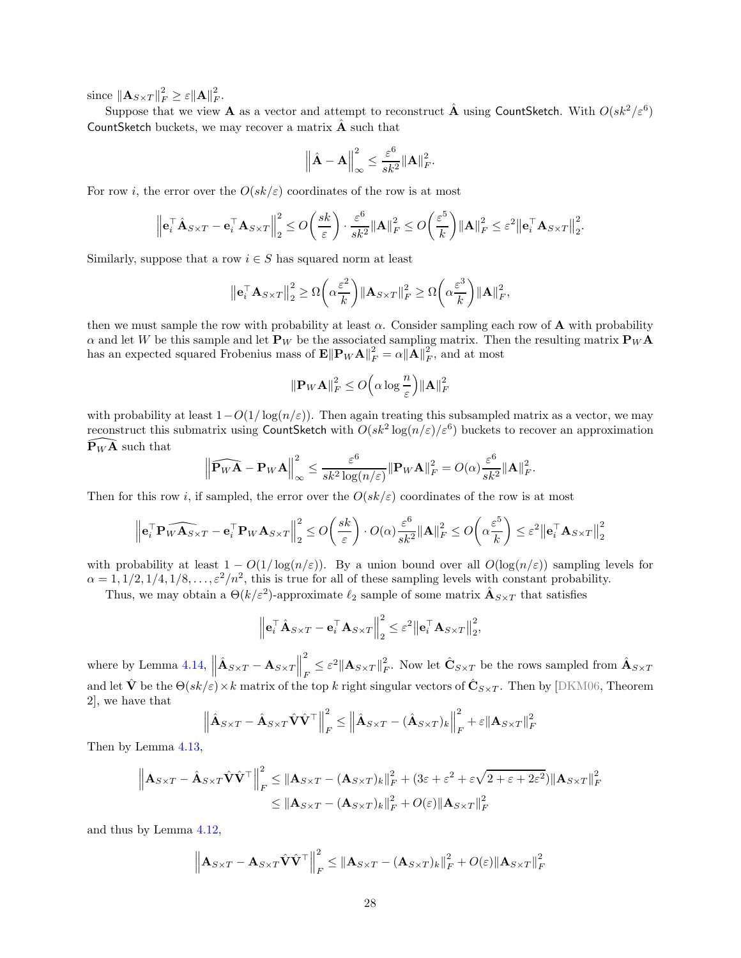since  $\left\Vert \mathbf{A}_{S\times T}\right\Vert _{F}^{2}\geq \varepsilon \left\Vert \mathbf{A}\right\Vert _{F}^{2}$  $^{\prime\prime}_F$ .

Suppose that we view  $\bf A$  as a vector and attempt to reconstruct  $\hat{\bf A}$  using CountSketch. With  $O(sk^2/\varepsilon^6)$ CountSketch buckets, we may recover a matrix  $\hat{A}$  such that

$$
\left\|\hat{\mathbf{A}}-\mathbf{A}\right\|_{\infty}^{2} \leq \frac{\varepsilon^{6}}{sk^{2}}\|\mathbf{A}\|_{F}^{2}.
$$

For row *i*, the error over the  $O(sk/\varepsilon)$  coordinates of the row is at most

$$
\left\| \mathbf{e}_i^{\top} \hat{\mathbf{A}}_{S \times T} - \mathbf{e}_i^{\top} \mathbf{A}_{S \times T} \right\|_2^2 \leq O\left(\frac{sk}{\varepsilon}\right) \cdot \frac{\varepsilon^6}{sk^2} \|\mathbf{A}\|_F^2 \leq O\left(\frac{\varepsilon^5}{k}\right) \|\mathbf{A}\|_F^2 \leq \varepsilon^2 \|\mathbf{e}_i^{\top} \mathbf{A}_{S \times T}\|_2^2.
$$

Similarly, suppose that a row  $i \in S$  has squared norm at least

$$
\left\|\mathbf{e}_i^{\top}\mathbf{A}_{S\times T}\right\|_2^2 \geq \Omega\left(\alpha \frac{\varepsilon^2}{k}\right) \|\mathbf{A}_{S\times T}\|_F^2 \geq \Omega\left(\alpha \frac{\varepsilon^3}{k}\right) \|\mathbf{A}\|_F^2,
$$

then we must sample the row with probability at least  $\alpha$ . Consider sampling each row of **A** with probability  $\alpha$  and let W be this sample and let  ${\bf P}_W$  be the associated sampling matrix. Then the resulting matrix  ${\bf P}_W{\bf A}$ has an expected squared Frobenius mass of  $\mathbf{E} \|\mathbf{P}_W \mathbf{A}\|_F^2 = \alpha \|\mathbf{A}\|_F^2$  $\frac{2}{F}$ , and at most

$$
\|\mathbf{P}_W\mathbf{A}\|_F^2 \le O\Big(\alpha \log \frac{n}{\varepsilon}\Big) \|\mathbf{A}\|_F^2
$$

with probability at least  $1-O(1/\log(n/\epsilon))$ . Then again treating this subsampled matrix as a vector, we may reconstruct this submatrix using CountSketch with  $O(sk^2 \log(n/\varepsilon)/\varepsilon^6)$  buckets to recover an approximation  $\widetilde{\mathbf{P}}_W \widetilde{\mathbf{A}}$  such that

$$
\left\|\widehat{\mathbf{P}_{W}}\mathbf{A}-\mathbf{P}_{W}\mathbf{A}\right\|_{\infty}^{2} \leq \frac{\varepsilon^{6}}{sk^{2}\log(n/\varepsilon)}\|\mathbf{P}_{W}\mathbf{A}\|_{F}^{2} = O(\alpha)\frac{\varepsilon^{6}}{sk^{2}}\|\mathbf{A}\|_{F}^{2}.
$$

Then for this row i, if sampled, the error over the  $O(sk/\varepsilon)$  coordinates of the row is at most

$$
\left\| \mathbf{e}_i^\top \mathbf{P}_W \widehat{\mathbf{A}_{S \times T}} - \mathbf{e}_i^\top \mathbf{P}_W \mathbf{A}_{S \times T} \right\|_2^2 \le O\left(\frac{sk}{\varepsilon}\right) \cdot O(\alpha) \frac{\varepsilon^6}{sk^2} \|\mathbf{A}\|_F^2 \le O\left(\alpha \frac{\varepsilon^5}{k}\right) \le \varepsilon^2 \left\| \mathbf{e}_i^\top \mathbf{A}_{S \times T} \right\|_2^2
$$

with probability at least  $1 - O(1/\log(n/\varepsilon))$ . By a union bound over all  $O(\log(n/\varepsilon))$  sampling levels for  $\alpha = 1, 1/2, 1/4, 1/8, \ldots, \varepsilon^2/n^2$ , this is true for all of these sampling levels with constant probability.

Thus, we may obtain a  $\Theta(k/\varepsilon^2)$ -approximate  $\ell_2$  sample of some matrix  $\hat{\mathbf{A}}_{S\times T}$  that satisfies

$$
\left\| \mathbf{e}_i^{\top} \hat{\mathbf{A}}_{S \times T} - \mathbf{e}_i^{\top} \mathbf{A}_{S \times T} \right\|_2^2 \leq \varepsilon^2 \left\| \mathbf{e}_i^{\top} \mathbf{A}_{S \times T} \right\|_2^2,
$$

where by Lemma [4.14,](#page-27-0)  $\parallel$  $\hat{\mathbf{A}}_{S\times T} - \mathbf{A}_{S\times T}$ 2  $\frac{2}{F} \leq \varepsilon^2 \|\mathbf{A}_{S \times T}\|_F^2$  $\hat{\mathbf{C}}_{S\times T}$  be the rows sampled from  $\hat{\mathbf{A}}_{S\times T}$ and let  $\hat{\mathbf{V}}$  be the  $\Theta(sk/\varepsilon) \times k$  matrix of the top k right singular vectors of  $\hat{\mathbf{C}}_{S \times T}$ . Then by [DKM06, Theorem 2], we have that

$$
\left\| \hat{\mathbf{A}}_{S \times T} - \hat{\mathbf{A}}_{S \times T} \hat{\mathbf{V}} \hat{\mathbf{V}}^{\top} \right\|_{F}^{2} \leq \left\| \hat{\mathbf{A}}_{S \times T} - (\hat{\mathbf{A}}_{S \times T})_{k} \right\|_{F}^{2} + \varepsilon \|\mathbf{A}_{S \times T}\|_{F}^{2}
$$

Then by Lemma [4.13,](#page-26-0)

$$
\|\mathbf{A}_{S\times T} - \hat{\mathbf{A}}_{S\times T}\hat{\mathbf{V}}\hat{\mathbf{V}}^{\top}\|_{F}^{2} \leq \|\mathbf{A}_{S\times T} - (\mathbf{A}_{S\times T})_{k}\|_{F}^{2} + (3\varepsilon + \varepsilon^{2} + \varepsilon\sqrt{2 + \varepsilon + 2\varepsilon^{2}})\|\mathbf{A}_{S\times T}\|_{F}^{2}
$$
  

$$
\leq \|\mathbf{A}_{S\times T} - (\mathbf{A}_{S\times T})_{k}\|_{F}^{2} + O(\varepsilon)\|\mathbf{A}_{S\times T}\|_{F}^{2}
$$

and thus by Lemma [4.12,](#page-26-1)

$$
\left\|\mathbf{A}_{S\times T}-\mathbf{A}_{S\times T}\hat{\mathbf{V}}\hat{\mathbf{V}}^{\top}\right\|_{F}^{2} \leq \left\|\mathbf{A}_{S\times T}-(\mathbf{A}_{S\times T})_{k}\right\|_{F}^{2}+O(\varepsilon)\|\mathbf{A}_{S\times T}\|_{F}^{2}
$$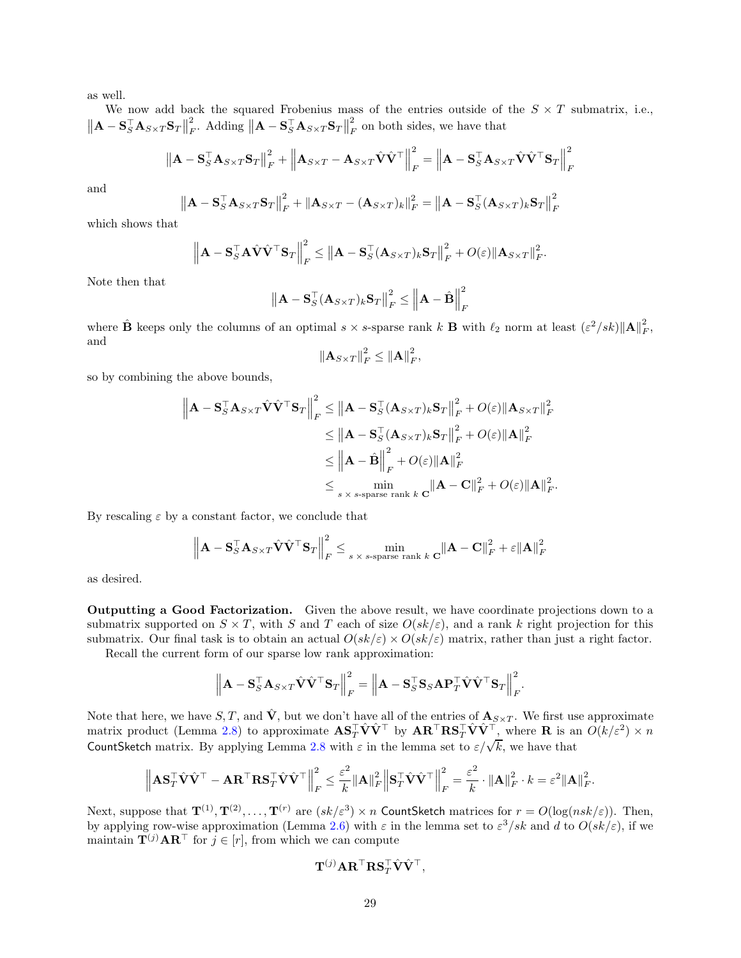as well.

We now add back the squared Frobenius mass of the entries outside of the  $S \times T$  submatrix, i.e.,  $\|\mathbf{A} - \mathbf{S}_S^{\top} \mathbf{A}_{S \times T} \mathbf{S}_T \|$ 2  $_{F}^{2}$ . Adding  $||\mathbf{A} - \mathbf{S}_{S}^{\top} \mathbf{A}_{S \times T} \mathbf{S}_{T}||$ 2  $\frac{2}{F}$  on both sides, we have that

$$
\left\| \mathbf{A} - \mathbf{S}_S^{\top} \mathbf{A}_{S \times T} \mathbf{S}_T \right\|_F^2 + \left\| \mathbf{A}_{S \times T} - \mathbf{A}_{S \times T} \hat{\mathbf{V}} \hat{\mathbf{V}}^{\top} \right\|_F^2 = \left\| \mathbf{A} - \mathbf{S}_S^{\top} \mathbf{A}_{S \times T} \hat{\mathbf{V}} \hat{\mathbf{V}}^{\top} \mathbf{S}_T \right\|_F^2
$$

and

$$
\left\|\mathbf{A} - \mathbf{S}_{S}^{\top} \mathbf{A}_{S \times T} \mathbf{S}_{T}\right\|_{F}^{2} + \left\|\mathbf{A}_{S \times T} - (\mathbf{A}_{S \times T})_{k}\right\|_{F}^{2} = \left\|\mathbf{A} - \mathbf{S}_{S}^{\top} (\mathbf{A}_{S \times T})_{k} \mathbf{S}_{T}\right\|_{F}^{2}
$$

which shows that

$$
\left\| \mathbf{A} - \mathbf{S}_{S}^{\top} \mathbf{A} \hat{\mathbf{V}} \hat{\mathbf{V}}^{\top} \mathbf{S}_{T} \right\|_{F}^{2} \leq \left\| \mathbf{A} - \mathbf{S}_{S}^{\top} (\mathbf{A}_{S \times T})_{k} \mathbf{S}_{T} \right\|_{F}^{2} + O(\varepsilon) \|\mathbf{A}_{S \times T}\|_{F}^{2}.
$$

Note then that

$$
\left\| \mathbf{A} - \mathbf{S}_S^{\top} (\mathbf{A}_{S \times T})_k \mathbf{S}_T \right\|_F^2 \le \left\| \mathbf{A} - \hat{\mathbf{B}} \right\|_F^2
$$

where  $\hat{\mathbf{B}}$  keeps only the columns of an optimal  $s \times s$ -sparse rank k **B** with  $\ell_2$  norm at least  $(\varepsilon^2/sk) \|\mathbf{A}\|_F^2$ , and

$$
\left\|\mathbf{A}_{S\times T}\right\|_F^2 \leq \left\|\mathbf{A}\right\|_F^2,
$$

so by combining the above bounds,

$$
\|\mathbf{A} - \mathbf{S}_{S}^{\top} \mathbf{A}_{S \times T} \hat{\mathbf{V}}^{\top} \mathbf{S}_{T} \|_{F}^{2} \leq \|\mathbf{A} - \mathbf{S}_{S}^{\top} (\mathbf{A}_{S \times T})_{k} \mathbf{S}_{T} \|_{F}^{2} + O(\varepsilon) \|\mathbf{A}_{S \times T} \|_{F}^{2}
$$
  
\n
$$
\leq \|\mathbf{A} - \mathbf{S}_{S}^{\top} (\mathbf{A}_{S \times T})_{k} \mathbf{S}_{T} \|_{F}^{2} + O(\varepsilon) \|\mathbf{A}\|_{F}^{2}
$$
  
\n
$$
\leq \|\mathbf{A} - \hat{\mathbf{B}}\|_{F}^{2} + O(\varepsilon) \|\mathbf{A}\|_{F}^{2}
$$
  
\n
$$
\leq \min_{s \times s\text{-sparse rank } k} \|\mathbf{A} - \mathbf{C}\|_{F}^{2} + O(\varepsilon) \|\mathbf{A}\|_{F}^{2}.
$$

By rescaling  $\varepsilon$  by a constant factor, we conclude that

$$
\left\|{\mathbf{A}} - {\mathbf{S}}_S^\top {\mathbf{A}}_{S\times T} \hat{{\mathbf{V}}} \hat{{\mathbf{V}}}^\top {\mathbf{S}}_T\right\|_F^2 \le \min_{s\,\times\,s\text{-sparse rank }k} {\mathbf{C}}\|{\mathbf{A}} - {\mathbf{C}}\|_F^2 + \varepsilon \|{\mathbf{A}}\|_F^2
$$

as desired.

Outputting a Good Factorization. Given the above result, we have coordinate projections down to a submatrix supported on  $S \times T$ , with S and T each of size  $O(sk/\varepsilon)$ , and a rank k right projection for this submatrix. Our final task is to obtain an actual  $O(sk/\varepsilon) \times O(sk/\varepsilon)$  matrix, rather than just a right factor.

Recall the current form of our sparse low rank approximation:

$$
\left\| \mathbf{A} - \mathbf{S}_{S}^{\top} \mathbf{A}_{S \times T} \hat{\mathbf{V}} \hat{\mathbf{V}}^{\top} \mathbf{S}_{T} \right\|_{F}^{2} = \left\| \mathbf{A} - \mathbf{S}_{S}^{\top} \mathbf{S}_{S} \mathbf{A} \mathbf{P}_{T}^{\top} \hat{\mathbf{V}} \hat{\mathbf{V}}^{\top} \mathbf{S}_{T} \right\|_{F}^{2}.
$$

Note that here, we have  $S, T$ , and  $\hat{\mathbf{V}}$ , but we don't have all of the entries of  $\mathbf{A}_{S \times T}$ . We first use approximate matrix product (Lemma [2.8\)](#page-11-3) to approximate  $\mathbf{AS}_T^\top \hat{\mathbf{V}} \hat{\mathbf{V}}^\top$  by  $\mathbf{AR}^\top \mathbf{RS}_T^\top \hat{\mathbf{V}} \hat{\mathbf{V}}^\top$ , where **R** is an  $O(k/\varepsilon^2) \times n$ CountSketch matrix. By applying Lemma [2.8](#page-11-3) with  $\varepsilon$  in the lemma set to  $\varepsilon/\sqrt{k}$ , we have that

$$
\left\| \mathbf{A} \mathbf{S}_T^\top \hat{\mathbf{V}} \hat{\mathbf{V}}^\top - \mathbf{A} \mathbf{R}^\top \mathbf{R} \mathbf{S}_T^\top \hat{\mathbf{V}} \hat{\mathbf{V}}^\top \right\|_F^2 \leq \frac{\varepsilon^2}{k} \|\mathbf{A}\|_F^2 \left\| \mathbf{S}_T^\top \hat{\mathbf{V}} \hat{\mathbf{V}}^\top \right\|_F^2 = \frac{\varepsilon^2}{k} \cdot \|\mathbf{A}\|_F^2 \cdot k = \varepsilon^2 \|\mathbf{A}\|_F^2.
$$

Next, suppose that  $\mathbf{T}^{(1)}, \mathbf{T}^{(2)}, \ldots, \mathbf{T}^{(r)}$  are  $(sk/\varepsilon^3) \times n$  CountSketch matrices for  $r = O(\log(nsk/\varepsilon))$ . Then, by applying row-wise approximation (Lemma [2.6\)](#page-10-1) with  $\varepsilon$  in the lemma set to  $\varepsilon^3/sk$  and d to  $O(sk/\varepsilon)$ , if we maintain  $\mathbf{T}^{(j)} \mathbf{A} \mathbf{R}^{\top}$  for  $j \in [r]$ , from which we can compute

$$
\mathbf{T}^{(j)}\mathbf{A}\mathbf{R}^{\top}\mathbf{R}\mathbf{S}^{\top}_{T}\hat{\mathbf{V}}\hat{\mathbf{V}}^{\top},
$$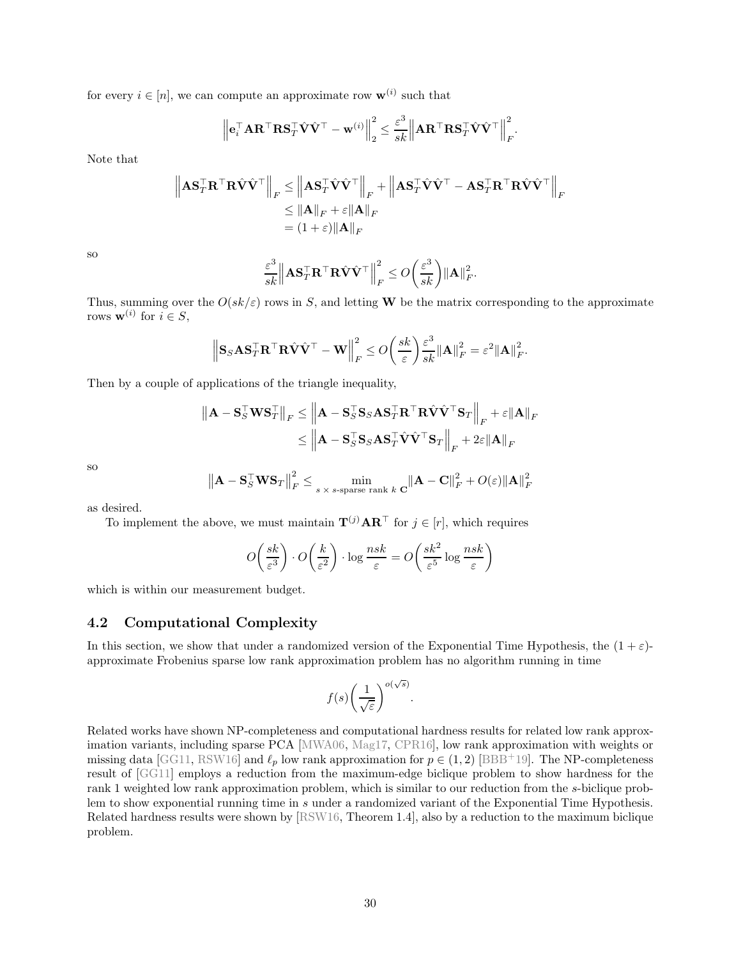for every  $i \in [n]$ , we can compute an approximate row  $\mathbf{w}^{(i)}$  such that

$$
\left\| \mathbf{e}_i^\top \mathbf{A} \mathbf{R}^\top \mathbf{R} \mathbf{S}_T^\top \hat{\mathbf{V}} \hat{\mathbf{V}}^\top - \mathbf{w}^{(i)} \right\|_2^2 \leq \frac{\varepsilon^3}{sk} \left\| \mathbf{A} \mathbf{R}^\top \mathbf{R} \mathbf{S}_T^\top \hat{\mathbf{V}} \hat{\mathbf{V}}^\top \right\|_F^2.
$$

Note that

$$
\begin{aligned} \left\| \mathbf{A} \mathbf{S}_T^\top \mathbf{R}^\top \mathbf{R} \hat{\mathbf{V}} \hat{\mathbf{V}}^\top \right\|_F &\leq \left\| \mathbf{A} \mathbf{S}_T^\top \hat{\mathbf{V}} \hat{\mathbf{V}}^\top \right\|_F + \left\| \mathbf{A} \mathbf{S}_T^\top \hat{\mathbf{V}} \hat{\mathbf{V}}^\top - \mathbf{A} \mathbf{S}_T^\top \mathbf{R}^\top \mathbf{R} \hat{\mathbf{V}} \hat{\mathbf{V}}^\top \right\|_F \\ &\leq \| \mathbf{A} \|_F + \varepsilon \| \mathbf{A} \|_F \\ &= (1 + \varepsilon) \| \mathbf{A} \|_F \end{aligned}
$$

so

$$
\frac{\varepsilon^3}{sk} \left\| \mathbf{A} \mathbf{S}_T^\top \mathbf{R}^\top \mathbf{R} \hat{\mathbf{V}} \hat{\mathbf{V}}^\top \right\|_F^2 \le O\left(\frac{\varepsilon^3}{sk}\right) \|\mathbf{A}\|_F^2.
$$

Thus, summing over the  $O(sk/\varepsilon)$  rows in S, and letting W be the matrix corresponding to the approximate rows  $\mathbf{w}^{(i)}$  for  $i \in S$ ,

$$
\left\| \mathbf{S}_S \mathbf{A} \mathbf{S}_T^\top \mathbf{R}^\top \mathbf{R} \hat{\mathbf{V}} \hat{\mathbf{V}}^\top - \mathbf{W} \right\|_F^2 \le O\bigg(\frac{s k}{\varepsilon}\bigg) \frac{\varepsilon^3}{s k} \|\mathbf{A}\|_F^2 = \varepsilon^2 \|\mathbf{A}\|_F^2.
$$

Then by a couple of applications of the triangle inequality,

$$
\begin{aligned} \left\| \mathbf{A} - \mathbf{S}_S^\top \mathbf{W} \mathbf{S}_T^\top \right\|_F &\leq \left\| \mathbf{A} - \mathbf{S}_S^\top \mathbf{S}_S \mathbf{A} \mathbf{S}_T^\top \mathbf{R}^\top \mathbf{R} \hat{\mathbf{V}} \hat{\mathbf{V}}^\top \mathbf{S}_T \right\|_F + \varepsilon \|\mathbf{A}\|_F \\ &\leq \left\| \mathbf{A} - \mathbf{S}_S^\top \mathbf{S}_S \mathbf{A} \mathbf{S}_T^\top \hat{\mathbf{V}} \hat{\mathbf{V}}^\top \mathbf{S}_T \right\|_F + 2\varepsilon \|\mathbf{A}\|_F \end{aligned}
$$

so

$$
\left\|\mathbf{A} - \mathbf{S}_{S}^{\top} \mathbf{W} \mathbf{S}_{T}\right\|_{F}^{2} \leq \min_{s \times s\text{-sparse rank } k} \frac{\| \mathbf{A} - \mathbf{C} \|_{F}^{2} + O(\varepsilon) \| \mathbf{A} \|_{F}^{2}}{\| \mathbf{A} \|_{F}^{2}}
$$

as desired.

To implement the above, we must maintain  $\mathbf{T}^{(j)} \mathbf{A} \mathbf{R}^{\top}$  for  $j \in [r]$ , which requires

$$
O\left(\frac{sk}{\varepsilon^3}\right) \cdot O\left(\frac{k}{\varepsilon^2}\right) \cdot \log \frac{nsk}{\varepsilon} = O\left(\frac{sk^2}{\varepsilon^5} \log \frac{nsk}{\varepsilon}\right)
$$

which is within our measurement budget.

# <span id="page-30-0"></span>4.2 Computational Complexity

In this section, we show that under a randomized version of the Exponential Time Hypothesis, the  $(1 + \varepsilon)$ approximate Frobenius sparse low rank approximation problem has no algorithm running in time

$$
f(s)\bigg(\frac{1}{\sqrt{\varepsilon}}\bigg)^{o(\sqrt{s})}.
$$

Related works have shown NP-completeness and computational hardness results for related low rank approximation variants, including sparse PCA [MWA06, Mag17, CPR16], low rank approximation with weights or missing data [GG11, RSW16] and  $\ell_p$  low rank approximation for  $p \in (1, 2)$  [BBB<sup>+</sup>19]. The NP-completeness result of [GG11] employs a reduction from the maximum-edge biclique problem to show hardness for the rank 1 weighted low rank approximation problem, which is similar to our reduction from the s-biclique problem to show exponential running time in s under a randomized variant of the Exponential Time Hypothesis. Related hardness results were shown by [RSW16, Theorem 1.4], also by a reduction to the maximum biclique problem.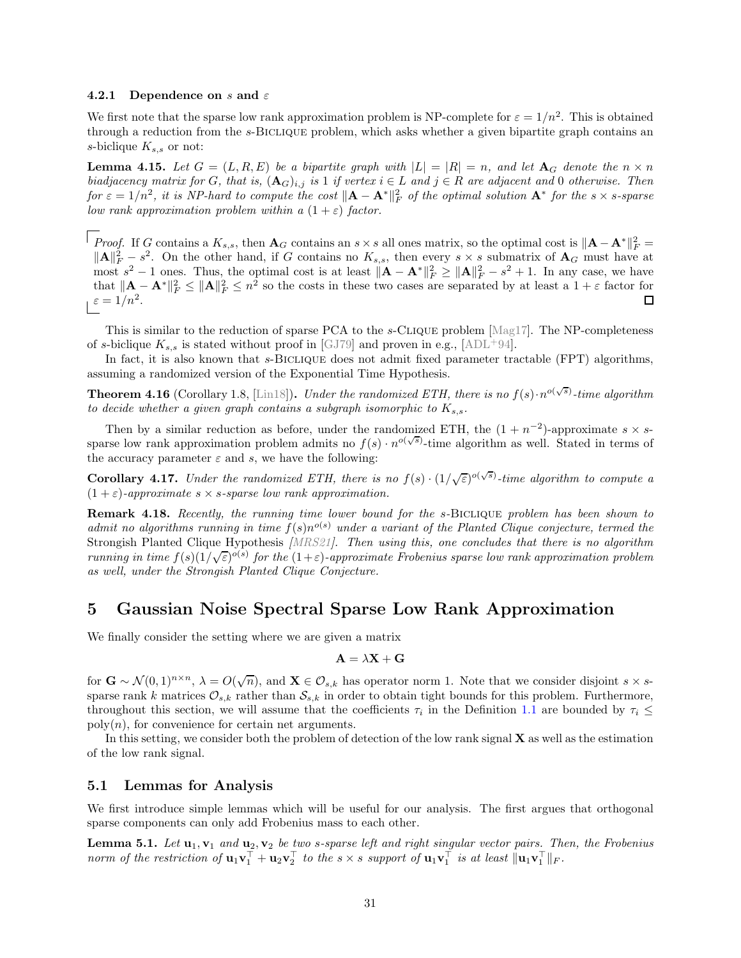#### 4.2.1 Dependence on s and  $\varepsilon$

We first note that the sparse low rank approximation problem is NP-complete for  $\varepsilon = 1/n^2$ . This is obtained through a reduction from the s-Biclique problem, which asks whether a given bipartite graph contains an s-biclique  $K_{s,s}$  or not:

<span id="page-31-1"></span>**Lemma 4.15.** Let  $G = (L, R, E)$  be a bipartite graph with  $|L| = |R| = n$ , and let  $A_G$  denote the  $n \times n$ *biadjacency matrix for* G, that is,  $(A_G)_{i,j}$  is 1 if vertex  $i \in L$  and  $j \in R$  are adjacent and 0 otherwise. Then  $f \circ \sigma \varepsilon = 1/n^2$ , it is NP-hard to compute the cost  $\|\mathbf{A} - \mathbf{A}^*\|_F^2$  of the optimal solution  $\mathbf{A}^*$  for the  $s \times s$ -sparse *low rank approximation problem within a*  $(1 + \varepsilon)$  *factor.* 

*Proof.* If G contains a  $K_{s,s}$ , then  $\mathbf{A}_G$  contains an  $s \times s$  all ones matrix, so the optimal cost is  $\|\mathbf{A} - \mathbf{A}^*\|_F^2 =$  $||A||_F^2 - s^2$ . On the other hand, if G contains no  $K_{s,s}$ , then every  $s \times s$  submatrix of  $A_G$  must have at most  $s^2 - 1$  ones. Thus, the optimal cost is at least  $||\mathbf{A} - \mathbf{A}^*||_F^2 \ge ||\mathbf{A}||_F^2 - s^2 + 1$ . In any case, we have that  $||\mathbf{A} - \mathbf{A}^*||_F^2 \le ||\mathbf{A}||_F^2 \le n^2$  so the costs in these two cases are separated by at least a  $1 + \varepsilon$  factor for  $\varepsilon = 1/n^2$ . 口

This is similar to the reduction of sparse PCA to the s-Clique problem [Mag17]. The NP-completeness of s-biclique  $K_{s,s}$  is stated without proof in [GJ79] and proven in e.g., [ADL<sup>+94]</sup>.

In fact, it is also known that s-BICLIQUE does not admit fixed parameter tractable (FPT) algorithms, assuming a randomized version of the Exponential Time Hypothesis.

<span id="page-31-2"></span>**Theorem 4.16** (Corollary 1.8, [Lin18]). *Under the randomized ETH, there is no*  $f(s) \cdot n^{o(\sqrt{s})}$ -time algorithm *to decide whether a given graph contains a subgraph isomorphic to*  $K_{s,s}$ .

Then by a similar reduction as before, under the randomized ETH, the  $(1 + n^{-2})$ -approximate  $s \times s$ sparse low rank approximation problem admits no  $f(s) \cdot n^{o(\sqrt{s})}$ -time algorithm as well. Stated in terms of the accuracy parameter  $\varepsilon$  and s, we have the following:

**Corollary 4.17.** *Under the randomized ETH, there is no*  $f(s) \cdot (1/\sqrt{\epsilon})^{o(\sqrt{s})}$ -time algorithm to compute a  $(1 + \varepsilon)$ -approximate  $s \times s$ -sparse low rank approximation.

<span id="page-31-3"></span>Remark 4.18. *Recently, the running time lower bound for the* s*-*Biclique *problem has been shown to* admit no algorithms running in time  $f(s)n^{o(s)}$  under a variant of the Planted Clique conjecture, termed the Strongish Planted Clique Hypothesis *[MRS21]. Then using this, one concludes that there is no algorithm running in time*  $f(s)(1/\sqrt{\varepsilon})^{\delta(s)}$  for the  $(1+\varepsilon)$ -approximate Frobenius sparse low rank approximation problem *as well, under the Strongish Planted Clique Conjecture.*

# <span id="page-31-0"></span>5 Gaussian Noise Spectral Sparse Low Rank Approximation

We finally consider the setting where we are given a matrix

$$
\mathbf{A} = \lambda \mathbf{X} + \mathbf{G}
$$

for  $\mathbf{G} \sim \mathcal{N}(0,1)^{n \times n}$ ,  $\lambda = O(\sqrt{n})$ , and  $\mathbf{X} \in \mathcal{O}_{s,k}$  has operator norm 1. Note that we consider disjoint  $s \times s$ sparse rank k matrices  $\mathcal{O}_{s,k}$  rather than  $\mathcal{S}_{s,k}$  in order to obtain tight bounds for this problem. Furthermore, throughout this section, we will assume that the coefficients  $\tau_i$  in the Definition [1.1](#page-1-0) are bounded by  $\tau_i \leq$  $poly(n)$ , for convenience for certain net arguments.

In this setting, we consider both the problem of detection of the low rank signal  $X$  as well as the estimation of the low rank signal.

## 5.1 Lemmas for Analysis

We first introduce simple lemmas which will be useful for our analysis. The first argues that orthogonal sparse components can only add Frobenius mass to each other.

**Lemma 5.1.** Let  $\mathbf{u}_1, \mathbf{v}_1$  and  $\mathbf{u}_2, \mathbf{v}_2$  be two s-sparse left and right singular vector pairs. Then, the Frobenius *norm of the restriction of*  $\mathbf{u}_1 \mathbf{v}_1^{\top} + \mathbf{u}_2 \mathbf{v}_2^{\top}$  *to the*  $s \times s$  *support of*  $\mathbf{u}_1 \mathbf{v}_1^{\top}$  *is at least*  $\|\mathbf{u}_1 \mathbf{v}_1^{\top}\|_F$ .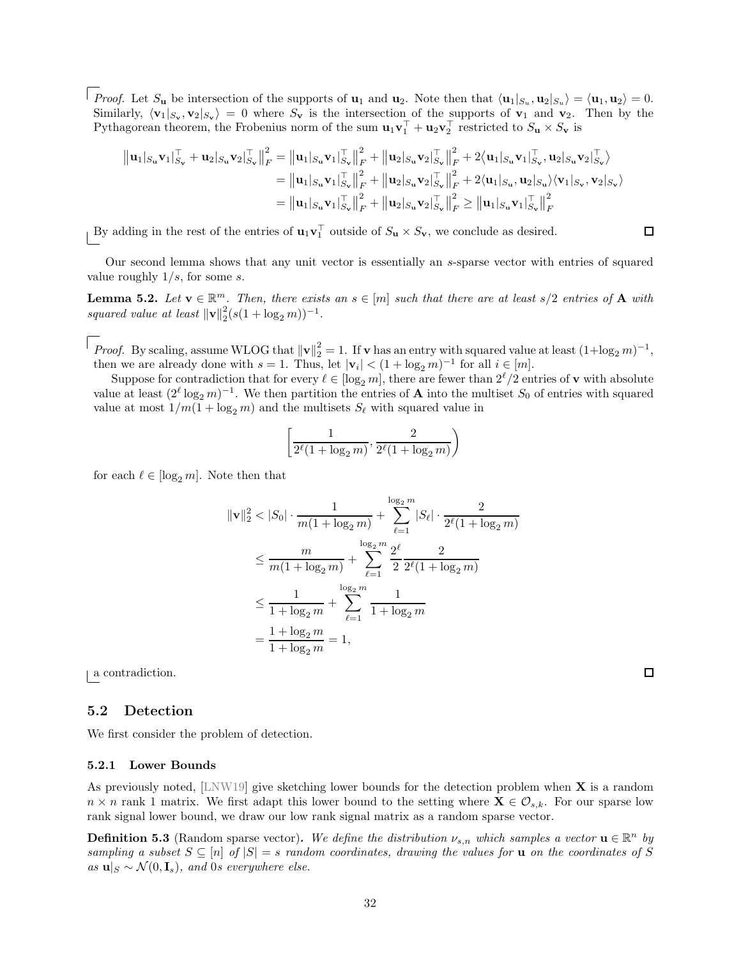*Proof.* Let  $S_u$  be intersection of the supports of  $\mathbf{u}_1$  and  $\mathbf{u}_2$ . Note then that  $\langle \mathbf{u}_1 |_{S_u}, \mathbf{u}_2 |_{S_u} \rangle = \langle \mathbf{u}_1, \mathbf{u}_2 \rangle = 0$ . Similarly,  $\langle v_1|_{S_v}, v_2|_{S_v}\rangle = 0$  where  $S_v$  is the intersection of the supports of  $v_1$  and  $v_2$ . Then by the Pythagorean theorem, the Frobenius norm of the sum  $\mathbf{u}_1 \mathbf{v}_1^{\perp} + \mathbf{u}_2 \mathbf{v}_2^{\perp}$  restricted to  $S_\mathbf{u} \times S_\mathbf{v}$  is

$$
\| \mathbf{u}_1 |_{S_{\mathbf{u}}} \mathbf{v}_1 |_{S_{\mathbf{v}}}^{\top} + \mathbf{u}_2 |_{S_{\mathbf{u}}} \mathbf{v}_2 |_{S_{\mathbf{v}}}^{\top} \|_F^2 = \| \mathbf{u}_1 |_{S_{\mathbf{u}}} \mathbf{v}_1 |_{S_{\mathbf{v}}}^{\top} \|_F^2 + \| \mathbf{u}_2 |_{S_{\mathbf{u}}} \mathbf{v}_2 |_{S_{\mathbf{v}}}^{\top} \|_F^2 + 2 \langle \mathbf{u}_1 |_{S_{\mathbf{u}}} \mathbf{v}_1 |_{S_{\mathbf{v}}}^{\top}, \mathbf{u}_2 |_{S_{\mathbf{u}}} \mathbf{v}_2 |_{S_{\mathbf{v}}}^{\top} \rangle
$$
  
\n
$$
= \| \mathbf{u}_1 |_{S_{\mathbf{u}}} \mathbf{v}_1 |_{S_{\mathbf{v}}}^{\top} \|_F^2 + \| \mathbf{u}_2 |_{S_{\mathbf{u}}} \mathbf{v}_2 |_{S_{\mathbf{v}}}^{\top} \|_F^2 + 2 \langle \mathbf{u}_1 |_{S_{\mathbf{u}}}, \mathbf{u}_2 |_{S_{\mathbf{u}}} \rangle \langle \mathbf{v}_1 |_{S_{\mathbf{v}}}, \mathbf{v}_2 |_{S_{\mathbf{v}}} \rangle
$$
  
\n
$$
= \| \mathbf{u}_1 |_{S_{\mathbf{u}}} \mathbf{v}_1 |_{S_{\mathbf{v}}}^{\top} \|_F^2 + \| \mathbf{u}_2 |_{S_{\mathbf{u}}} \mathbf{v}_2 |_{S_{\mathbf{v}}}^{\top} \|_F^2 \ge \| \mathbf{u}_1 |_{S_{\mathbf{u}}} \mathbf{v}_1 |_{S_{\mathbf{v}}}^{\top} \|_F^2
$$

By adding in the rest of the entries of  $\mathbf{u}_1 \mathbf{v}_1^{\dagger}$  outside of  $S_{\mathbf{u}} \times S_{\mathbf{v}}$ , we conclude as desired.

Our second lemma shows that any unit vector is essentially an s-sparse vector with entries of squared value roughly  $1/s$ , for some s.

<span id="page-32-1"></span>**Lemma 5.2.** Let  $\mathbf{v} \in \mathbb{R}^m$ . Then, there exists an  $s \in [m]$  such that there are at least  $s/2$  entries of  $\mathbf{A}$  with *squared value at least*  $\|\mathbf{v}\|_2^2(s(1 + \log_2 m))^{-1}$ .

*Proof.* By scaling, assume WLOG that  $\|\mathbf{v}\|_2^2 = 1$ . If **v** has an entry with squared value at least  $(1 + \log_2 m)^{-1}$ , then we are already done with  $s = 1$ . Thus, let  $|\mathbf{v}_i| < (1 + \log_2 m)^{-1}$  for all  $i \in [m]$ .

Suppose for contradiction that for every  $\ell \in [\log_2 m]$ , there are fewer than  $2^{\ell}/2$  entries of **v** with absolute value at least  $(2^{\ell} \log_2 m)^{-1}$ . We then partition the entries of **A** into the multiset  $S_0$  of entries with squared value at most  $1/m(1 + \log_2 m)$  and the multisets  $S_{\ell}$  with squared value in

$$
\left[\frac{1}{2^{\ell}(1+\log_2 m)}, \frac{2}{2^{\ell}(1+\log_2 m)}\right)
$$

for each  $\ell \in [\log_2 m]$ . Note then that

$$
\|\mathbf{v}\|_{2}^{2} < |S_{0}| \cdot \frac{1}{m(1 + \log_{2} m)} + \sum_{\ell=1}^{\log_{2} m} |S_{\ell}| \cdot \frac{2}{2^{\ell} (1 + \log_{2} m)}
$$
\n
$$
\leq \frac{m}{m(1 + \log_{2} m)} + \sum_{\ell=1}^{\log_{2} m} \frac{2^{\ell}}{2} \frac{2}{2^{\ell} (1 + \log_{2} m)}
$$
\n
$$
\leq \frac{1}{1 + \log_{2} m} + \sum_{\ell=1}^{\log_{2} m} \frac{1}{1 + \log_{2} m}
$$
\n
$$
= \frac{1 + \log_{2} m}{1 + \log_{2} m} = 1,
$$

a contradiction.

### 5.2 Detection

We first consider the problem of detection.

### <span id="page-32-2"></span>5.2.1 Lower Bounds

As previously noted,  $[LNW19]$  give sketching lower bounds for the detection problem when  $X$  is a random  $n \times n$  rank 1 matrix. We first adapt this lower bound to the setting where  $\mathbf{X} \in \mathcal{O}_{s,k}$ . For our sparse low rank signal lower bound, we draw our low rank signal matrix as a random sparse vector.

<span id="page-32-0"></span>**Definition 5.3** (Random sparse vector). We define the distribution  $\nu_{s,n}$  which samples a vector  $\mathbf{u} \in \mathbb{R}^n$  by *sampling a subset*  $S \subseteq [n]$  *of*  $|S| = s$  *random coordinates, drawing the values for* **u** *on the coordinates of* S *as* **u**| $S$  ∼  $\mathcal{N}(0, \mathbf{I}_s)$ *, and* 0*s everywhere else.* 

 $\Box$ 

 $\Box$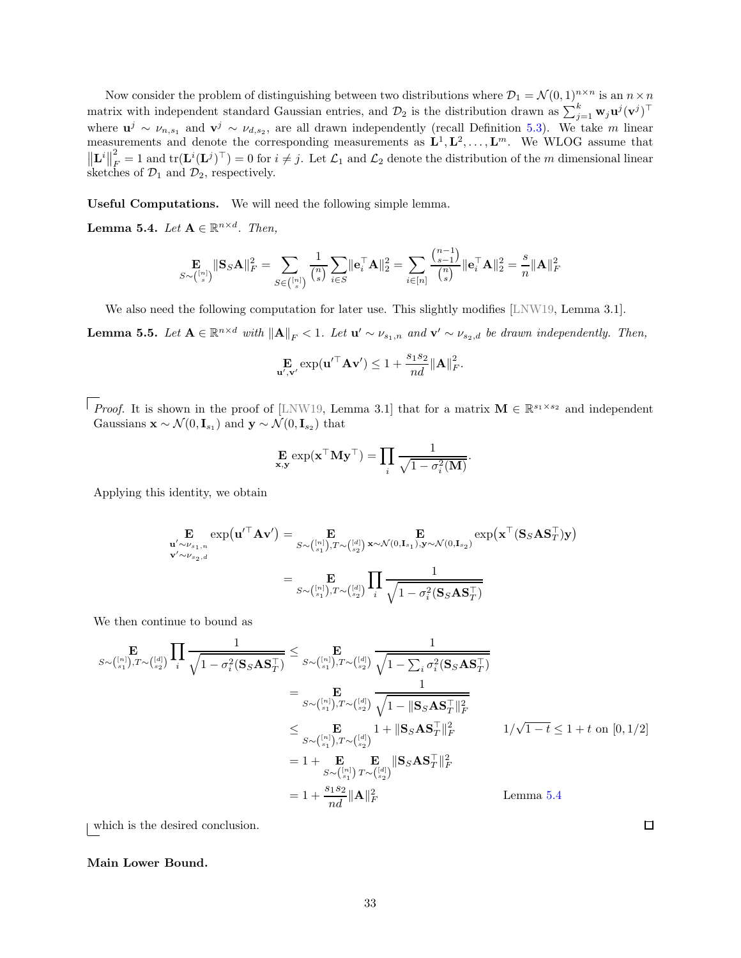Now consider the problem of distinguishing between two distributions where  $\mathcal{D}_1 = \mathcal{N}(0, 1)^{n \times n}$  is an  $n \times n$ matrix with independent standard Gaussian entries, and  $\mathcal{D}_2$  is the distribution drawn as  $\sum_{j=1}^k \mathbf{w}_j \mathbf{u}^j (\mathbf{v}^j)^\top$ where  $\mathbf{u}^j \sim \nu_{n,s_1}$  and  $\mathbf{v}^j \sim \nu_{d,s_2}$ , are all drawn independently (recall Definition [5.3\)](#page-32-0). We take m linear measurements and denote the corresponding measurements as  $\mathbf{L}^1, \mathbf{L}^2, \ldots, \mathbf{L}^m$ . We WLOG assume that  $\left\Vert \mathbf{L}^{i}\right\Vert$ 2  $\mathcal{L}_F^2 = 1$  and  $\text{tr}(\mathbf{L}^i(\mathbf{L}^j)^\top) = 0$  for  $i \neq j$ . Let  $\mathcal{L}_1$  and  $\mathcal{L}_2$  denote the distribution of the m dimensional linear sketches of  $\mathcal{D}_1$  and  $\mathcal{D}_2$ , respectively.

Useful Computations. We will need the following simple lemma.

<span id="page-33-0"></span>**Lemma 5.4.** *Let*  $A \in \mathbb{R}^{n \times d}$ *. Then,* 

$$
\mathop{\mathbf{E}}_{S\sim\binom{[n]}{s}}\|\mathbf{S}_S\mathbf{A}\|_F^2 = \sum_{S\in\binom{[n]}{s}}\frac{1}{\binom{n}{s}}\sum_{i\in S}\|\mathbf{e}_i^\top\mathbf{A}\|_2^2 = \sum_{i\in[n]}\frac{\binom{n-1}{s-1}}{\binom{n}{s}}\|\mathbf{e}_i^\top\mathbf{A}\|_2^2 = \frac{s}{n}\|\mathbf{A}\|_F^2
$$

We also need the following computation for later use. This slightly modifies [LNW19, Lemma 3.1].

<span id="page-33-1"></span>**Lemma 5.5.** Let  $A \in \mathbb{R}^{n \times d}$  with  $||A||_F < 1$ . Let  $u' \sim \nu_{s_1,n}$  and  $v' \sim \nu_{s_2,d}$  be drawn independently. Then,

$$
\mathbf{E}_{\mathbf{u}',\mathbf{v}'} \exp(\mathbf{u}'^\top \mathbf{A} \mathbf{v}') \le 1 + \frac{s_1 s_2}{n d} ||\mathbf{A}||_F^2.
$$

*Proof.* It is shown in the proof of [LNW19, Lemma 3.1] that for a matrix  $\mathbf{M} \in \mathbb{R}^{s_1 \times s_2}$  and independent Gaussians  $\mathbf{x} \sim \mathcal{N}(0, \mathbf{I}_{s_1})$  and  $\mathbf{y} \sim \mathcal{N}(0, \mathbf{I}_{s_2})$  that

$$
\mathbf{E}_{\mathbf{x},\mathbf{y}} \exp(\mathbf{x}^\top \mathbf{M} \mathbf{y}^\top) = \prod_i \frac{1}{\sqrt{1 - \sigma_i^2(\mathbf{M})}}
$$

.

Applying this identity, we obtain

$$
\mathbf{E}_{\mathbf{u}' \sim \nu_{s_1,n}} \exp(\mathbf{u}'^\top \mathbf{A} \mathbf{v}') = \mathbf{E}_{S \sim \binom{[n]}{s_1}, T \sim \binom{[d]}{s_2}} \mathbf{x} \sim \mathcal{N}(0, \mathbf{I}_{s_1}), \mathbf{y} \sim \mathcal{N}(0, \mathbf{I}_{s_2})} \exp(\mathbf{x}^\top (\mathbf{S}_S \mathbf{A} \mathbf{S}_T^\top) \mathbf{y})
$$
\n
$$
\mathbf{v}' \sim \nu_{s_2,d}
$$
\n
$$
= \mathbf{E}_{S \sim \binom{[n]}{s_1}, T \sim \binom{[d]}{s_2}} \prod_i \frac{1}{\sqrt{1 - \sigma_i^2(\mathbf{S}_S \mathbf{A} \mathbf{S}_T^\top)}}
$$

We then continue to bound as

$$
\mathbf{E}_{S \sim \binom{[n]}{s_1}, T \sim \binom{[d]}{s_2}} \prod_i \frac{1}{\sqrt{1 - \sigma_i^2(\mathbf{S}_S \mathbf{A} \mathbf{S}_T^{\top})}} \leq \mathbf{E}_{S \sim \binom{[n]}{s_1}, T \sim \binom{[d]}{s_2}} \frac{1}{\sqrt{1 - \sum_i \sigma_i^2(\mathbf{S}_S \mathbf{A} \mathbf{S}_T^{\top})}}
$$
\n
$$
= \mathbf{E}_{S \sim \binom{[n]}{s_1}, T \sim \binom{[d]}{s_2}} \frac{1}{\sqrt{1 - ||\mathbf{S}_S \mathbf{A} \mathbf{S}_T^{\top}||_F^2}}
$$
\n
$$
\leq \mathbf{E}_{S \sim \binom{[n]}{s_1}, T \sim \binom{[d]}{s_2}} 1 + ||\mathbf{S}_S \mathbf{A} \mathbf{S}_T^{\top}||_F^2}
$$
\n
$$
= 1 + \mathbf{E}_{S \sim \binom{[n]}{s_1}, T \sim \binom{[d]}{s_2}} \mathbf{S}_S \mathbf{A} \mathbf{S}_T^{\top}||_F^2
$$
\n
$$
= 1 + \frac{\mathbf{E}}{3\sqrt{\binom{[n]}{s_1}} T \sim \binom{[d]}{s_2}}
$$
\nLemma 5.4

which is the desired conclusion.

### Main Lower Bound.

 $\Box$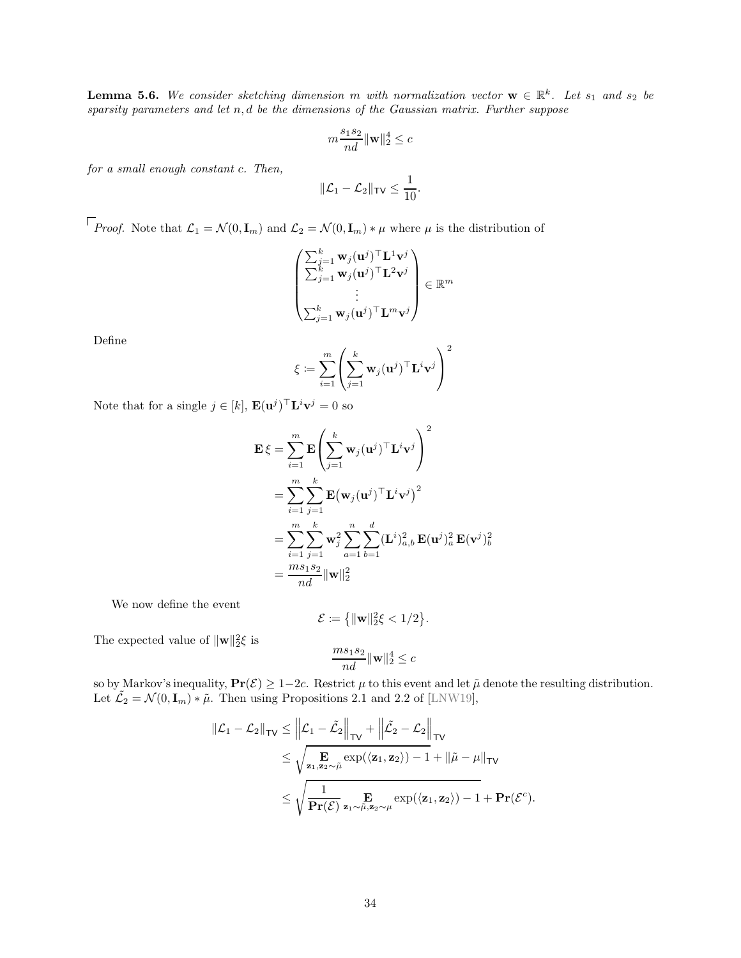<span id="page-34-0"></span>**Lemma 5.6.** We consider sketching dimension m with normalization vector  $\mathbf{w} \in \mathbb{R}^k$ . Let  $s_1$  and  $s_2$  be *sparsity parameters and let* n, d *be the dimensions of the Gaussian matrix. Further suppose*

$$
m\frac{s_1s_2}{nd}\|\mathbf{w}\|_2^4 \leq c
$$

*for a small enough constant* c*. Then,*

$$
\|\mathcal{L}_1-\mathcal{L}_2\|_{\mathsf{TV}}\leq \frac{1}{10}.
$$

*Proof.* Note that  $\mathcal{L}_1 = \mathcal{N}(0, \mathbf{I}_m)$  and  $\mathcal{L}_2 = \mathcal{N}(0, \mathbf{I}_m) * \mu$  where  $\mu$  is the distribution of

$$
\begin{pmatrix}\sum_{j=1}^k \mathbf{w}_j(\mathbf{u}^j)^\top \mathbf{L}^1 \mathbf{v}^j\\ \sum_{j=1}^k \mathbf{w}_j(\mathbf{u}^j)^\top \mathbf{L}^2 \mathbf{v}^j\\ \vdots\\ \sum_{j=1}^k \mathbf{w}_j(\mathbf{u}^j)^\top \mathbf{L}^m \mathbf{v}^j\end{pmatrix} \in \mathbb{R}^m
$$

Define

$$
\xi \coloneqq \sum_{i=1}^m \left( \sum_{j=1}^k \mathbf{w}_j (\mathbf{u}^j)^\top \mathbf{L}^i \mathbf{v}^j \right)^2
$$

Note that for a single  $j \in [k]$ ,  $\mathbf{E}(\mathbf{u}^j)^\top \mathbf{L}^i \mathbf{v}^j = 0$  so

$$
\begin{aligned} \mathbf{E}\,\xi &= \sum_{i=1}^m \mathbf{E}\Bigg(\sum_{j=1}^k \mathbf{w}_j (\mathbf{u}^j)^\top \mathbf{L}^i \mathbf{v}^j \Bigg)^2 \\ &= \sum_{i=1}^m \sum_{j=1}^k \mathbf{E}\big(\mathbf{w}_j (\mathbf{u}^j)^\top \mathbf{L}^i \mathbf{v}^j \big)^2 \\ &= \sum_{i=1}^m \sum_{j=1}^k \mathbf{w}_j^2 \sum_{a=1}^n \sum_{b=1}^d (\mathbf{L}^i)_{a,b}^2 \, \mathbf{E}(\mathbf{u}^j)_a^2 \, \mathbf{E}(\mathbf{v}^j)_b^2 \\ &= \frac{m s_1 s_2}{n d} ||\mathbf{w}||_2^2 \end{aligned}
$$

We now define the event

$$
\mathcal{E} := \left\{ \|\mathbf{w}\|_2^2 \xi < 1/2 \right\}.
$$

The expected value of  $\|\mathbf{w}\|_2^2 \xi$  is

$$
\frac{ms_1s_2}{nd}\|\mathbf{w}\|_2^4 \leq c
$$

so by Markov's inequality,  $Pr(\mathcal{E}) \ge 1-2c$ . Restrict  $\mu$  to this event and let  $\tilde{\mu}$  denote the resulting distribution. Let  $\tilde{\mathcal{L}}_2 = \mathcal{N}(0, \mathbf{I}_m) * \tilde{\mu}$ . Then using Propositions 2.1 and 2.2 of [LNW19],

$$
\|\mathcal{L}_1 - \mathcal{L}_2\|_{\mathsf{TV}} \le \left\|\mathcal{L}_1 - \tilde{\mathcal{L}}_2\right\|_{\mathsf{TV}} + \left\|\tilde{\mathcal{L}}_2 - \mathcal{L}_2\right\|_{\mathsf{TV}} \n\le \sqrt{\frac{\mathbf{E}}{\mathbf{z}_1, \mathbf{z}_2 \sim \tilde{\mu}} \exp(\langle \mathbf{z}_1, \mathbf{z}_2 \rangle) - 1} + \|\tilde{\mu} - \mu\|_{\mathsf{TV}} \n\le \sqrt{\frac{1}{\mathbf{Pr}(\mathcal{E})} \frac{\mathbf{E}}{\mathbf{z}_1 \sim \tilde{\mu}, \mathbf{z}_2 \sim \mu} \exp(\langle \mathbf{z}_1, \mathbf{z}_2 \rangle) - 1} + \mathbf{Pr}(\mathcal{E}^c).
$$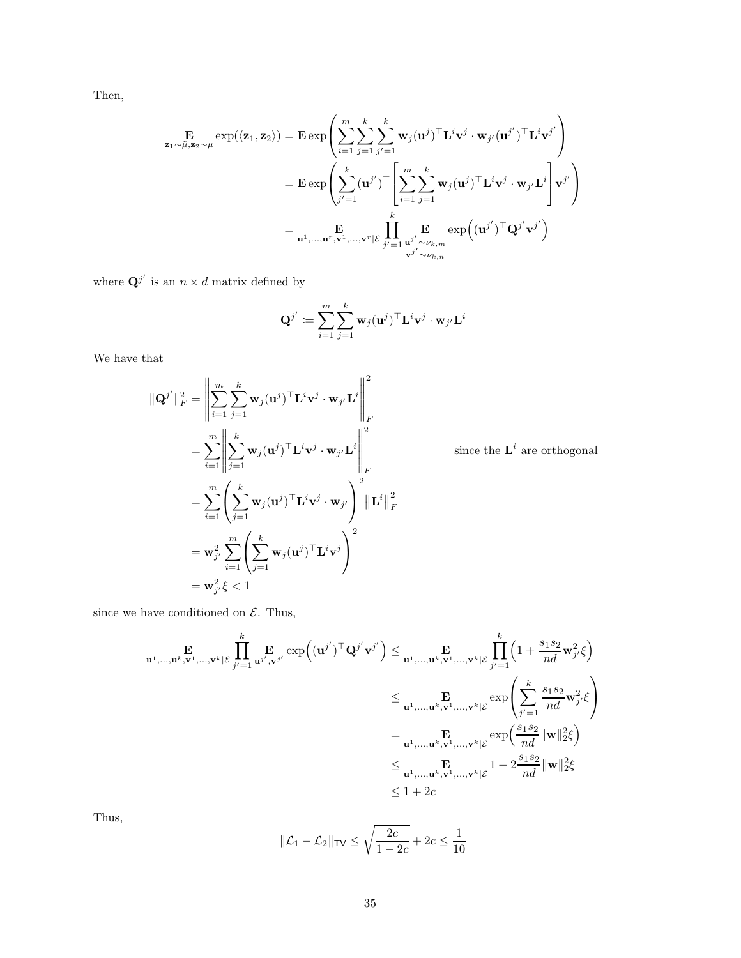Then,

$$
\begin{aligned} \mathbf{E} \underset{\mathbf{z}_1 \sim \tilde{\mu}, \mathbf{z}_2 \sim \mu}{\mathbf{E}} \exp(\langle \mathbf{z}_1, \mathbf{z}_2 \rangle) &= \mathbf{E} \exp\left( \sum_{i=1}^m \sum_{j=1}^k \sum_{j'=1}^k \mathbf{w}_j (\mathbf{u}^j)^\top \mathbf{L}^i \mathbf{v}^j \cdot \mathbf{w}_{j'} (\mathbf{u}^{j'})^\top \mathbf{L}^i \mathbf{v}^{j'} \right) \\ &= \mathbf{E} \exp\left( \sum_{j'=1}^k (\mathbf{u}^{j'})^\top \Bigg[ \sum_{i=1}^m \sum_{j=1}^k \mathbf{w}_j (\mathbf{u}^j)^\top \mathbf{L}^i \mathbf{v}^j \cdot \mathbf{w}_{j'} \mathbf{L}^i \Bigg] \mathbf{v}^{j'} \right) \\ &= \mathbf{u}^1, \dots, \mathbf{u}^r, \mathbf{v}^1, \dots, \mathbf{v}^r | \mathcal{E} \prod_{j'=1}^k \mathbf{E} \exp\left( (\mathbf{u}^{j'})^\top \mathbf{Q}^{j'} \mathbf{v}^{j'} \right) \end{aligned}
$$

where  $\mathbf{Q}^{j'}$  is an  $n \times d$  matrix defined by

$$
\mathbf{Q}^{j'}\coloneqq\sum_{i=1}^{m}\sum_{j=1}^{k}\mathbf{w}_{j}(\mathbf{u}^{j})^{\top}\mathbf{L}^{i}\mathbf{v}^{j}\cdot\mathbf{w}_{j'}\mathbf{L}^{i}
$$

We have that

$$
\|\mathbf{Q}^{j'}\|_{F}^{2} = \left\|\sum_{i=1}^{m} \sum_{j=1}^{k} \mathbf{w}_{j}(\mathbf{u}^{j})^{\top} \mathbf{L}^{i} \mathbf{v}^{j} \cdot \mathbf{w}_{j'} \mathbf{L}^{i}\right\|_{F}^{2}
$$
  
\n
$$
= \sum_{i=1}^{m} \left\|\sum_{j=1}^{k} \mathbf{w}_{j}(\mathbf{u}^{j})^{\top} \mathbf{L}^{i} \mathbf{v}^{j} \cdot \mathbf{w}_{j'} \mathbf{L}^{i}\right\|_{F}^{2}
$$
  
\n
$$
= \sum_{i=1}^{m} \left(\sum_{j=1}^{k} \mathbf{w}_{j}(\mathbf{u}^{j})^{\top} \mathbf{L}^{i} \mathbf{v}^{j} \cdot \mathbf{w}_{j'}\right)^{2} \|\mathbf{L}^{i}\|_{F}^{2}
$$
  
\n
$$
= \mathbf{w}_{j'}^{2} \sum_{i=1}^{m} \left(\sum_{j=1}^{k} \mathbf{w}_{j}(\mathbf{u}^{j})^{\top} \mathbf{L}^{i} \mathbf{v}^{j}\right)^{2}
$$
  
\n
$$
= \mathbf{w}_{j'}^{2} \xi < 1
$$

since the  $\mathbf{L}^i$  are orthogonal

since we have conditioned on  $\mathcal{E}$ . Thus,

$$
\mathbf{u}^{1}, \dots, \mathbf{u}^{k}, \mathbf{v}^{1}, \dots, \mathbf{v}^{k} | \mathcal{E} \prod_{j'=1}^{k} \mathbf{u}^{j'} \cdot \mathbf{v}^{j'} \exp \left( (\mathbf{u}^{j'})^{\top} \mathbf{Q}^{j'} \mathbf{v}^{j'} \right) \leq \mathbf{u}^{1}, \dots, \mathbf{u}^{k}, \mathbf{v}^{1}, \dots, \mathbf{v}^{k} | \mathcal{E} \prod_{j'=1}^{k} \left( 1 + \frac{s_{1} s_{2}}{nd} \mathbf{w}_{j'}^{2} \xi \right)
$$
\n
$$
\leq \mathbf{u}^{1}, \dots, \mathbf{u}^{k}, \mathbf{v}^{1}, \dots, \mathbf{v}^{k} | \mathcal{E} \exp \left( \sum_{j'=1}^{k} \frac{s_{1} s_{2}}{nd} \mathbf{w}_{j'}^{2} \xi \right)
$$
\n
$$
= \mathbf{u}^{1}, \dots, \mathbf{u}^{k}, \mathbf{v}^{1}, \dots, \mathbf{v}^{k} | \mathcal{E} \exp \left( \frac{s_{1} s_{2}}{nd} ||\mathbf{w}||_{2}^{2} \xi \right)
$$
\n
$$
\leq \mathbf{u}^{1}, \dots, \mathbf{u}^{k}, \mathbf{v}^{1}, \dots, \mathbf{v}^{k} | \mathcal{E} \left( 1 + 2 \frac{s_{1} s_{2}}{nd} ||\mathbf{w}||_{2}^{2} \xi \right)
$$
\n
$$
\leq 1 + 2c
$$

Thus,

$$
\|\mathcal{L}_1-\mathcal{L}_2\|_{\mathsf{TV}} \leq \sqrt{\frac{2c}{1-2c}} + 2c \leq \frac{1}{10}
$$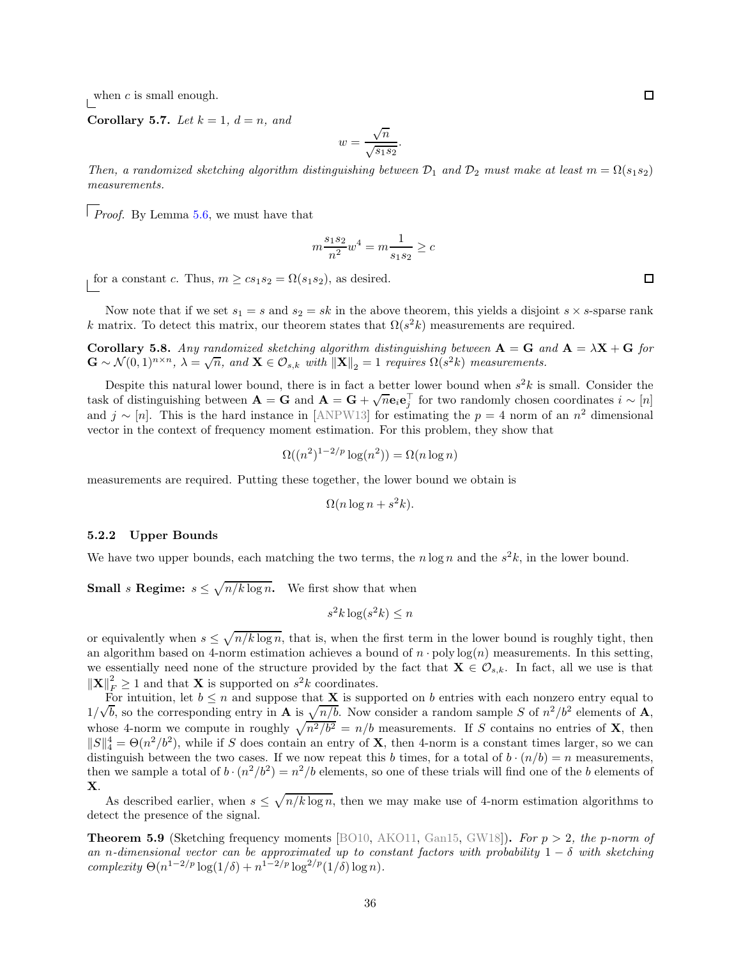when c is small enough.

Corollary 5.7. Let  $k = 1$ ,  $d = n$ , and

$$
w = \frac{\sqrt{n}}{\sqrt{s_1 s_2}}.
$$

*Then, a randomized sketching algorithm distinguishing between*  $\mathcal{D}_1$  *and*  $\mathcal{D}_2$  *must make at least*  $m = \Omega(s_1 s_2)$ *measurements.*

*Proof.* By Lemma [5.6,](#page-34-0) we must have that

$$
m\frac{s_1s_2}{n^2}w^4 = m\frac{1}{s_1s_2} \ge c
$$

for a constant c. Thus,  $m \ge cs_1s_2 = \Omega(s_1s_2)$ , as desired.

Now note that if we set  $s_1 = s$  and  $s_2 = sk$  in the above theorem, this yields a disjoint  $s \times s$ -sparse rank k matrix. To detect this matrix, our theorem states that  $\Omega(s^2 k)$  measurements are required.

<span id="page-36-1"></span>Corollary 5.8. *Any randomized sketching algorithm distinguishing between*  $A = G$  *and*  $A = \lambda X + G$  *for*  $\mathbf{G} \sim \mathcal{N}(0,1)^{n \times n}, \ \lambda = \sqrt{n}, \ and \ \mathbf{X} \in \mathcal{O}_{s,k} \ with \ \|\mathbf{X}\|_2 = 1 \ \ requires \ \Omega(s^2 k) \ \ measurements.$ 

Despite this natural lower bound, there is in fact a better lower bound when  $s^2k$  is small. Consider the task of distinguishing between  $\mathbf{A} = \mathbf{G}$  and  $\mathbf{A} = \mathbf{G} + \sqrt{n} \mathbf{e}_i \mathbf{e}_j^{\top}$  for two randomly chosen coordinates  $i \sim [n]$ and  $j \sim [n]$ . This is the hard instance in [ANPW13] for estimating the  $p = 4$  norm of an  $n^2$  dimensional vector in the context of frequency moment estimation. For this problem, they show that

$$
\Omega((n^2)^{1-2/p} \log(n^2)) = \Omega(n \log n)
$$

measurements are required. Putting these together, the lower bound we obtain is

$$
\Omega(n\log n + s^2k).
$$

### 5.2.2 Upper Bounds

We have two upper bounds, each matching the two terms, the  $n \log n$  and the  $s^2 k$ , in the lower bound.

**Small** s **Regime:**  $s \leq \sqrt{n/k \log n}$ . We first show that when

$$
s^2k\log(s^2k) \le n
$$

or equivalently when  $s \leq \sqrt{n/k \log n}$ , that is, when the first term in the lower bound is roughly tight, then an algorithm based on 4-norm estimation achieves a bound of  $n \cdot \text{poly}\log(n)$  measurements. In this setting, we essentially need none of the structure provided by the fact that  $\mathbf{X} \in \mathcal{O}_{s,k}$ . In fact, all we use is that  $\|\mathbf{X}\|_F^2 \ge 1$  and that **X** is supported on  $s^2k$  coordinates.

For intuition, let  $b \leq n$  and suppose that **X** is supported on b entries with each nonzero entry equal to  $1/\sqrt{b}$ , so the corresponding entry in **A** is  $\sqrt{n/b}$ . Now consider a random sample S of  $n^2/b^2$  elements of **A**, whose 4-norm we compute in roughly  $\sqrt{n^2/b^2} = n/b$  measurements. If S contains no entries of **X**, then  $||S||_4^4 = \Theta(n^2/b^2)$ , while if S does contain an entry of **X**, then 4-norm is a constant times larger, so we can distinguish between the two cases. If we now repeat this b times, for a total of  $b \cdot (n/b) = n$  measurements, then we sample a total of  $b \cdot (n^2/b^2) = n^2/b$  elements, so one of these trials will find one of the b elements of X.

As described earlier, when  $s \leq \sqrt{n/k \log n}$ , then we may make use of 4-norm estimation algorithms to detect the presence of the signal.

<span id="page-36-0"></span>**Theorem 5.9** (Sketching frequency moments [BO10, AKO11, Gan15, GW18]). For  $p > 2$ , the p-norm of *an* n-dimensional vector can be approximated up to constant factors with probability  $1 - \delta$  with sketching *complexity*  $\Theta(n^{1-2/p} \log(1/\delta) + n^{1-2/p} \log^{2/p}(1/\delta) \log n)$ *.* 

 $\Box$ 

 $\Box$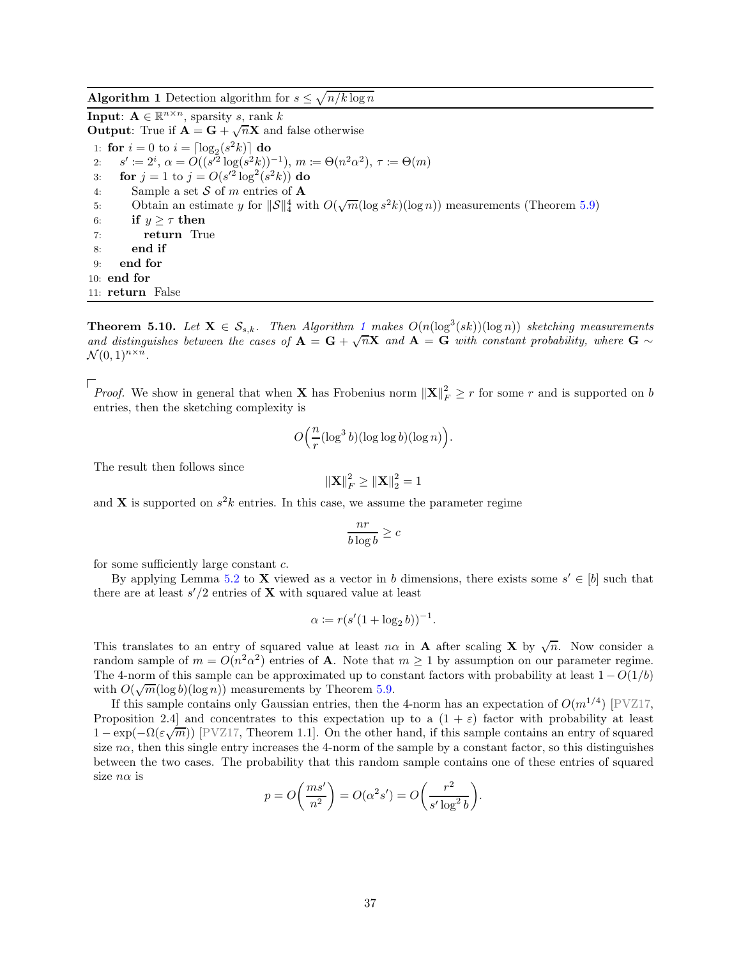**Algorithm 1** Detection algorithm for  $s \leq \sqrt{n/k \log n}$ 

**Input:**  $\mathbf{A} \in \mathbb{R}^{n \times n}$ , sparsity s, rank k **Output:** True if  $\vec{A} = \vec{G} + \sqrt{n} \vec{X}$  and false otherwise 1: for  $i = 0$  to  $i = \lceil \log_2(s^2 k) \rceil$  do 2:  $s' \coloneqq 2^i, \, \alpha = O((s'^2 \log(s^2 k))^{-1}), \, m \coloneqq \Theta(n^2 \alpha^2), \, \tau \coloneqq \Theta(m)$ 3: **for**  $j = 1$  to  $j = O(s'^2 \log^2(s^2 k))$  **do** 4: Sample a set S of m entries of **A**<br>5: Obtain an estimate y for  $||\mathcal{S}||_4^4$  w. 5: Obtain an estimate y for  $\|\mathcal{S}\|_4^4$  with  $O(\sqrt{m}(\log s^2 k)(\log n))$  measurements (Theorem [5.9\)](#page-36-0) 6: **if**  $y \geq \tau$  **then**<br>7: **return** Tru return True 8: end if 9: end for 10: end for 11: return False

<span id="page-37-1"></span><span id="page-37-0"></span>**Theorem 5.[1](#page-37-0)0.** Let  $X \in S_{s,k}$ . Then Algorithm 1 makes  $O(n(\log^3(sk))(\log n))$  sketching measurements and distinguishes between the cases of  $\mathbf{A} = \mathbf{G} + \sqrt{n}\mathbf{X}$  and  $\mathbf{A} = \mathbf{G}$  with constant probability, where  $\mathbf{G} \sim$  $\mathcal{N}(0,1)^{n \times n}$ .

*Proof.* We show in general that when **X** has Frobenius norm  $||\mathbf{X}||_F^2 \geq r$  for some r and is supported on b entries, then the sketching complexity is

$$
O\Big(\frac{n}{r} (\log^3 b)(\log \log b)(\log n)\Big).
$$

The result then follows since

$$
\left\|\mathbf{X}\right\|_F^2 \ge \left\|\mathbf{X}\right\|_2^2 = 1
$$

and **X** is supported on  $s^2k$  entries. In this case, we assume the parameter regime

$$
\frac{nr}{b\log b} \geq c
$$

for some sufficiently large constant c.

By applying Lemma [5.2](#page-32-1) to **X** viewed as a vector in b dimensions, there exists some  $s' \in [b]$  such that there are at least  $s'/2$  entries of **X** with squared value at least

$$
\alpha := r(s'(1 + \log_2 b))^{-1}.
$$

This translates to an entry of squared value at least  $n\alpha$  in **A** after scaling **X** by  $\sqrt{n}$ . Now consider a random sample of  $m = O(n^2\alpha^2)$  entries of **A**. Note that  $m \ge 1$  by assumption on our parameter regime. The 4-norm of this sample can be approximated up to constant factors with probability at least  $1 - O(1/b)$ with  $O(\sqrt{m}(\log b)(\log n))$  measurements by Theorem [5.9.](#page-36-0)

If this sample contains only Gaussian entries, then the 4-norm has an expectation of  $O(m^{1/4})$  [\[PVZ17,](#page-47-4) Proposition 2.4] and concentrates to this expectation up to a  $(1 + \varepsilon)$  factor with probability at least  $1 - \exp(-\Omega(\varepsilon \sqrt{m}))$  [\[PVZ17,](#page-47-4) Theorem 1.1]. On the other hand, if this sample contains an entry of squared size  $n\alpha$ , then this single entry increases the 4-norm of the sample by a constant factor, so this distinguishes between the two cases. The probability that this random sample contains one of these entries of squared size  $n\alpha$  is

$$
p = O\bigg(\frac{ms'}{n^2}\bigg) = O(\alpha^2 s') = O\bigg(\frac{r^2}{s' \log^2 b}\bigg).
$$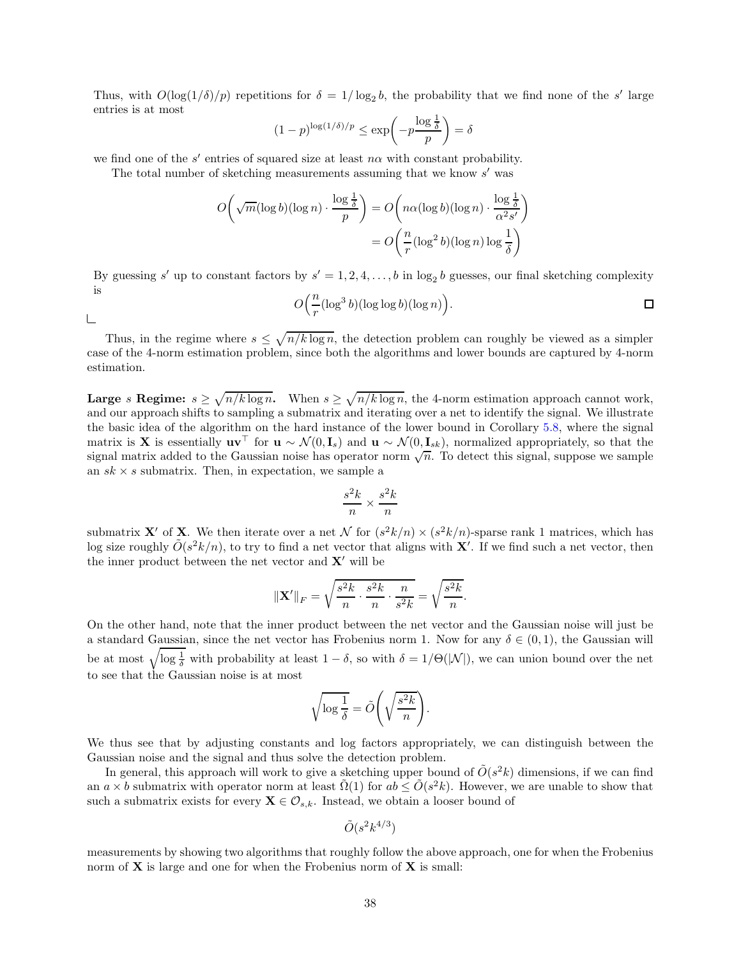Thus, with  $O(\log(1/\delta)/p)$  repetitions for  $\delta = 1/\log_2 b$ , the probability that we find none of the s' large entries is at most

$$
(1-p)^{\log(1/\delta)/p} \le \exp\left(-p\frac{\log\frac{1}{\delta}}{p}\right) = \delta
$$

we find one of the  $s'$  entries of squared size at least  $n\alpha$  with constant probability.

The total number of sketching measurements assuming that we know s' was

$$
O\left(\sqrt{m}(\log b)(\log n) \cdot \frac{\log \frac{1}{\delta}}{p}\right) = O\left(n\alpha(\log b)(\log n) \cdot \frac{\log \frac{1}{\delta}}{\alpha^2 s'}\right)
$$

$$
= O\left(\frac{n}{r}(\log^2 b)(\log n) \log \frac{1}{\delta}\right)
$$

By guessing s' up to constant factors by  $s' = 1, 2, 4, \ldots, b$  in  $\log_2 b$  guesses, our final sketching complexity is

$$
O\Big(\frac{n}{r}(\log^3 b)(\log \log b)(\log n)\Big).
$$

 $\sqcup$ 

Thus, in the regime where  $s \leq \sqrt{n/k \log n}$ , the detection problem can roughly be viewed as a simpler case of the 4-norm estimation problem, since both the algorithms and lower bounds are captured by 4-norm estimation.

**Large** s Regime:  $s \ge \sqrt{n/k \log n}$ . When  $s \ge \sqrt{n/k \log n}$ , the 4-norm estimation approach cannot work, and our approach shifts to sampling a submatrix and iterating over a net to identify the signal. We illustrate the basic idea of the algorithm on the hard instance of the lower bound in Corollary [5.8,](#page-36-1) where the signal matrix is X is essentially  $\mathbf{u} \mathbf{v}^\top$  for  $\mathbf{u} \sim \mathcal{N}(0, \mathbf{I}_s)$  and  $\mathbf{u} \sim \mathcal{N}(0, \mathbf{I}_{sk})$ , normalized appropriately, so that the signal matrix added to the Gaussian noise has operator norm  $\sqrt{n}$ . To detect this signal, suppose we sample an  $sk \times s$  submatrix. Then, in expectation, we sample a

$$
\frac{s^2k}{n} \times \frac{s^2k}{n}
$$

submatrix **X'** of **X**. We then iterate over a net N for  $(s^2k/n) \times (s^2k/n)$ -sparse rank 1 matrices, which has log size roughly  $O(s^2k/n)$ , to try to find a net vector that aligns with **X'**. If we find such a net vector, then the inner product between the net vector and  $X'$  will be

$$
\|\mathbf{X}'\|_F = \sqrt{\frac{s^2k}{n} \cdot \frac{s^2k}{n} \cdot \frac{n}{s^2k}} = \sqrt{\frac{s^2k}{n}}.
$$

On the other hand, note that the inner product between the net vector and the Gaussian noise will just be a standard Gaussian, since the net vector has Frobenius norm 1. Now for any  $\delta \in (0,1)$ , the Gaussian will be at most  $\sqrt{\log \frac{1}{\delta}}$  with probability at least  $1 - \delta$ , so with  $\delta = 1/\Theta(|\mathcal{N}|)$ , we can union bound over the net to see that the Gaussian noise is at most

$$
\sqrt{\log\frac{1}{\delta}} = \tilde{O}\left(\sqrt{\frac{s^2k}{n}}\right).
$$

We thus see that by adjusting constants and log factors appropriately, we can distinguish between the Gaussian noise and the signal and thus solve the detection problem.

In general, this approach will work to give a sketching upper bound of  $\tilde{O}(s^2k)$  dimensions, if we can find an  $a \times b$  submatrix with operator norm at least  $\tilde{\Omega}(1)$  for  $ab \leq \tilde{O}(s^2k)$ . However, we are unable to show that such a submatrix exists for every  $\mathbf{X} \in \mathcal{O}_{s,k}$ . Instead, we obtain a looser bound of

$$
\tilde{O}(s^2k^{4/3})
$$

measurements by showing two algorithms that roughly follow the above approach, one for when the Frobenius norm of  $X$  is large and one for when the Frobenius norm of  $X$  is small: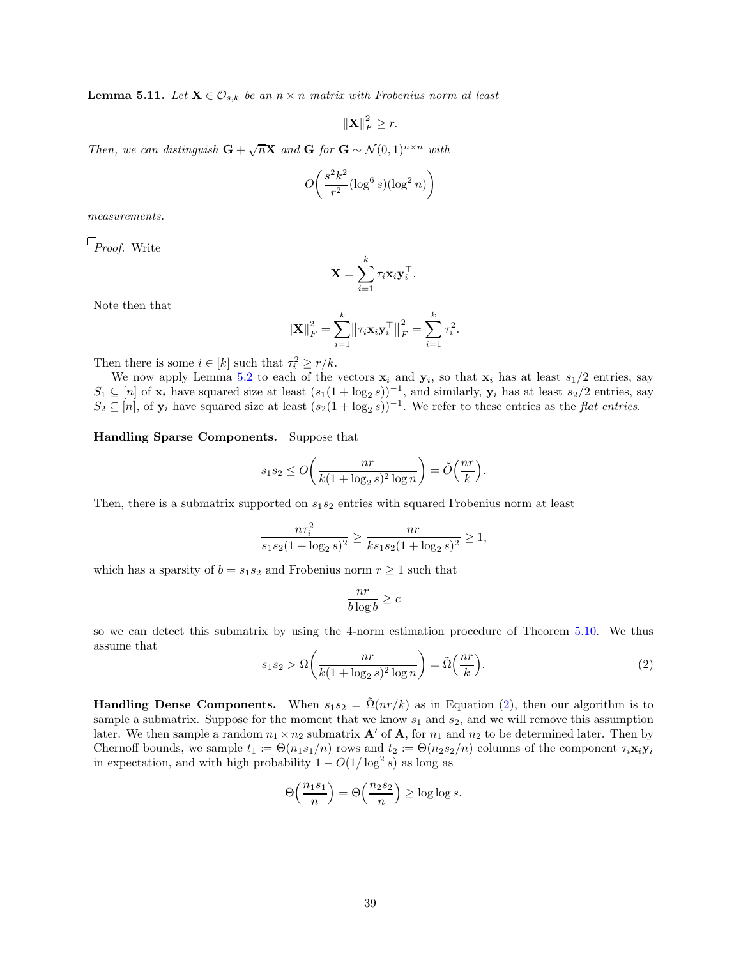<span id="page-39-1"></span>**Lemma 5.11.** Let  $X \in \mathcal{O}_{s,k}$  be an  $n \times n$  matrix with Frobenius norm at least

$$
\|\mathbf{X}\|_F^2 \ge r.
$$

*Then, we can distinguish*  $G + \sqrt{n}X$  *and*  $G$  *for*  $G \sim \mathcal{N}(0, 1)^{n \times n}$  *with* 

$$
O\left(\frac{s^2k^2}{r^2} (\log^6 s)(\log^2 n)\right)
$$

*measurements.*

*Proof.* Write

$$
\mathbf{X} = \sum_{i=1}^k \tau_i \mathbf{x}_i \mathbf{y}_i^{\top}.
$$

Note then that

$$
\|\mathbf{X}\|_{F}^{2} = \sum_{i=1}^{k} \left\|\tau_{i} \mathbf{x}_{i} \mathbf{y}_{i}^{\top}\right\|_{F}^{2} = \sum_{i=1}^{k} \tau_{i}^{2}.
$$

Then there is some  $i \in [k]$  such that  $\tau_i^2 \ge r/k$ .

We now apply Lemma [5.2](#page-32-1) to each of the vectors  $x_i$  and  $y_i$ , so that  $x_i$  has at least  $s_1/2$  entries, say  $S_1 \subseteq [n]$  of  $\mathbf{x}_i$  have squared size at least  $(s_1(1 + \log_2 s))^{-1}$ , and similarly,  $\mathbf{y}_i$  has at least  $s_2/2$  entries, say  $S_2 \subseteq [n]$ , of  $\mathbf{y}_i$  have squared size at least  $(s_2(1 + \log_2 s))^{-1}$ . We refer to these entries as the *flat entries*.

## Handling Sparse Components. Suppose that

$$
s_1 s_2 \le O\bigg(\frac{nr}{k(1+\log_2 s)^2 \log n}\bigg) = \tilde{O}\bigg(\frac{nr}{k}\bigg).
$$

Then, there is a submatrix supported on  $s_1s_2$  entries with squared Frobenius norm at least

$$
\frac{n\tau_i^2}{s_1s_2(1+\log_2 s)^2} \ge \frac{nr}{ks_1s_2(1+\log_2 s)^2} \ge 1,
$$

which has a sparsity of  $b = s_1 s_2$  and Frobenius norm  $r \geq 1$  such that

$$
\frac{nr}{b\log b} \geq c
$$

so we can detect this submatrix by using the 4-norm estimation procedure of Theorem [5.10.](#page-37-1) We thus assume that

<span id="page-39-0"></span>
$$
s_1 s_2 > \Omega\left(\frac{nr}{k(1 + \log_2 s)^2 \log n}\right) = \tilde{\Omega}\left(\frac{nr}{k}\right). \tag{2}
$$

**Handling Dense Components.** When  $s_1s_2 = \tilde{\Omega}(nr/k)$  as in Equation [\(2\)](#page-39-0), then our algorithm is to sample a submatrix. Suppose for the moment that we know  $s_1$  and  $s_2$ , and we will remove this assumption later. We then sample a random  $n_1 \times n_2$  submatrix  $\mathbf{A}'$  of  $\mathbf{A}$ , for  $n_1$  and  $n_2$  to be determined later. Then by Chernoff bounds, we sample  $t_1 := \Theta(n_1s_1/n)$  rows and  $t_2 := \Theta(n_2s_2/n)$  columns of the component  $\tau_i\mathbf{x}_i\mathbf{y}_i$ in expectation, and with high probability  $1 - O(1/\log^2 s)$  as long as

$$
\Theta\left(\frac{n_1s_1}{n}\right) = \Theta\left(\frac{n_2s_2}{n}\right) \ge \log\log s.
$$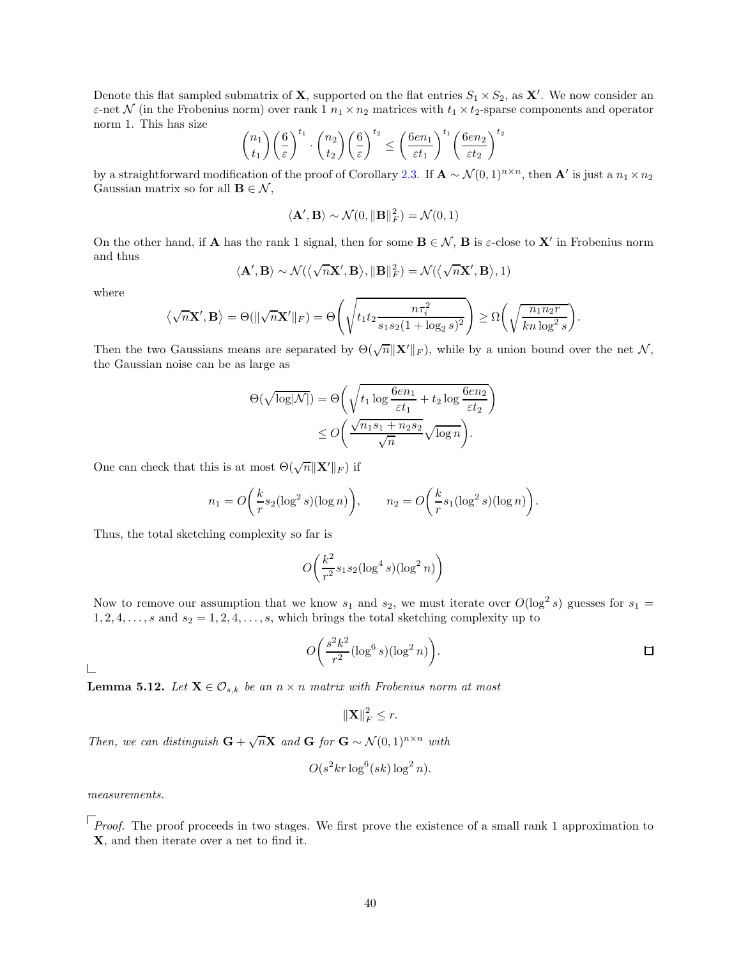Denote this flat sampled submatrix of **X**, supported on the flat entries  $S_1 \times S_2$ , as **X'**. We now consider an  $\varepsilon$ -net N (in the Frobenius norm) over rank 1  $n_1 \times n_2$  matrices with  $t_1 \times t_2$ -sparse components and operator norm 1. This has size

$$
\binom{n_1}{t_1} \left(\frac{6}{\varepsilon}\right)^{t_1} \cdot \binom{n_2}{t_2} \left(\frac{6}{\varepsilon}\right)^{t_2} \le \left(\frac{6en_1}{\varepsilon t_1}\right)^{t_1} \left(\frac{6en_2}{\varepsilon t_2}\right)^{t_2}
$$

by a straightforward modification of the proof of Corollary [2.3.](#page-8-2) If  $\mathbf{A} \sim \mathcal{N}(0, 1)^{n \times n}$ , then  $\mathbf{A}'$  is just a  $n_1 \times n_2$ Gaussian matrix so for all  $\mathbf{B} \in \mathcal{N}$ ,

$$
\langle \mathbf{A}', \mathbf{B} \rangle \sim \mathcal{N}(0, \|\mathbf{B}\|_F^2) = \mathcal{N}(0, 1)
$$

On the other hand, if **A** has the rank 1 signal, then for some  $B \in \mathcal{N}$ , **B** is  $\varepsilon$ -close to **X'** in Frobenius norm and thus

$$
\langle \mathbf{A}', \mathbf{B} \rangle \sim \mathcal{N}(\langle \sqrt{n} \mathbf{X}', \mathbf{B} \rangle, \|\mathbf{B}\|_F^2) = \mathcal{N}(\langle \sqrt{n} \mathbf{X}', \mathbf{B} \rangle, 1)
$$

where

$$
\left\langle \sqrt{n} \mathbf{X}', \mathbf{B} \right\rangle = \Theta(||\sqrt{n} \mathbf{X}'||_F) = \Theta\left(\sqrt{t_1 t_2 \frac{n\tau_i^2}{s_1 s_2 (1 + \log_2 s)^2}}\right) \ge \Omega\left(\sqrt{\frac{n_1 n_2 r}{k n \log^2 s}}\right).
$$

Then the two Gaussians means are separated by  $\Theta(\sqrt{n}||\mathbf{X}'||_F)$ , while by a union bound over the net N, the Gaussian noise can be as large as

$$
\Theta(\sqrt{\log |\mathcal{N}|}) = \Theta\left(\sqrt{t_1 \log \frac{6en_1}{\varepsilon t_1} + t_2 \log \frac{6en_2}{\varepsilon t_2}}\right) \leq O\left(\frac{\sqrt{n_1 s_1 + n_2 s_2}}{\sqrt{n}} \sqrt{\log n}\right).
$$

One can check that this is at most  $\Theta(\sqrt{n} \|\mathbf{X}'\|_F)$  if

$$
n_1 = O\bigg(\frac{k}{r}s_2(\log^2 s)(\log n)\bigg), \qquad n_2 = O\bigg(\frac{k}{r}s_1(\log^2 s)(\log n)\bigg).
$$

Thus, the total sketching complexity so far is

$$
O\left(\frac{k^2}{r^2} s_1 s_2 (\log^4 s)(\log^2 n)\right)
$$

Now to remove our assumption that we know  $s_1$  and  $s_2$ , we must iterate over  $O(\log^2 s)$  guesses for  $s_1 =$  $1, 2, 4, \ldots, s$  and  $s_2 = 1, 2, 4, \ldots, s$ , which brings the total sketching complexity up to

$$
O\left(\frac{s^2k^2}{r^2}(\log^6 s)(\log^2 n)\right).
$$

 $\sqcup$ 

<span id="page-40-0"></span>**Lemma 5.12.** *Let*  $X \in \mathcal{O}_{s,k}$  *be an*  $n \times n$  *matrix with Frobenius norm at most* 

$$
\|\mathbf{X}\|_F^2 \leq r.
$$

*Then, we can distinguish*  $G + \sqrt{n}X$  *and*  $G$  *for*  $G \sim \mathcal{N}(0, 1)^{n \times n}$  *with* 

$$
O(s^2kr\log^6(sk)\log^2 n).
$$

*measurements.*

*Proof.* The proof proceeds in two stages. We first prove the existence of a small rank 1 approximation to X, and then iterate over a net to find it.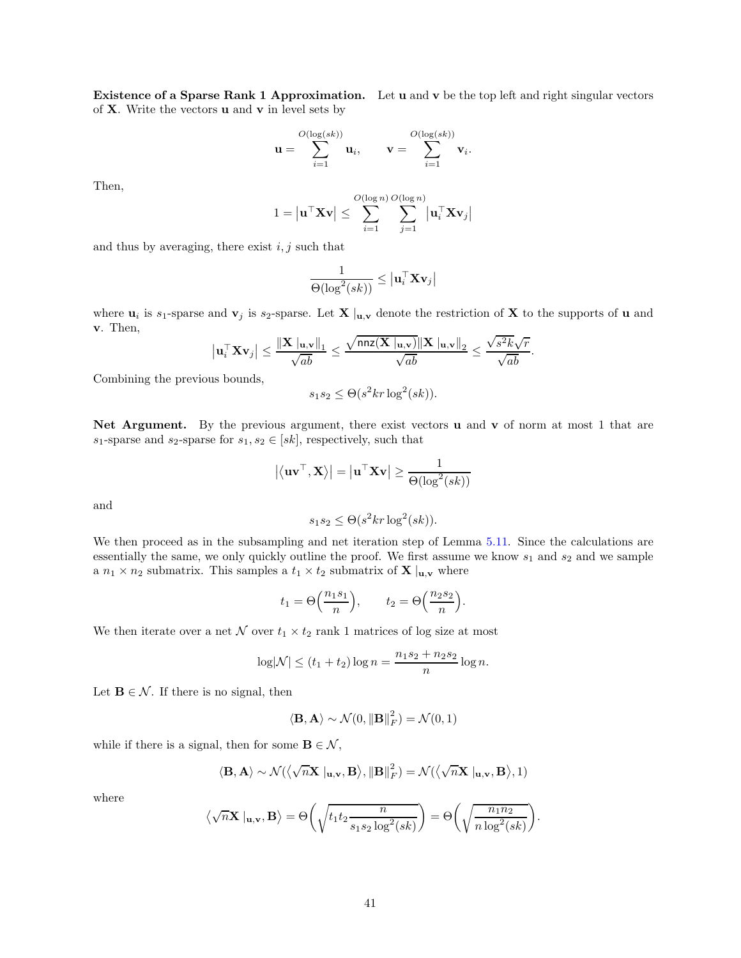Existence of a Sparse Rank 1 Approximation. Let u and v be the top left and right singular vectors of  $X$ . Write the vectors  $u$  and  $v$  in level sets by

$$
\mathbf{u} = \sum_{i=1}^{O(\log(s k))} \mathbf{u}_i, \qquad \mathbf{v} = \sum_{i=1}^{O(\log(s k))} \mathbf{v}_i.
$$

Then,

$$
1 = \left| \mathbf{u}^\top \mathbf{X} \mathbf{v} \right| \le \sum_{i=1}^{O(\log n)} \sum_{j=1}^{O(\log n)} \left| \mathbf{u}_i^\top \mathbf{X} \mathbf{v}_j \right|
$$

and thus by averaging, there exist  $i, j$  such that

$$
\frac{1}{\Theta(\log^2(sk))} \le \left| \mathbf{u}_i^\top \mathbf{X} \mathbf{v}_j \right|
$$

where  $\mathbf{u}_i$  is s<sub>1</sub>-sparse and  $\mathbf{v}_j$  is s<sub>2</sub>-sparse. Let  $\mathbf{X} \vert_{\mathbf{u},\mathbf{v}}$  denote the restriction of  $\mathbf{X}$  to the supports of  $\mathbf{u}$  and v. Then,

$$
\left|\mathbf{u}_i^{\top} \mathbf{X} \mathbf{v}_j\right| \leq \frac{\|\mathbf{X}\|_{\mathbf{u},\mathbf{v}}\|_1}{\sqrt{ab}} \leq \frac{\sqrt{\texttt{nnz}(\mathbf{X}\|_{\mathbf{u},\mathbf{v}})}\|\mathbf{X}\|_{\mathbf{u},\mathbf{v}}\|_2}{\sqrt{ab}} \leq \frac{\sqrt{s^2k}\sqrt{r}}{\sqrt{ab}}.
$$

Combining the previous bounds,

$$
s_1 s_2 \le \Theta(s^2 k r \log^2(s k)).
$$

Net Argument. By the previous argument, there exist vectors u and v of norm at most 1 that are  $s_1\text{-sparse}$  and  $s_2\text{-sparse}$  for  $s_1,s_2\in [sk],$  respectively, such that

$$
\left|\left\langle \mathbf{u}\mathbf{v}^{\top},\mathbf{X}\right\rangle \right|=\left|\mathbf{u}^{\top}\mathbf{X}\mathbf{v}\right|\geq\frac{1}{\Theta(\log^{2}(sk))}
$$

and

$$
s_1 s_2 \le \Theta(s^2 k r \log^2(s k)).
$$

We then proceed as in the subsampling and net iteration step of Lemma [5.11.](#page-39-1) Since the calculations are essentially the same, we only quickly outline the proof. We first assume we know  $s_1$  and  $s_2$  and we sample a  $n_1 \times n_2$  submatrix. This samples a  $t_1 \times t_2$  submatrix of **X**  $|_{\mathbf{u},\mathbf{v}}$  where

$$
t_1 = \Theta\left(\frac{n_1s_1}{n}\right), \qquad t_2 = \Theta\left(\frac{n_2s_2}{n}\right).
$$

We then iterate over a net  $N$  over  $t_1 \times t_2$  rank 1 matrices of log size at most

$$
\log|\mathcal{N}| \le (t_1 + t_2) \log n = \frac{n_1 s_2 + n_2 s_2}{n} \log n.
$$

Let  $\mathbf{B} \in \mathcal{N}$ . If there is no signal, then

$$
\langle \mathbf{B}, \mathbf{A} \rangle \sim \mathcal{N}(0, \|\mathbf{B}\|_F^2) = \mathcal{N}(0, 1)
$$

while if there is a signal, then for some  $\mathbf{B} \in \mathcal{N}$ ,

$$
\langle \mathbf{B}, \mathbf{A} \rangle \sim \mathcal{N}(\left<\sqrt{n}\mathbf{X} \bigm|_{\mathbf{u},\mathbf{v}}, \mathbf{B} \right>, \|\mathbf{B}\|_F^2) = \mathcal{N}(\left<\sqrt{n}\mathbf{X} \bigm|_{\mathbf{u},\mathbf{v}}, \mathbf{B} \right), 1)
$$

where

$$
\langle \sqrt{n} \mathbf{X} |_{\mathbf{u},\mathbf{v}}, \mathbf{B} \rangle = \Theta \left( \sqrt{t_1 t_2 \frac{n}{s_1 s_2 \log^2(s k)}} \right) = \Theta \left( \sqrt{\frac{n_1 n_2}{n \log^2(s k)}} \right).
$$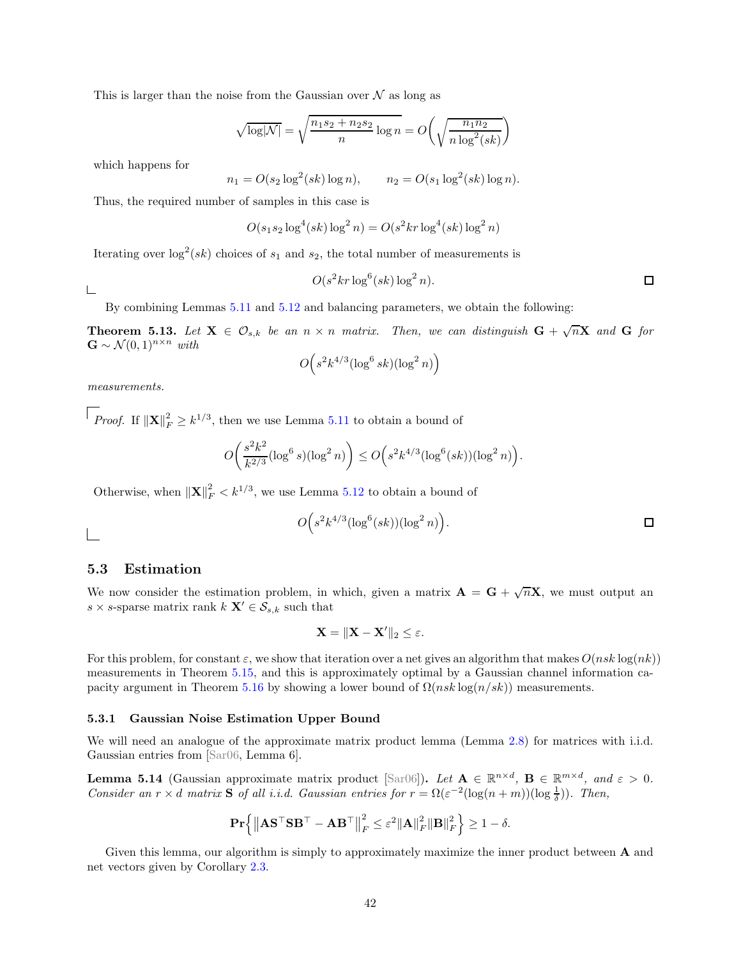This is larger than the noise from the Gaussian over  $\mathcal N$  as long as

$$
\sqrt{\log |\mathcal{N}|} = \sqrt{\frac{n_1 s_2 + n_2 s_2}{n} \log n} = O\left(\sqrt{\frac{n_1 n_2}{n \log^2(sk)}}\right)
$$

which happens for

$$
n_1 = O(s_2 \log^2(sk) \log n),
$$
  $n_2 = O(s_1 \log^2(sk) \log n).$ 

Thus, the required number of samples in this case is

$$
O(s_1s_2\log^4(sk)\log^2 n) = O(s^2kr\log^4(sk)\log^2 n)
$$

Iterating over  $\log^2(sk)$  choices of  $s_1$  and  $s_2$ , the total number of measurements is

 $O(s^2 k r \log^6(s k) \log^2 n).$  $\Box$ 

L

 $\overline{\phantom{a}}$ 

By combining Lemmas [5.11](#page-39-1) and [5.12](#page-40-0) and balancing parameters, we obtain the following:

**Theorem 5.13.** Let  $X \in \mathcal{O}_{s,k}$  be an  $n \times n$  matrix. Then, we can distinguish  $G + \sqrt{n}X$  and  $G$  for  $\mathbf{G} \sim \mathcal{N}(0,1)^{n \times n}$  *with* 

$$
O\Big(s^2k^{4/3}(\log^6 sk)(\log^2 n)\Big)
$$

*measurements.*

*Proof.* If  $||\mathbf{X}||_F^2 \ge k^{1/3}$ , then we use Lemma [5.11](#page-39-1) to obtain a bound of

$$
O\left(\frac{s^2 k^2}{k^{2/3}} (\log^6 s)(\log^2 n)\right) \le O\left(s^2 k^{4/3} (\log^6 (sk))(\log^2 n)\right).
$$

Otherwise, when  $\|\mathbf{X}\|_F^2 < k^{1/3}$ , we use Lemma [5.12](#page-40-0) to obtain a bound of

$$
O\Big(s^2k^{4/3}(\log^6(sk))(\log^2 n)\Big). \qquad \qquad \Box
$$

### 5.3 Estimation

We now consider the estimation problem, in which, given a matrix  $\mathbf{A} = \mathbf{G} + \sqrt{n}\mathbf{X}$ , we must output an s  $\times$  s-sparse matrix rank  $k$   $\mathbf{X}' \in \mathcal{S}_{s,k}$  such that

$$
\mathbf{X} = \|\mathbf{X} - \mathbf{X}'\|_2 \leq \varepsilon.
$$

For this problem, for constant  $\varepsilon$ , we show that iteration over a net gives an algorithm that makes  $O(nsk \log(nk))$ measurements in Theorem [5.15,](#page-43-0) and this is approximately optimal by a Gaussian channel information ca-pacity argument in Theorem [5.16](#page-44-0) by showing a lower bound of  $\Omega(nsk \log(n/sk))$  measurements.

### <span id="page-42-1"></span>5.3.1 Gaussian Noise Estimation Upper Bound

We will need an analogue of the approximate matrix product lemma (Lemma [2.8\)](#page-11-3) for matrices with i.i.d. Gaussian entries from [Sar06, Lemma 6].

<span id="page-42-0"></span>**Lemma 5.14** (Gaussian approximate matrix product [Sar06]). Let  $\mathbf{A} \in \mathbb{R}^{n \times d}$ ,  $\mathbf{B} \in \mathbb{R}^{m \times d}$ , and  $\varepsilon > 0$ . *Consider an*  $r \times d$  *matrix* **S** *of all i.i.d. Gaussian entries for*  $r = \Omega(\varepsilon^{-2}(\log(n+m))(\log \frac{1}{\delta}))$ *. Then,* 

$$
\mathbf{Pr}\left\{\left\|\mathbf{A}\mathbf{S}^{\top}\mathbf{S}\mathbf{B}^{\top}-\mathbf{A}\mathbf{B}^{\top}\right\|_{F}^{2} \leq \varepsilon^{2}\|\mathbf{A}\|_{F}^{2}\|\mathbf{B}\|_{F}^{2}\right\} \geq 1-\delta.
$$

Given this lemma, our algorithm is simply to approximately maximize the inner product between A and net vectors given by Corollary [2.3.](#page-8-2)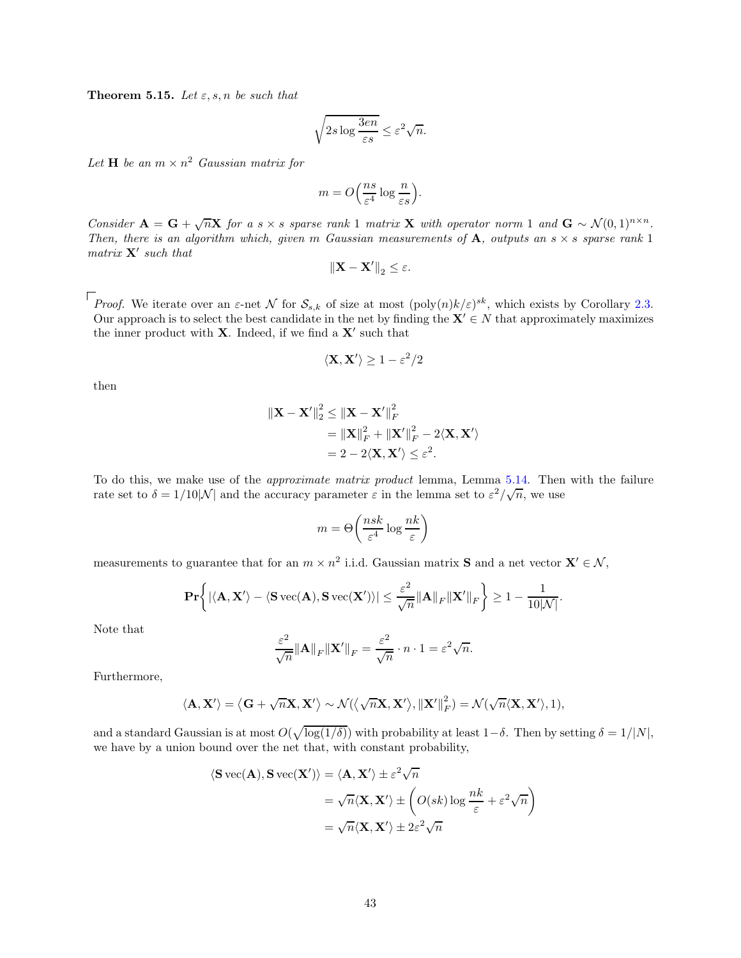<span id="page-43-0"></span>**Theorem 5.15.** Let  $\varepsilon$ ,  $s$ ,  $n$  be such that

$$
\sqrt{2s\log\frac{3en}{\varepsilon s}} \le \varepsilon^2 \sqrt{n}.
$$

Let  $H$  be an  $m \times n^2$  *Gaussian matrix for* 

$$
m = O\left(\frac{ns}{\varepsilon^4} \log \frac{n}{\varepsilon s}\right).
$$

*Consider*  $\mathbf{A} = \mathbf{G} + \sqrt{n}\mathbf{X}$  *for a* s × s *sparse rank* 1 *matrix* **X** *with operator norm* 1 *and*  $\mathbf{G} \sim \mathcal{N}(0, 1)^{n \times n}$ . *Then, there is an algorithm which, given* m *Gaussian measurements of*  $\bf{A}$ *, outputs an*  $s \times s$  *sparse rank* 1 *matrix* X′ *such that*

$$
\left\|\mathbf{X}-\mathbf{X}'\right\|_2\leq\varepsilon.
$$

*Proof.* We iterate over an  $\varepsilon$ -net N for  $\mathcal{S}_{s,k}$  of size at most  $(\text{poly}(n)k/\varepsilon)^{sk}$ , which exists by Corollary [2.3.](#page-8-2) Our approach is to select the best candidate in the net by finding the  $X' \in N$  that approximately maximizes the inner product with  $X$ . Indeed, if we find a  $X'$  such that

$$
\langle \mathbf{X}, \mathbf{X}' \rangle \ge 1 - \varepsilon^2 / 2
$$

then

$$
\begin{aligned} \|\mathbf{X} - \mathbf{X}'\|_2^2 &\leq \|\mathbf{X} - \mathbf{X}'\|_F^2 \\ &= \|\mathbf{X}\|_F^2 + \|\mathbf{X}'\|_F^2 - 2\langle \mathbf{X}, \mathbf{X}' \rangle \\ &= 2 - 2\langle \mathbf{X}, \mathbf{X}' \rangle \leq \varepsilon^2. \end{aligned}
$$

To do this, we make use of the *approximate matrix product* lemma, Lemma [5.14.](#page-42-0) Then with the failure rate set to  $\delta = 1/10|\mathcal{N}|$  and the accuracy parameter  $\varepsilon$  in the lemma set to  $\varepsilon^2/\sqrt{n}$ , we use

$$
m = \Theta\left(\frac{nsk}{\varepsilon^4} \log \frac{nk}{\varepsilon}\right)
$$

measurements to guarantee that for an  $m \times n^2$  i.i.d. Gaussian matrix **S** and a net vector  $X' \in \mathcal{N}$ ,

$$
\mathbf{Pr}\bigg\{|\langle \mathbf{A}, \mathbf{X}'\rangle - \langle \mathbf{S}\,\mathrm{vec}(\mathbf{A}), \mathbf{S}\,\mathrm{vec}(\mathbf{X}')\rangle| \leq \frac{\varepsilon^2}{\sqrt{n}} \|\mathbf{A}\|_F \|\mathbf{X}'\|_F \bigg\} \geq 1 - \frac{1}{10|\mathcal{N}|}.
$$

Note that

$$
\frac{\varepsilon^2}{\sqrt{n}} \|\mathbf{A}\|_F \|\mathbf{X}'\|_F = \frac{\varepsilon^2}{\sqrt{n}} \cdot n \cdot 1 = \varepsilon^2 \sqrt{n}.
$$

Furthermore,

$$
\langle \mathbf{A}, \mathbf{X}' \rangle = \langle \mathbf{G} + \sqrt{n} \mathbf{X}, \mathbf{X}' \rangle \sim \mathcal{N}(\langle \sqrt{n} \mathbf{X}, \mathbf{X}' \rangle, ||\mathbf{X}'||_F^2) = \mathcal{N}(\sqrt{n} \langle \mathbf{X}, \mathbf{X}' \rangle, 1),
$$

and a standard Gaussian is at most  $O(\sqrt{\log(1/\delta)})$  with probability at least  $1-\delta$ . Then by setting  $\delta = 1/|N|$ , we have by a union bound over the net that, with constant probability,

$$
\langle \mathbf{S} \, \text{vec}(\mathbf{A}), \mathbf{S} \, \text{vec}(\mathbf{X}') \rangle = \langle \mathbf{A}, \mathbf{X}' \rangle \pm \varepsilon^2 \sqrt{n}
$$

$$
= \sqrt{n} \langle \mathbf{X}, \mathbf{X}' \rangle \pm \left( O(sk) \log \frac{nk}{\varepsilon} + \varepsilon^2 \sqrt{n} \right)
$$

$$
= \sqrt{n} \langle \mathbf{X}, \mathbf{X}' \rangle \pm 2\varepsilon^2 \sqrt{n}
$$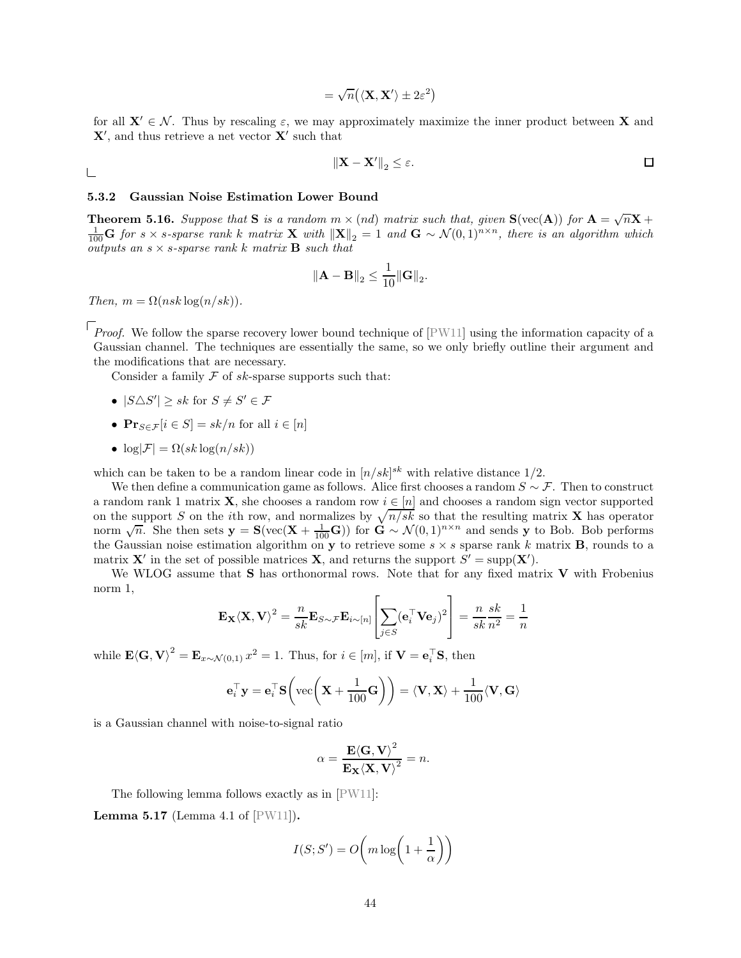$$
= \sqrt{n} \big( \langle \mathbf{X}, \mathbf{X}' \rangle \pm 2\varepsilon^2 \big)
$$

for all  $X' \in \mathcal{N}$ . Thus by rescaling  $\varepsilon$ , we may approximately maximize the inner product between X and  $\mathbf{X}'$ , and thus retrieve a net vector  $\mathbf{X}'$  such that

$$
\left\| \mathbf{X} - \mathbf{X}' \right\|_2 \le \varepsilon.
$$

### 5.3.2 Gaussian Noise Estimation Lower Bound

<span id="page-44-0"></span>**Theorem 5.16.** Suppose that **S** is a random  $m \times (nd)$  matrix such that, given  $\mathbf{S}(\text{vec}(\mathbf{A}))$  for  $\mathbf{A} = \sqrt{n}\mathbf{X} + \mathbf{A}$  $\frac{1}{100}$ **G** for s × s-sparse rank k matrix **X** with  $||\mathbf{X}||_2 = 1$  and **G** ~  $\mathcal{N}(0, 1)^{n \times n}$ , there is an algorithm which *outputs an*  $s \times s$ -sparse rank k matrix **B** such that

$$
\|\mathbf{A} - \mathbf{B}\|_2 \le \frac{1}{10} \|\mathbf{G}\|_2.
$$

*Then,*  $m = \Omega(nsk \log(n/sk)).$ 

 $\Box$ 

*Proof.* We follow the sparse recovery lower bound technique of  $[PW11]$  using the information capacity of a Gaussian channel. The techniques are essentially the same, so we only briefly outline their argument and the modifications that are necessary.

Consider a family  $\mathcal F$  of sk-sparse supports such that:

- $|S \triangle S'| \geq sk$  for  $S \neq S' \in \mathcal{F}$
- $\mathbf{Pr}_{S \in \mathcal{F}}[i \in S] = sk/n$  for all  $i \in [n]$
- $\log|\mathcal{F}| = \Omega(sk \log(n/sk))$

which can be taken to be a random linear code in  $[n/sk]^{sk}$  with relative distance  $1/2$ .

We then define a communication game as follows. Alice first chooses a random  $S \sim \mathcal{F}$ . Then to construct a random rank 1 matrix **X**, she chooses a random row  $i \in [n]$  and chooses a random sign vector supported on the support S on the *i*th row, and normalizes by  $\sqrt{n/sk}$  so that the resulting matrix **X** has operator norm  $\sqrt{n}$ . She then sets  $\mathbf{y} = \mathbf{S}(\text{vec}(\mathbf{X} + \frac{1}{100}\mathbf{G}))$  for  $\mathbf{G} \sim \mathcal{N}(0, 1)^{n \times n}$  and sends y to Bob. Bob performs the Gaussian noise estimation algorithm on **y** to retrieve some  $s \times s$  sparse rank k matrix **B**, rounds to a matrix **X'** in the set of possible matrices **X**, and returns the support  $S' = \text{supp}(\mathbf{X}')$ .

We WLOG assume that  $S$  has orthonormal rows. Note that for any fixed matrix  $V$  with Frobenius norm 1,

$$
\mathbf{E}_{\mathbf{X}} \langle \mathbf{X}, \mathbf{V} \rangle^2 = \frac{n}{sk} \mathbf{E}_{S \sim \mathcal{F}} \mathbf{E}_{i \sim [n]} \left[ \sum_{j \in S} (\mathbf{e}_i^\top \mathbf{V} \mathbf{e}_j)^2 \right] = \frac{n}{sk} \frac{sk}{n^2} = \frac{1}{n}
$$

while  $\mathbf{E}(\mathbf{G}, \mathbf{V})^2 = \mathbf{E}_{x \sim \mathcal{N}(0,1)} x^2 = 1$ . Thus, for  $i \in [m]$ , if  $\mathbf{V} = \mathbf{e}_i^{\top} \mathbf{S}$ , then

$$
\mathbf{e}_i^{\top} \mathbf{y} = \mathbf{e}_i^{\top} \mathbf{S} \left( \text{vec} \left( \mathbf{X} + \frac{1}{100} \mathbf{G} \right) \right) = \langle \mathbf{V}, \mathbf{X} \rangle + \frac{1}{100} \langle \mathbf{V}, \mathbf{G} \rangle
$$

is a Gaussian channel with noise-to-signal ratio

$$
\alpha = \frac{\mathbf{E}\langle \mathbf{G}, \mathbf{V} \rangle^2}{\mathbf{E}_{\mathbf{X}} \langle \mathbf{X}, \mathbf{V} \rangle^2} = n.
$$

The following lemma follows exactly as in [PW11]:

<span id="page-44-1"></span>**Lemma 5.17** (Lemma 4.1 of  $[PW11]$ ).

$$
I(S; S') = O\left(m\log\left(1 + \frac{1}{\alpha}\right)\right)
$$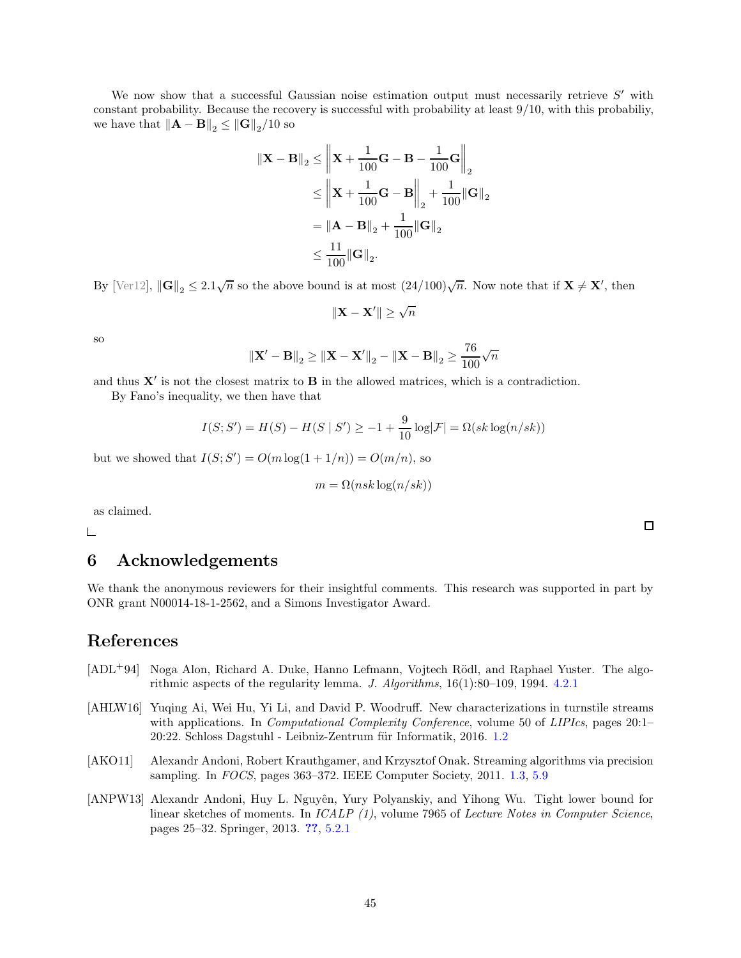We now show that a successful Gaussian noise estimation output must necessarily retrieve  $S'$  with constant probability. Because the recovery is successful with probability at least 9/10, with this probabiliy, we have that  $\left\|\mathbf{A} - \mathbf{B}\right\|_2 \leq \left\|\mathbf{G}\right\|_2 / 10$  so

$$
\|\mathbf{X} - \mathbf{B}\|_2 \le \left\|\mathbf{X} + \frac{1}{100}\mathbf{G} - \mathbf{B} - \frac{1}{100}\mathbf{G}\right\|_2
$$
  
\n
$$
\le \left\|\mathbf{X} + \frac{1}{100}\mathbf{G} - \mathbf{B}\right\|_2 + \frac{1}{100}\|\mathbf{G}\|_2
$$
  
\n
$$
= \|\mathbf{A} - \mathbf{B}\|_2 + \frac{1}{100}\|\mathbf{G}\|_2
$$
  
\n
$$
\le \frac{11}{100}\|\mathbf{G}\|_2.
$$

By [Ver12],  $\|\mathbf{G}\|_2 \leq 2.1\sqrt{n}$  so the above bound is at most  $(24/100)\sqrt{n}$ . Now note that if  $\mathbf{X} \neq \mathbf{X}'$ , then

$$
\|\mathbf{X}-\mathbf{X}'\|\geq \sqrt{n}
$$

so

$$
\|\mathbf{X}' - \mathbf{B}\|_2 \ge \|\mathbf{X} - \mathbf{X}'\|_2 - \|\mathbf{X} - \mathbf{B}\|_2 \ge \frac{76}{100}\sqrt{n}
$$

and thus  $X'$  is not the closest matrix to  $B$  in the allowed matrices, which is a contradiction.

By Fano's inequality, we then have that

$$
I(S; S') = H(S) - H(S | S') \ge -1 + \frac{9}{10} \log |\mathcal{F}| = \Omega(s k \log (n/sk))
$$

but we showed that  $I(S; S') = O(m \log(1 + 1/n)) = O(m/n)$ , so

$$
m = \Omega(nsk \log(n/sk))
$$

as claimed.

 $\Box$ 

# 6 Acknowledgements

We thank the anonymous reviewers for their insightful comments. This research was supported in part by ONR grant N00014-18-1-2562, and a Simons Investigator Award.

# References

- [ADL<sup>+94]</sup> Noga Alon, Richard A. Duke, Hanno Lefmann, Vojtech Rödl, and Raphael Yuster. The algorithmic aspects of the regularity lemma. *J. Algorithms*, 16(1):80–109, 1994. [4.2.1](#page-31-1)
- [AHLW16] Yuqing Ai, Wei Hu, Yi Li, and David P. Woodruff. New characterizations in turnstile streams with applications. In *Computational Complexity Conference*, volume 50 of *LIPIcs*, pages 20:1– 20:22. Schloss Dagstuhl - Leibniz-Zentrum für Informatik, 2016. [1.2](#page-3-0)
- [AKO11] Alexandr Andoni, Robert Krauthgamer, and Krzysztof Onak. Streaming algorithms via precision sampling. In *FOCS*, pages 363–372. IEEE Computer Society, 2011. [1.3,](#page-6-1) [5.9](#page-36-0)
- [ANPW13] Alexandr Andoni, Huy L. Nguyên, Yury Polyanskiy, and Yihong Wu. Tight lower bound for linear sketches of moments. In *ICALP (1)*, volume 7965 of *Lecture Notes in Computer Science*, pages 25–32. Springer, 2013. [??](#page-7-1), [5.2.1](#page-36-1)

 $\Box$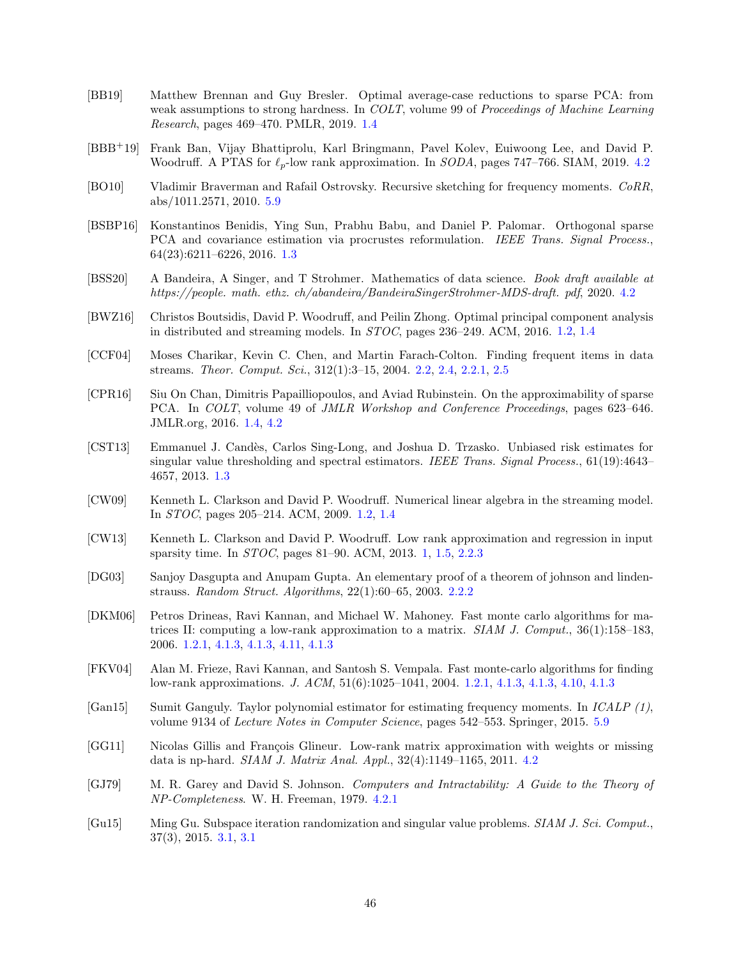- [BB19] Matthew Brennan and Guy Bresler. Optimal average-case reductions to sparse PCA: from weak assumptions to strong hardness. In *COLT*, volume 99 of *Proceedings of Machine Learning Research*, pages 469–470. PMLR, 2019. [1.4](#page-7-2)
- [BBB+19] Frank Ban, Vijay Bhattiprolu, Karl Bringmann, Pavel Kolev, Euiwoong Lee, and David P. Woodruff. A PTAS for  $\ell_p$ -low rank approximation. In *SODA*, pages 747–766. SIAM, 2019. [4.2](#page-30-0)
- [BO10] Vladimir Braverman and Rafail Ostrovsky. Recursive sketching for frequency moments. *CoRR*, abs/1011.2571, 2010. [5.9](#page-36-0)
- [BSBP16] Konstantinos Benidis, Ying Sun, Prabhu Babu, and Daniel P. Palomar. Orthogonal sparse PCA and covariance estimation via procrustes reformulation. *IEEE Trans. Signal Process.*, 64(23):6211–6226, 2016. [1.3](#page-6-1)
- <span id="page-46-0"></span>[BSS20] A Bandeira, A Singer, and T Strohmer. Mathematics of data science. *Book draft available at https://people. math. ethz. ch/abandeira/BandeiraSingerStrohmer-MDS-draft. pdf*, 2020. [4.2](#page-19-1)
- [BWZ16] Christos Boutsidis, David P. Woodruff, and Peilin Zhong. Optimal principal component analysis in distributed and streaming models. In *STOC*, pages 236–249. ACM, 2016. [1.2,](#page-3-0) [1.4](#page-4-0)
- [CCF04] Moses Charikar, Kevin C. Chen, and Martin Farach-Colton. Finding frequent items in data streams. *Theor. Comput. Sci.*, 312(1):3–15, 2004. [2.2,](#page-9-0) [2.4,](#page-9-2) [2.2.1,](#page-9-3) [2.5](#page-9-1)
- [CPR16] Siu On Chan, Dimitris Papailliopoulos, and Aviad Rubinstein. On the approximability of sparse PCA. In *COLT*, volume 49 of *JMLR Workshop and Conference Proceedings*, pages 623–646. JMLR.org, 2016. [1.4,](#page-7-2) [4.2](#page-30-0)
- [CST13] Emmanuel J. Cand`es, Carlos Sing-Long, and Joshua D. Trzasko. Unbiased risk estimates for singular value thresholding and spectral estimators. *IEEE Trans. Signal Process.*, 61(19):4643– 4657, 2013. [1.3](#page-6-2)
- [CW09] Kenneth L. Clarkson and David P. Woodruff. Numerical linear algebra in the streaming model. In *STOC*, pages 205–214. ACM, 2009. [1.2,](#page-3-0) [1.4](#page-4-0)
- [CW13] Kenneth L. Clarkson and David P. Woodruff. Low rank approximation and regression in input sparsity time. In *STOC*, pages 81–90. ACM, 2013. [1,](#page-1-0) [1.5,](#page-7-3) [2.2.3](#page-11-4)
- [DG03] Sanjoy Dasgupta and Anupam Gupta. An elementary proof of a theorem of johnson and lindenstrauss. *Random Struct. Algorithms*, 22(1):60–65, 2003. [2.2.2](#page-10-0)
- [DKM06] Petros Drineas, Ravi Kannan, and Michael W. Mahoney. Fast monte carlo algorithms for matrices II: computing a low-rank approximation to a matrix. *SIAM J. Comput.*, 36(1):158–183, 2006. [1.2.1,](#page-4-1) [4.1.3,](#page-25-1) [4.1.3,](#page-25-0) [4.11,](#page-25-2) [4.1.3](#page-27-1)
- [FKV04] Alan M. Frieze, Ravi Kannan, and Santosh S. Vempala. Fast monte-carlo algorithms for finding low-rank approximations. *J. ACM*, 51(6):1025–1041, 2004. [1.2.1,](#page-4-1) [4.1.3,](#page-24-1) [4.1.3,](#page-25-1) [4.10,](#page-25-0) [4.1.3](#page-27-1)
- [Gan15] Sumit Ganguly. Taylor polynomial estimator for estimating frequency moments. In *ICALP (1)*, volume 9134 of *Lecture Notes in Computer Science*, pages 542–553. Springer, 2015. [5.9](#page-36-0)
- [GG11] Nicolas Gillis and François Glineur. Low-rank matrix approximation with weights or missing data is np-hard. *SIAM J. Matrix Anal. Appl.*, 32(4):1149–1165, 2011. [4.2](#page-30-0)
- [GJ79] M. R. Garey and David S. Johnson. *Computers and Intractability: A Guide to the Theory of NP-Completeness*. W. H. Freeman, 1979. [4.2.1](#page-31-1)
- [Gu15] Ming Gu. Subspace iteration randomization and singular value problems. *SIAM J. Sci. Comput.*, 37(3), 2015. [3.1,](#page-11-5) [3.1](#page-11-2)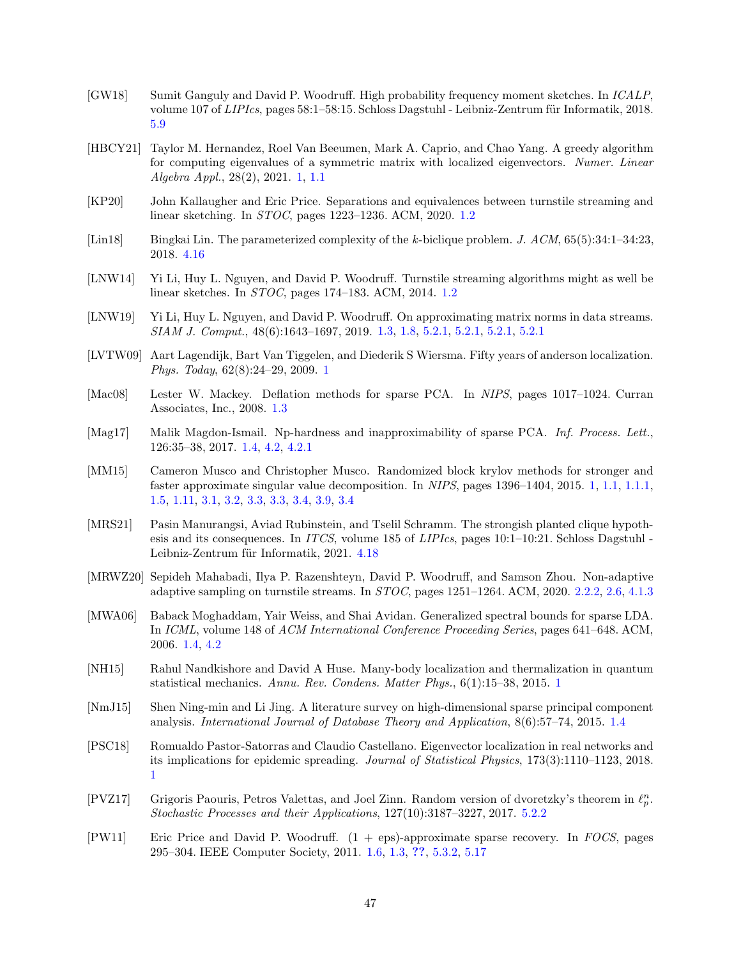- [GW18] Sumit Ganguly and David P. Woodruff. High probability frequency moment sketches. In *ICALP*, volume 107 of *LIPIcs*, pages 58:1–58:15. Schloss Dagstuhl - Leibniz-Zentrum für Informatik, 2018. [5.9](#page-36-0)
- [HBCY21] Taylor M. Hernandez, Roel Van Beeumen, Mark A. Caprio, and Chao Yang. A greedy algorithm for computing eigenvalues of a symmetric matrix with localized eigenvectors. *Numer. Linear Algebra Appl.*, 28(2), 2021. [1,](#page-1-0) [1.1](#page-2-2)
- [KP20] John Kallaugher and Eric Price. Separations and equivalences between turnstile streaming and linear sketching. In *STOC*, pages 1223–1236. ACM, 2020. [1.2](#page-3-0)
- [Lin18] Bingkai Lin. The parameterized complexity of the *k*-biclique problem. *J. ACM*, 65(5):34:1–34:23, 2018. [4.16](#page-31-2)
- [LNW14] Yi Li, Huy L. Nguyen, and David P. Woodruff. Turnstile streaming algorithms might as well be linear sketches. In *STOC*, pages 174–183. ACM, 2014. [1.2](#page-3-0)
- [LNW19] Yi Li, Huy L. Nguyen, and David P. Woodruff. On approximating matrix norms in data streams. *SIAM J. Comput.*, 48(6):1643–1697, 2019. [1.3,](#page-6-3) [1.8,](#page-6-0) [5.2.1,](#page-32-2) [5.2.1,](#page-33-0) [5.2.1,](#page-33-1) [5.2.1](#page-34-0)
- <span id="page-47-0"></span>[LVTW09] Aart Lagendijk, Bart Van Tiggelen, and Diederik S Wiersma. Fifty years of anderson localization. *Phys. Today*, 62(8):24–29, 2009. [1](#page-1-0)
- [Mac08] Lester W. Mackey. Deflation methods for sparse PCA. In *NIPS*, pages 1017–1024. Curran Associates, Inc., 2008. [1.3](#page-6-1)
- [Mag17] Malik Magdon-Ismail. Np-hardness and inapproximability of sparse PCA. *Inf. Process. Lett.*, 126:35–38, 2017. [1.4,](#page-7-2) [4.2,](#page-30-0) [4.2.1](#page-31-1)
- [MM15] Cameron Musco and Christopher Musco. Randomized block krylov methods for stronger and faster approximate singular value decomposition. In *NIPS*, pages 1396–1404, 2015. [1,](#page-1-0) [1.1,](#page-1-1) [1.1.1,](#page-2-1) [1.5,](#page-7-3) [1.11,](#page-8-0) [3.1,](#page-11-5) [3.2,](#page-12-0) [3.3,](#page-14-0) [3.3,](#page-15-0) [3.4,](#page-17-1) [3.9,](#page-17-0) [3.4](#page-17-2)
- [MRS21] Pasin Manurangsi, Aviad Rubinstein, and Tselil Schramm. The strongish planted clique hypothesis and its consequences. In *ITCS*, volume 185 of *LIPIcs*, pages 10:1–10:21. Schloss Dagstuhl - Leibniz-Zentrum für Informatik, 2021. [4.18](#page-31-3)
- [MRWZ20] Sepideh Mahabadi, Ilya P. Razenshteyn, David P. Woodruff, and Samson Zhou. Non-adaptive adaptive sampling on turnstile streams. In *STOC*, pages 1251–1264. ACM, 2020. [2.2.2,](#page-10-2) [2.6,](#page-10-1) [4.1.3](#page-25-1)
- [MWA06] Baback Moghaddam, Yair Weiss, and Shai Avidan. Generalized spectral bounds for sparse LDA. In *ICML*, volume 148 of *ACM International Conference Proceeding Series*, pages 641–648. ACM, 2006. [1.4,](#page-7-2) [4.2](#page-30-0)
- <span id="page-47-1"></span>[NH15] Rahul Nandkishore and David A Huse. Many-body localization and thermalization in quantum statistical mechanics. *Annu. Rev. Condens. Matter Phys.*, 6(1):15–38, 2015. [1](#page-1-0)
- <span id="page-47-3"></span>[NmJ15] Shen Ning-min and Li Jing. A literature survey on high-dimensional sparse principal component analysis. *International Journal of Database Theory and Application*, 8(6):57–74, 2015. [1.4](#page-7-2)
- <span id="page-47-2"></span>[PSC18] Romualdo Pastor-Satorras and Claudio Castellano. Eigenvector localization in real networks and its implications for epidemic spreading. *Journal of Statistical Physics*, 173(3):1110–1123, 2018. [1](#page-1-0)
- <span id="page-47-4"></span>[PVZ17] Grigoris Paouris, Petros Valettas, and Joel Zinn. Random version of dvoretzky's theorem in  $\ell_p^n$ . *Stochastic Processes and their Applications*, 127(10):3187–3227, 2017. [5.2.2](#page-37-1)
- [PW11] Eric Price and David P. Woodruff. (1 + eps)-approximate sparse recovery. In *FOCS*, pages 295–304. IEEE Computer Society, 2011. [1.6,](#page-5-3) [1.3,](#page-6-1) [??](#page-7-1), [5.3.2,](#page-44-0) [5.17](#page-44-1)